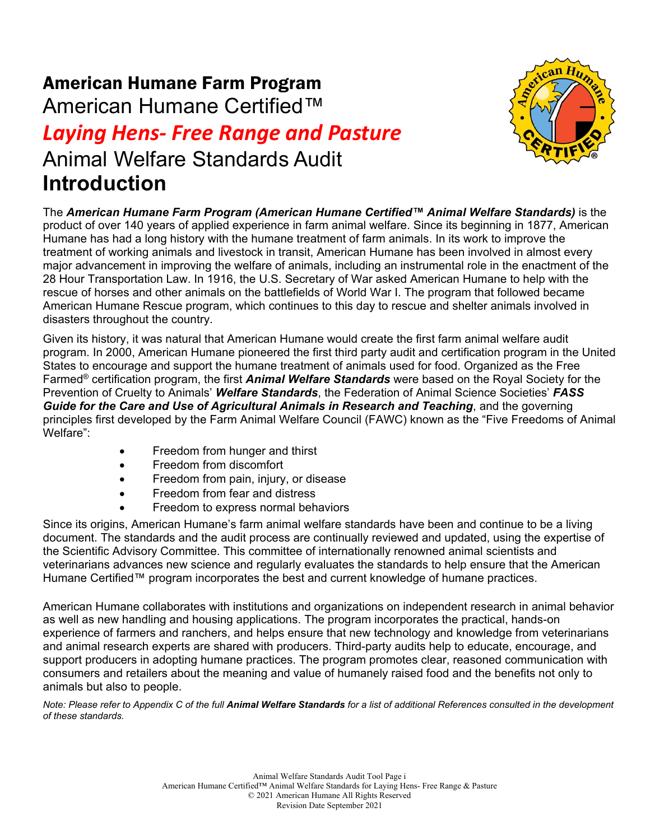## American Humane Farm Program

American Humane Certified™

# *Laying Hens- Free Range and Pasture* Animal Welfare Standards Audit **Introduction**



The *American Humane Farm Program (American Humane Certified™ Animal Welfare Standards)* is the product of over 140 years of applied experience in farm animal welfare. Since its beginning in 1877, American Humane has had a long history with the humane treatment of farm animals. In its work to improve the treatment of working animals and livestock in transit, American Humane has been involved in almost every major advancement in improving the welfare of animals, including an instrumental role in the enactment of the 28 Hour Transportation Law. In 1916, the U.S. Secretary of War asked American Humane to help with the rescue of horses and other animals on the battlefields of World War I. The program that followed became American Humane Rescue program, which continues to this day to rescue and shelter animals involved in disasters throughout the country.

Given its history, it was natural that American Humane would create the first farm animal welfare audit program. In 2000, American Humane pioneered the first third party audit and certification program in the United States to encourage and support the humane treatment of animals used for food. Organized as the Free Farmed® certification program, the first *Animal Welfare Standards* were based on the Royal Society for the Prevention of Cruelty to Animals' *Welfare Standards*, the Federation of Animal Science Societies' *FASS Guide for the Care and Use of Agricultural Animals in Research and Teaching*, and the governing principles first developed by the Farm Animal Welfare Council (FAWC) known as the "Five Freedoms of Animal Welfare":

- Freedom from hunger and thirst
- Freedom from discomfort
- Freedom from pain, injury, or disease
- Freedom from fear and distress
- Freedom to express normal behaviors

Since its origins, American Humane's farm animal welfare standards have been and continue to be a living document. The standards and the audit process are continually reviewed and updated, using the expertise of the Scientific Advisory Committee. This committee of internationally renowned animal scientists and veterinarians advances new science and regularly evaluates the standards to help ensure that the American Humane Certified™ program incorporates the best and current knowledge of humane practices.

American Humane collaborates with institutions and organizations on independent research in animal behavior as well as new handling and housing applications. The program incorporates the practical, hands-on experience of farmers and ranchers, and helps ensure that new technology and knowledge from veterinarians and animal research experts are shared with producers. Third-party audits help to educate, encourage, and support producers in adopting humane practices. The program promotes clear, reasoned communication with consumers and retailers about the meaning and value of humanely raised food and the benefits not only to animals but also to people.

*Note: Please refer to Appendix C of the full Animal Welfare Standards for a list of additional References consulted in the development of these standards.*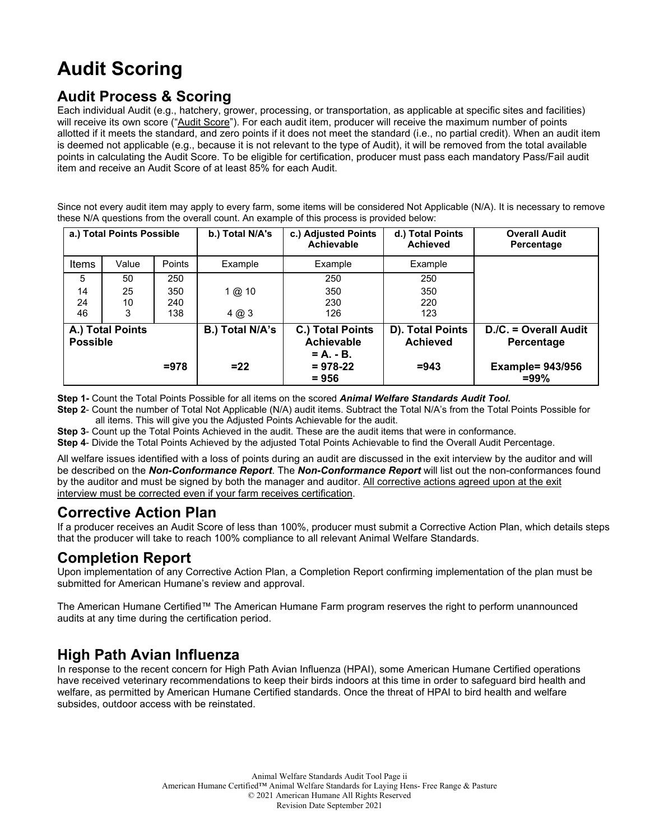## **Audit Scoring**

## **Audit Process & Scoring**

Each individual Audit (e.g., hatchery, grower, processing, or transportation, as applicable at specific sites and facilities) will receive its own score ("Audit Score"). For each audit item, producer will receive the maximum number of points allotted if it meets the standard, and zero points if it does not meet the standard (i.e., no partial credit). When an audit item is deemed not applicable (e.g., because it is not relevant to the type of Audit), it will be removed from the total available points in calculating the Audit Score. To be eligible for certification, producer must pass each mandatory Pass/Fail audit item and receive an Audit Score of at least 85% for each Audit.

Since not every audit item may apply to every farm, some items will be considered Not Applicable (N/A). It is necessary to remove these N/A questions from the overall count. An example of this process is provided below:

| a.) Total Points Possible |                  | b.) Total N/A's   | c.) Adjusted Points<br><b>Achievable</b> | d.) Total Points<br><b>Achieved</b>                                        | <b>Overall Audit</b><br>Percentage             |                                                                           |
|---------------------------|------------------|-------------------|------------------------------------------|----------------------------------------------------------------------------|------------------------------------------------|---------------------------------------------------------------------------|
| <b>Items</b>              | Value            | <b>Points</b>     | Example                                  | Example                                                                    | Example                                        |                                                                           |
| 5                         | 50               | 250               |                                          | 250                                                                        | 250                                            |                                                                           |
| 14<br>24<br>46            | 25<br>10<br>3    | 350<br>240<br>138 | $1$ @ $10$<br>4 @ 3                      | 350<br>230<br>126                                                          | 350<br>220<br>123                              |                                                                           |
| <b>Possible</b>           | A.) Total Points | $= 978$           | B.) Total N/A's<br>$= 22$                | C.) Total Points<br>Achievable<br>$= A_1 - B_2$<br>$= 978 - 22$<br>$= 956$ | D). Total Points<br><b>Achieved</b><br>$= 943$ | D./C. = Overall Audit<br>Percentage<br><b>Example= 943/956</b><br>$= 99%$ |

**Step 1-** Count the Total Points Possible for all items on the scored *Animal Welfare Standards Audit Tool.*

**Step 2**- Count the number of Total Not Applicable (N/A) audit items. Subtract the Total N/A's from the Total Points Possible for all items. This will give you the Adjusted Points Achievable for the audit.

**Step 3**- Count up the Total Points Achieved in the audit. These are the audit items that were in conformance.

**Step 4**- Divide the Total Points Achieved by the adjusted Total Points Achievable to find the Overall Audit Percentage.

All welfare issues identified with a loss of points during an audit are discussed in the exit interview by the auditor and will be described on the *Non-Conformance Report*. The *Non-Conformance Report* will list out the non-conformances found by the auditor and must be signed by both the manager and auditor. All corrective actions agreed upon at the exit interview must be corrected even if your farm receives certification.

#### **Corrective Action Plan**

If a producer receives an Audit Score of less than 100%, producer must submit a Corrective Action Plan, which details steps that the producer will take to reach 100% compliance to all relevant Animal Welfare Standards.

#### **Completion Report**

Upon implementation of any Corrective Action Plan, a Completion Report confirming implementation of the plan must be submitted for American Humane's review and approval.

The American Humane Certified™ The American Humane Farm program reserves the right to perform unannounced audits at any time during the certification period.

### **High Path Avian Influenza**

In response to the recent concern for High Path Avian Influenza (HPAI), some American Humane Certified operations have received veterinary recommendations to keep their birds indoors at this time in order to safeguard bird health and welfare, as permitted by American Humane Certified standards. Once the threat of HPAI to bird health and welfare subsides, outdoor access with be reinstated.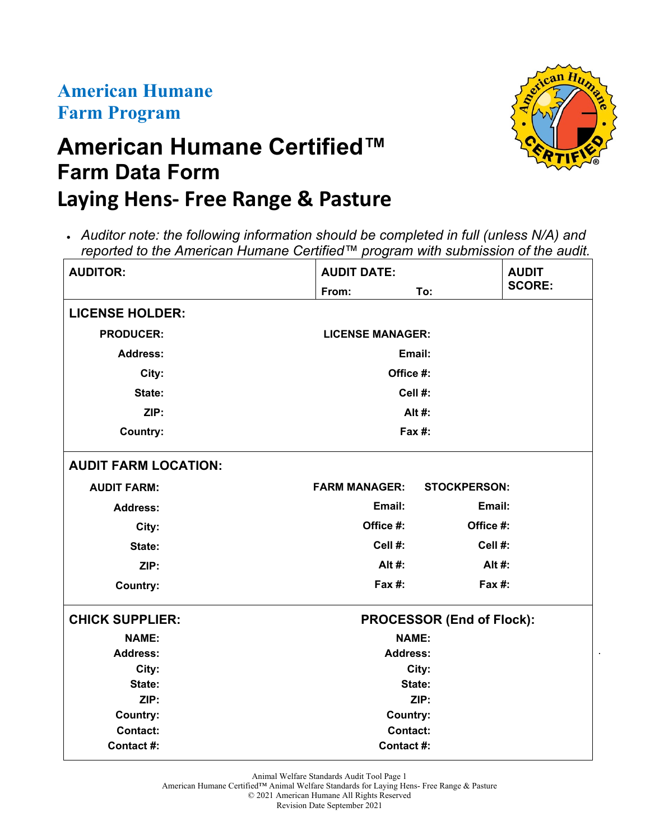## **American Humane Farm Program**

# **American Humane Certified™ Farm Data Form Laying Hens- Free Range & Pasture**



| <b>AUDITOR:</b>             | <b>AUDIT DATE:</b>      |                                  |               |
|-----------------------------|-------------------------|----------------------------------|---------------|
|                             | From:                   | To:                              | <b>SCORE:</b> |
| <b>LICENSE HOLDER:</b>      |                         |                                  |               |
| <b>PRODUCER:</b>            | <b>LICENSE MANAGER:</b> |                                  |               |
| <b>Address:</b>             | Email:                  |                                  |               |
| City:                       | Office #:               |                                  |               |
| State:                      | Cell #:                 |                                  |               |
| ZIP:                        |                         | Alt #:                           |               |
| <b>Country:</b>             | Fax #:                  |                                  |               |
| <b>AUDIT FARM LOCATION:</b> |                         |                                  |               |
| <b>AUDIT FARM:</b>          | <b>FARM MANAGER:</b>    | <b>STOCKPERSON:</b>              |               |
| <b>Address:</b>             | Email:                  | Email:                           |               |
| City:                       | Office #:               | Office #:                        |               |
| State:                      | Cell #:                 | Cell #:                          |               |
| ZIP:                        | Alt #:                  | Alt #:                           |               |
| <b>Country:</b>             | <b>Fax #:</b>           | Fax $#$ :                        |               |
| <b>CHICK SUPPLIER:</b>      |                         | <b>PROCESSOR (End of Flock):</b> |               |
| <b>NAME:</b>                | <b>NAME:</b>            |                                  |               |
| <b>Address:</b>             | <b>Address:</b>         |                                  |               |
| City:<br>City:              |                         |                                  |               |
| State:                      | State:                  |                                  |               |
| ZIP:                        | ZIP:                    |                                  |               |
| <b>Country:</b>             | <b>Country:</b>         |                                  |               |
| <b>Contact:</b>             | <b>Contact:</b>         |                                  |               |
| Contact #:                  | Contact #:              |                                  |               |

Animal Welfare Standards Audit Tool Page 1

American Humane Certified™ Animal Welfare Standards for Laying Hens- Free Range & Pasture © 2021 American Humane All Rights Reserved

Revision Date September 2021



.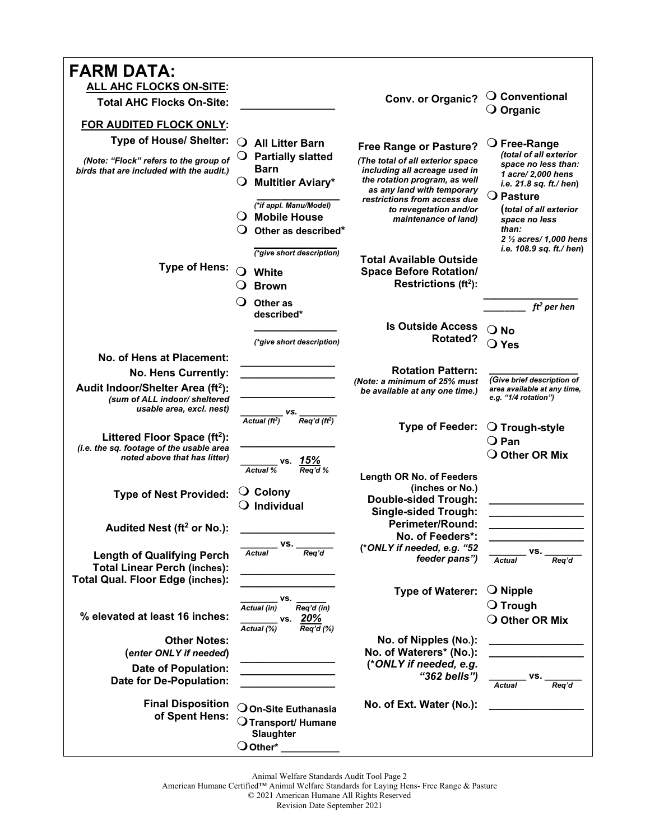| <b>FARM DATA:</b>                                                                                                   |                                                                                                                                                                                                                                      |                                                                                                                                                                   |                                                                                                                                         |
|---------------------------------------------------------------------------------------------------------------------|--------------------------------------------------------------------------------------------------------------------------------------------------------------------------------------------------------------------------------------|-------------------------------------------------------------------------------------------------------------------------------------------------------------------|-----------------------------------------------------------------------------------------------------------------------------------------|
| <b>ALL AHC FLOCKS ON-SITE:</b>                                                                                      |                                                                                                                                                                                                                                      |                                                                                                                                                                   |                                                                                                                                         |
| <b>Total AHC Flocks On-Site:</b>                                                                                    |                                                                                                                                                                                                                                      | Conv. or Organic?                                                                                                                                                 | $\bigcirc$ Conventional<br>$\bigcirc$ Organic                                                                                           |
| FOR AUDITED FLOCK ONLY:                                                                                             |                                                                                                                                                                                                                                      |                                                                                                                                                                   |                                                                                                                                         |
| <b>Type of House/ Shelter:</b>                                                                                      | O<br><b>All Litter Barn</b>                                                                                                                                                                                                          |                                                                                                                                                                   | $\bigcirc$ Free-Range                                                                                                                   |
| (Note: "Flock" refers to the group of<br>birds that are included with the audit.)                                   | <b>Partially slatted</b><br><b>Barn</b><br><b>Multitier Aviary*</b>                                                                                                                                                                  | <b>Free Range or Pasture?</b><br>(The total of all exterior space<br>including all acreage used in<br>the rotation program, as well<br>as any land with temporary | (total of all exterior<br>space no less than:<br>1 acre/ 2,000 hens<br>i.e. 21.8 sq. ft./ hen)                                          |
|                                                                                                                     | (*if appl. Manu/Model)<br>$\bigcirc$ Mobile House<br>Other as described*<br>(*give short description)                                                                                                                                | restrictions from access due<br>to revegetation and/or<br>maintenance of land)                                                                                    | $\bigcirc$ Pasture<br>(total of all exterior<br>space no less<br>than:<br>2 $\frac{1}{2}$ acres/ 1,000 hens<br>i.e. 108.9 sq. ft./ hen) |
| <b>Type of Hens:</b>                                                                                                | White<br><b>Brown</b>                                                                                                                                                                                                                | <b>Total Available Outside</b><br><b>Space Before Rotation/</b><br>Restrictions (ft <sup>2</sup> ):                                                               |                                                                                                                                         |
|                                                                                                                     |                                                                                                                                                                                                                                      |                                                                                                                                                                   |                                                                                                                                         |
|                                                                                                                     | Other as<br>described*                                                                                                                                                                                                               |                                                                                                                                                                   | $ft2$ per hen                                                                                                                           |
|                                                                                                                     |                                                                                                                                                                                                                                      | <b>Is Outside Access</b>                                                                                                                                          | $\bigcirc$ No                                                                                                                           |
|                                                                                                                     | (*give short description)                                                                                                                                                                                                            | Rotated?                                                                                                                                                          | $\bigcirc$ Yes                                                                                                                          |
| No. of Hens at Placement:                                                                                           |                                                                                                                                                                                                                                      |                                                                                                                                                                   |                                                                                                                                         |
| No. Hens Currently:                                                                                                 |                                                                                                                                                                                                                                      | <b>Rotation Pattern:</b>                                                                                                                                          |                                                                                                                                         |
| Audit Indoor/Shelter Area (ft <sup>2</sup> ):<br>(sum of ALL indoor/ sheltered<br>usable area, excl. nest)          |                                                                                                                                                                                                                                      | (Note: a minimum of 25% must<br>be available at any one time.)                                                                                                    | (Give brief description of<br>area available at any time,<br>e.g. "1/4 rotation")                                                       |
| Littered Floor Space $(ft2)$ :<br>(i.e. the sq. footage of the usable area<br>noted above that has litter)          | $\overline{\text{Actual (ft}^2)}$ $\overline{\text{Reg'd (ft}^2)}$                                                                                                                                                                   | <b>Type of Feeder:</b>                                                                                                                                            | $\bigcirc$ Trough-style<br>$\bigcirc$ Pan<br>$\bigcirc$ Other OR Mix                                                                    |
| <b>Type of Nest Provided:</b>                                                                                       | vs. 15%<br><b>Actual %</b><br>Rea'd %<br>$\bigcirc$ Colony<br>$\bigcirc$ Individual                                                                                                                                                  | <b>Length OR No. of Feeders</b><br>(inches or No.)<br><b>Double-sided Trough:</b><br><b>Single-sided Trough:</b>                                                  |                                                                                                                                         |
| Audited Nest (ft <sup>2</sup> or No.):                                                                              |                                                                                                                                                                                                                                      | <b>Perimeter/Round:</b><br>No. of Feeders*:                                                                                                                       |                                                                                                                                         |
| <b>Length of Qualifying Perch</b><br><b>Total Linear Perch (inches):</b><br><b>Total Qual. Floor Edge (inches):</b> | $\mathsf{vs.}\_$<br>Req'd<br>Actual                                                                                                                                                                                                  | (*ONLY if needed, e.g. "52<br>feeder pans")                                                                                                                       | VS.<br>Rea'd<br><b>Actual</b>                                                                                                           |
|                                                                                                                     |                                                                                                                                                                                                                                      | <b>Type of Waterer:</b>                                                                                                                                           | $\bigcirc$ Nipple                                                                                                                       |
| % elevated at least 16 inches:                                                                                      | VS.<br>$\overline{Req'd (in)}$<br>Actual (in)<br>vs. 20%<br>Actual (%)<br>$\overline{Req'd}(%)$                                                                                                                                      |                                                                                                                                                                   | $\bigcirc$ Trough<br>O Other OR Mix                                                                                                     |
| <b>Other Notes:</b><br>(enter ONLY if needed)                                                                       |                                                                                                                                                                                                                                      | No. of Nipples (No.):<br>No. of Waterers* (No.):<br>(*ONLY if needed, e.g.                                                                                        | <u> 1989 - Johann Barbara, martin a</u><br><u> 1989 - Johann John Stone, markin f</u>                                                   |
| <b>Date of Population:</b><br>Date for De-Population:                                                               | <u> 1986 - Jan Stein Stein Stein Stein Stein Stein Stein Stein Stein Stein Stein Stein Stein Stein Stein Stein Stein Stein Stein Stein Stein Stein Stein Stein Stein Stein Stein Stein Stein Stein Stein Stein Stein Stein Stein</u> | "362 bells")                                                                                                                                                      | vs. _<br>Actual<br>Rea'd                                                                                                                |
| <b>Final Disposition</b><br>of Spent Hens:                                                                          | $\mathop{\mathsf{On}}\nolimits$ -Site Euthanasia<br>$\mathop{\mathsf{O}}$ Transport/ Humane<br>Slaughter<br>$\bigcirc$ Other*                                                                                                        | No. of Ext. Water (No.):                                                                                                                                          |                                                                                                                                         |

Animal Welfare Standards Audit Tool Page 2

American Humane Certified™ Animal Welfare Standards for Laying Hens- Free Range & Pasture

© 2021 American Humane All Rights Reserved

Revision Date September 2021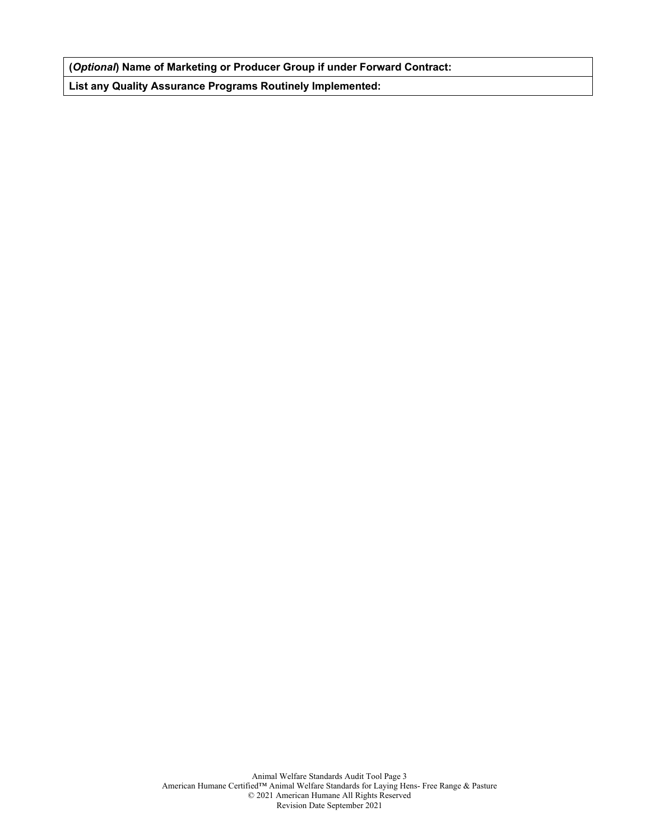**(***Optional***) Name of Marketing or Producer Group if under Forward Contract:**

**List any Quality Assurance Programs Routinely Implemented:**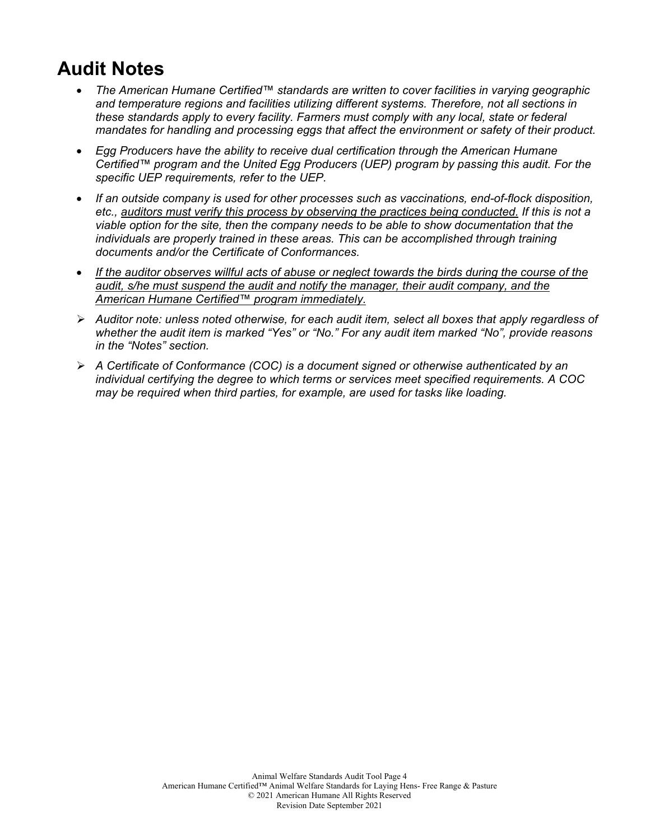## **Audit Notes**

- *The American Humane Certified™ standards are written to cover facilities in varying geographic and temperature regions and facilities utilizing different systems. Therefore, not all sections in these standards apply to every facility. Farmers must comply with any local, state or federal mandates for handling and processing eggs that affect the environment or safety of their product.*
- *Egg Producers have the ability to receive dual certification through the American Humane Certified™ program and the United Egg Producers (UEP) program by passing this audit. For the specific UEP requirements, refer to the UEP.*
- *If an outside company is used for other processes such as vaccinations, end-of-flock disposition, etc., auditors must verify this process by observing the practices being conducted. If this is not a viable option for the site, then the company needs to be able to show documentation that the individuals are properly trained in these areas. This can be accomplished through training documents and/or the Certificate of Conformances.*
- *If the auditor observes willful acts of abuse or neglect towards the birds during the course of the audit, s/he must suspend the audit and notify the manager, their audit company, and the American Humane Certified™ program immediately.*
- *Auditor note: unless noted otherwise, for each audit item, select all boxes that apply regardless of whether the audit item is marked "Yes" or "No." For any audit item marked "No", provide reasons in the "Notes" section.*
- *A Certificate of Conformance (COC) is a document signed or otherwise authenticated by an individual certifying the degree to which terms or services meet specified requirements. A COC may be required when third parties, for example, are used for tasks like loading.*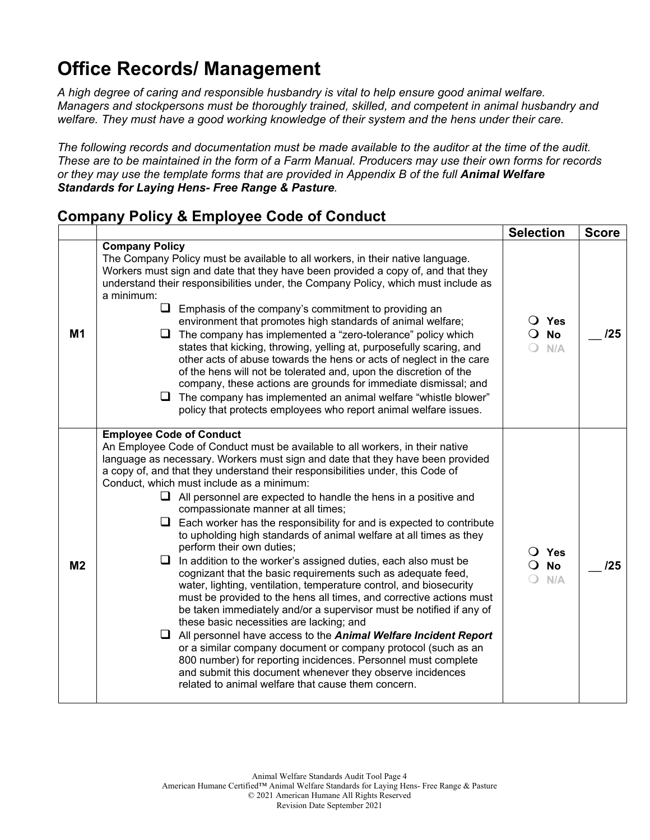## **Office Records/ Management**

*A high degree of caring and responsible husbandry is vital to help ensure good animal welfare. Managers and stockpersons must be thoroughly trained, skilled, and competent in animal husbandry and welfare. They must have a good working knowledge of their system and the hens under their care.* 

*The following records and documentation must be made available to the auditor at the time of the audit. These are to be maintained in the form of a Farm Manual. Producers may use their own forms for records or they may use the template forms that are provided in Appendix B of the full Animal Welfare Standards for Laying Hens- Free Range & Pasture.*

### **Company Policy & Employee Code of Conduct**

|                |                                                                                                                                                                                                                                                                                                                                                                                                                                                                                                                                                                                                                                                                                                                                                                                                                                                                                                                                                                                                                                                                                                                                                                                                                                                                                                                                                                            | <b>Selection</b>                               | <b>Score</b> |
|----------------|----------------------------------------------------------------------------------------------------------------------------------------------------------------------------------------------------------------------------------------------------------------------------------------------------------------------------------------------------------------------------------------------------------------------------------------------------------------------------------------------------------------------------------------------------------------------------------------------------------------------------------------------------------------------------------------------------------------------------------------------------------------------------------------------------------------------------------------------------------------------------------------------------------------------------------------------------------------------------------------------------------------------------------------------------------------------------------------------------------------------------------------------------------------------------------------------------------------------------------------------------------------------------------------------------------------------------------------------------------------------------|------------------------------------------------|--------------|
| M1             | <b>Company Policy</b><br>The Company Policy must be available to all workers, in their native language.<br>Workers must sign and date that they have been provided a copy of, and that they<br>understand their responsibilities under, the Company Policy, which must include as<br>a minimum:<br>❏.<br>Emphasis of the company's commitment to providing an<br>environment that promotes high standards of animal welfare;<br>$\Box$ The company has implemented a "zero-tolerance" policy which<br>states that kicking, throwing, yelling at, purposefully scaring, and<br>other acts of abuse towards the hens or acts of neglect in the care<br>of the hens will not be tolerated and, upon the discretion of the<br>company, these actions are grounds for immediate dismissal; and<br>$\Box$ The company has implemented an animal welfare "whistle blower"<br>policy that protects employees who report animal welfare issues.                                                                                                                                                                                                                                                                                                                                                                                                                                     | $\bigcirc$ Yes<br>$\overline{O}$ No<br>N/A     | /25          |
| M <sub>2</sub> | <b>Employee Code of Conduct</b><br>An Employee Code of Conduct must be available to all workers, in their native<br>language as necessary. Workers must sign and date that they have been provided<br>a copy of, and that they understand their responsibilities under, this Code of<br>Conduct, which must include as a minimum:<br>$\Box$ All personnel are expected to handle the hens in a positive and<br>compassionate manner at all times;<br>$\Box$ Each worker has the responsibility for and is expected to contribute<br>to upholding high standards of animal welfare at all times as they<br>perform their own duties;<br>$\Box$ In addition to the worker's assigned duties, each also must be<br>cognizant that the basic requirements such as adequate feed,<br>water, lighting, ventilation, temperature control, and biosecurity<br>must be provided to the hens all times, and corrective actions must<br>be taken immediately and/or a supervisor must be notified if any of<br>these basic necessities are lacking; and<br>All personnel have access to the Animal Welfare Incident Report<br>u.<br>or a similar company document or company protocol (such as an<br>800 number) for reporting incidences. Personnel must complete<br>and submit this document whenever they observe incidences<br>related to animal welfare that cause them concern. | $\bigcirc$ Yes<br><b>No</b><br>$\Omega$<br>N/A | 125          |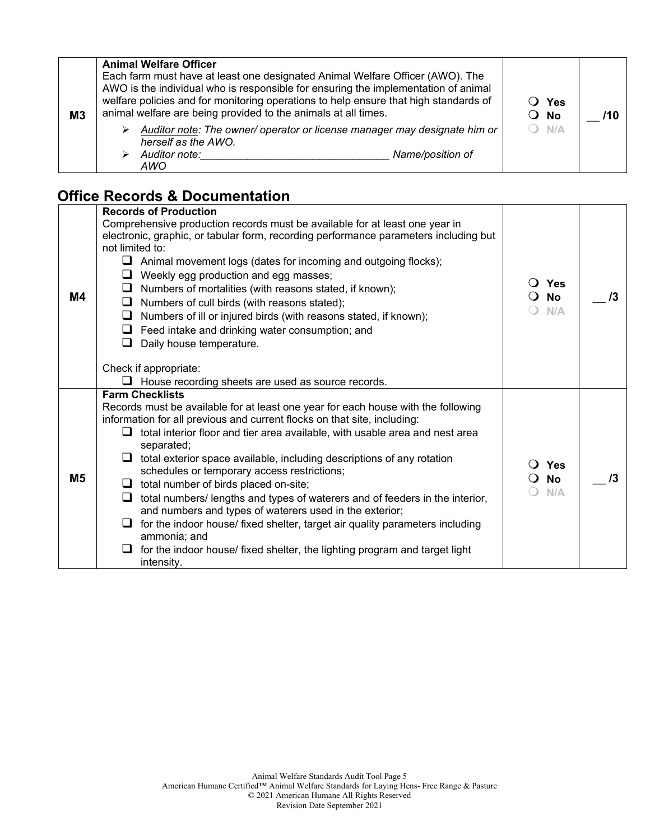| M <sub>3</sub> | <b>Animal Welfare Officer</b><br>Each farm must have at least one designated Animal Welfare Officer (AWO). The<br>AWO is the individual who is responsible for ensuring the implementation of animal<br>welfare policies and for monitoring operations to help ensure that high standards of<br>animal welfare are being provided to the animals at all times. | $\overline{O}$ Yes<br>$\overline{O}$ No | 71 O |
|----------------|----------------------------------------------------------------------------------------------------------------------------------------------------------------------------------------------------------------------------------------------------------------------------------------------------------------------------------------------------------------|-----------------------------------------|------|
|                | Auditor note: The owner/ operator or license manager may designate him or<br>herself as the AWO.<br>Auditor note:<br>Name/position of<br>AWO                                                                                                                                                                                                                   | $O$ N/A                                 |      |

## **Office Records & Documentation**

| <b>M4</b>      | <b>Records of Production</b><br>Comprehensive production records must be available for at least one year in<br>electronic, graphic, or tabular form, recording performance parameters including but<br>not limited to:<br>⊔<br>Animal movement logs (dates for incoming and outgoing flocks);<br>Weekly egg production and egg masses;<br>⊔<br>Numbers of mortalities (with reasons stated, if known);<br>Numbers of cull birds (with reasons stated);<br>ப<br>Numbers of ill or injured birds (with reasons stated, if known);<br>⊔<br>Feed intake and drinking water consumption; and<br>Daily house temperature.<br>ப<br>Check if appropriate:<br>House recording sheets are used as source records.                                                                                                            | <b>Yes</b><br>$\blacksquare$<br><b>No</b><br>N/A | /3 |
|----------------|--------------------------------------------------------------------------------------------------------------------------------------------------------------------------------------------------------------------------------------------------------------------------------------------------------------------------------------------------------------------------------------------------------------------------------------------------------------------------------------------------------------------------------------------------------------------------------------------------------------------------------------------------------------------------------------------------------------------------------------------------------------------------------------------------------------------|--------------------------------------------------|----|
| M <sub>5</sub> | <b>Farm Checklists</b><br>Records must be available for at least one year for each house with the following<br>information for all previous and current flocks on that site, including:<br>total interior floor and tier area available, with usable area and nest area<br>ப<br>separated;<br>total exterior space available, including descriptions of any rotation<br>schedules or temporary access restrictions;<br>total number of birds placed on-site;<br>⊔<br>total numbers/ lengths and types of waterers and of feeders in the interior,<br>⊔<br>and numbers and types of waterers used in the exterior;<br>for the indoor house/ fixed shelter, target air quality parameters including<br>ப<br>ammonia; and<br>for the indoor house/ fixed shelter, the lighting program and target light<br>intensity. | <b>Yes</b><br><b>No</b><br>$\Omega$<br>N/A       | /3 |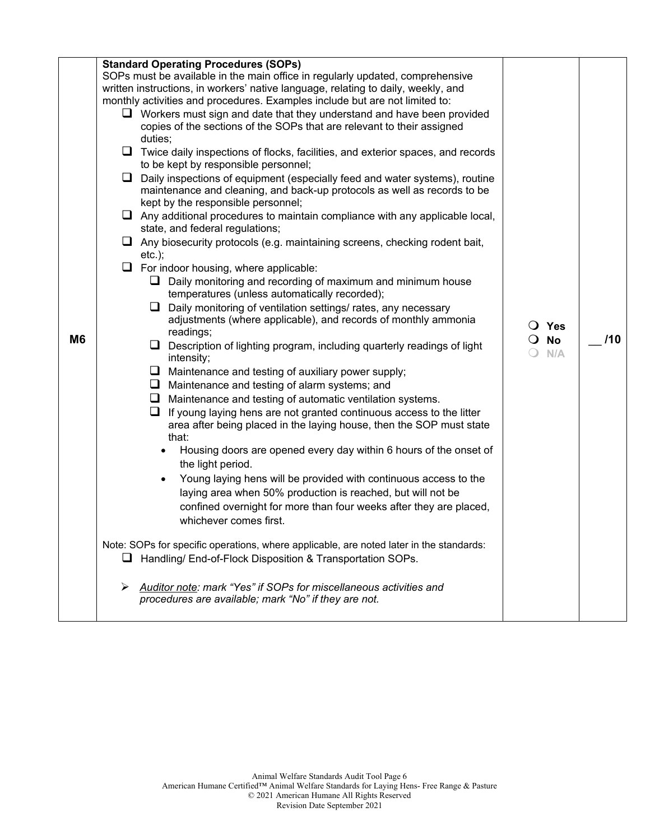|                |        | <b>Standard Operating Procedures (SOPs)</b>                                                                                                             |                   |     |
|----------------|--------|---------------------------------------------------------------------------------------------------------------------------------------------------------|-------------------|-----|
|                |        | SOPs must be available in the main office in regularly updated, comprehensive                                                                           |                   |     |
|                |        | written instructions, in workers' native language, relating to daily, weekly, and                                                                       |                   |     |
|                |        | monthly activities and procedures. Examples include but are not limited to:                                                                             |                   |     |
|                |        | $\Box$ Workers must sign and date that they understand and have been provided                                                                           |                   |     |
|                |        | copies of the sections of the SOPs that are relevant to their assigned<br>duties;                                                                       |                   |     |
|                |        |                                                                                                                                                         |                   |     |
|                | ⊔      | Twice daily inspections of flocks, facilities, and exterior spaces, and records                                                                         |                   |     |
|                | $\Box$ | to be kept by responsible personnel;                                                                                                                    |                   |     |
|                |        | Daily inspections of equipment (especially feed and water systems), routine<br>maintenance and cleaning, and back-up protocols as well as records to be |                   |     |
|                |        | kept by the responsible personnel;                                                                                                                      |                   |     |
|                |        |                                                                                                                                                         |                   |     |
|                |        | $\Box$ Any additional procedures to maintain compliance with any applicable local,<br>state, and federal regulations;                                   |                   |     |
|                |        |                                                                                                                                                         |                   |     |
|                |        | $\Box$ Any biosecurity protocols (e.g. maintaining screens, checking rodent bait,<br>$etc.$ ;                                                           |                   |     |
|                |        |                                                                                                                                                         |                   |     |
|                |        | $\Box$ For indoor housing, where applicable:                                                                                                            |                   |     |
|                |        | $\Box$ Daily monitoring and recording of maximum and minimum house<br>temperatures (unless automatically recorded);                                     |                   |     |
|                |        | $\Box$ Daily monitoring of ventilation settings/ rates, any necessary                                                                                   |                   |     |
|                |        | adjustments (where applicable), and records of monthly ammonia                                                                                          |                   |     |
|                |        | readings;                                                                                                                                               | $\bigcirc$ Yes    |     |
| M <sub>6</sub> |        | $\Box$ Description of lighting program, including quarterly readings of light                                                                           | $\overline{O}$ No | /10 |
|                |        | intensity;                                                                                                                                              | $\bigcirc$ N/A    |     |
|                |        | $\Box$ Maintenance and testing of auxiliary power supply;                                                                                               |                   |     |
|                |        | $\Box$ Maintenance and testing of alarm systems; and                                                                                                    |                   |     |
|                |        | $\Box$ Maintenance and testing of automatic ventilation systems.                                                                                        |                   |     |
|                |        | If young laying hens are not granted continuous access to the litter<br>⊔                                                                               |                   |     |
|                |        | area after being placed in the laying house, then the SOP must state                                                                                    |                   |     |
|                |        | that:                                                                                                                                                   |                   |     |
|                |        | Housing doors are opened every day within 6 hours of the onset of                                                                                       |                   |     |
|                |        | the light period.                                                                                                                                       |                   |     |
|                |        | Young laying hens will be provided with continuous access to the                                                                                        |                   |     |
|                |        | laying area when 50% production is reached, but will not be                                                                                             |                   |     |
|                |        | confined overnight for more than four weeks after they are placed,                                                                                      |                   |     |
|                |        | whichever comes first.                                                                                                                                  |                   |     |
|                |        |                                                                                                                                                         |                   |     |
|                |        | Note: SOPs for specific operations, where applicable, are noted later in the standards:                                                                 |                   |     |
|                | ⊔      | Handling/ End-of-Flock Disposition & Transportation SOPs.                                                                                               |                   |     |
|                |        |                                                                                                                                                         |                   |     |
|                |        | Auditor note: mark "Yes" if SOPs for miscellaneous activities and                                                                                       |                   |     |
|                |        | procedures are available; mark "No" if they are not.                                                                                                    |                   |     |
|                |        |                                                                                                                                                         |                   |     |
|                |        |                                                                                                                                                         |                   |     |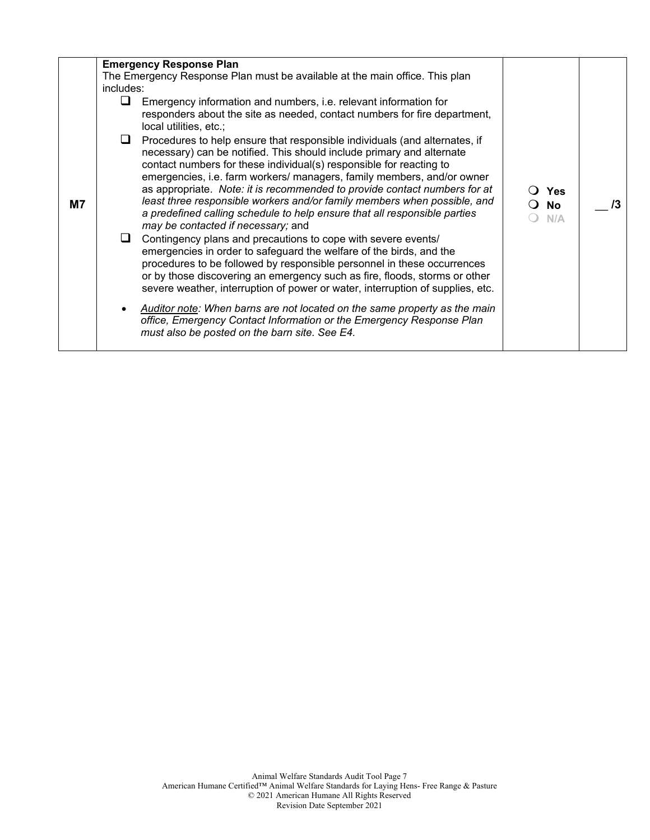|    |           | <b>Emergency Response Plan</b>                                                                                                                                                                                                                                                                                                                                                                                                                                                                                                                                                   |                    |    |
|----|-----------|----------------------------------------------------------------------------------------------------------------------------------------------------------------------------------------------------------------------------------------------------------------------------------------------------------------------------------------------------------------------------------------------------------------------------------------------------------------------------------------------------------------------------------------------------------------------------------|--------------------|----|
|    |           | The Emergency Response Plan must be available at the main office. This plan                                                                                                                                                                                                                                                                                                                                                                                                                                                                                                      |                    |    |
|    | includes: |                                                                                                                                                                                                                                                                                                                                                                                                                                                                                                                                                                                  |                    |    |
| M7 | ⊔         | Emergency information and numbers, i.e. relevant information for<br>responders about the site as needed, contact numbers for fire department,<br>local utilities, etc.;                                                                                                                                                                                                                                                                                                                                                                                                          |                    |    |
|    |           | Procedures to help ensure that responsible individuals (and alternates, if<br>necessary) can be notified. This should include primary and alternate<br>contact numbers for these individual(s) responsible for reacting to<br>emergencies, i.e. farm workers/ managers, family members, and/or owner<br>as appropriate. Note: it is recommended to provide contact numbers for at<br>least three responsible workers and/or family members when possible, and<br>a predefined calling schedule to help ensure that all responsible parties<br>may be contacted if necessary; and | ○ Yes<br>No<br>N/A | /3 |
|    | ⊔         | Contingency plans and precautions to cope with severe events/<br>emergencies in order to safeguard the welfare of the birds, and the<br>procedures to be followed by responsible personnel in these occurrences<br>or by those discovering an emergency such as fire, floods, storms or other<br>severe weather, interruption of power or water, interruption of supplies, etc.<br>Auditor note: When barns are not located on the same property as the main                                                                                                                     |                    |    |
|    |           | office, Emergency Contact Information or the Emergency Response Plan<br>must also be posted on the barn site. See E4.                                                                                                                                                                                                                                                                                                                                                                                                                                                            |                    |    |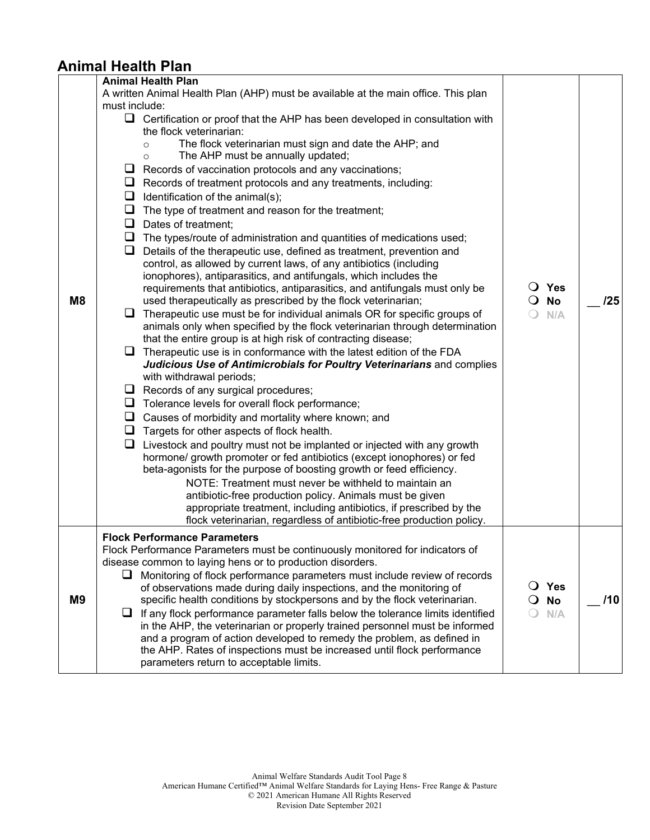## **Animal Health Plan**

| M <sub>8</sub> | <b>Animal Health Plan</b><br>A written Animal Health Plan (AHP) must be available at the main office. This plan<br>must include:<br>$\Box$ Certification or proof that the AHP has been developed in consultation with<br>the flock veterinarian:<br>The flock veterinarian must sign and date the AHP; and<br>$\circ$<br>The AHP must be annually updated;<br>$\circ$<br>Records of vaccination protocols and any vaccinations;<br>⊔<br>$\Box$ Records of treatment protocols and any treatments, including:<br>$\Box$ Identification of the animal(s);<br>$\Box$ The type of treatment and reason for the treatment;<br>❏<br>Dates of treatment;<br>The types/route of administration and quantities of medications used;<br>u<br>Details of the therapeutic use, defined as treatment, prevention and<br>⊔<br>control, as allowed by current laws, of any antibiotics (including<br>ionophores), antiparasitics, and antifungals, which includes the<br>requirements that antibiotics, antiparasitics, and antifungals must only be<br>used therapeutically as prescribed by the flock veterinarian;<br>Therapeutic use must be for individual animals OR for specific groups of<br>animals only when specified by the flock veterinarian through determination<br>that the entire group is at high risk of contracting disease;<br>Therapeutic use is in conformance with the latest edition of the FDA<br>Judicious Use of Antimicrobials for Poultry Veterinarians and complies<br>with withdrawal periods;<br>Records of any surgical procedures;<br>$\Box$ Tolerance levels for overall flock performance;<br>Causes of morbidity and mortality where known; and<br>u<br>$\Box$ Targets for other aspects of flock health.<br>Livestock and poultry must not be implanted or injected with any growth<br>u.<br>hormone/ growth promoter or fed antibiotics (except ionophores) or fed | $\bigcirc$ Yes<br><b>No</b><br>$\Omega$<br>N/A | 125 |
|----------------|-----------------------------------------------------------------------------------------------------------------------------------------------------------------------------------------------------------------------------------------------------------------------------------------------------------------------------------------------------------------------------------------------------------------------------------------------------------------------------------------------------------------------------------------------------------------------------------------------------------------------------------------------------------------------------------------------------------------------------------------------------------------------------------------------------------------------------------------------------------------------------------------------------------------------------------------------------------------------------------------------------------------------------------------------------------------------------------------------------------------------------------------------------------------------------------------------------------------------------------------------------------------------------------------------------------------------------------------------------------------------------------------------------------------------------------------------------------------------------------------------------------------------------------------------------------------------------------------------------------------------------------------------------------------------------------------------------------------------------------------------------------------------------------------------------------------------------------------------------------------------------------------------|------------------------------------------------|-----|
|                | beta-agonists for the purpose of boosting growth or feed efficiency.<br>NOTE: Treatment must never be withheld to maintain an<br>antibiotic-free production policy. Animals must be given<br>appropriate treatment, including antibiotics, if prescribed by the<br>flock veterinarian, regardless of antibiotic-free production policy.                                                                                                                                                                                                                                                                                                                                                                                                                                                                                                                                                                                                                                                                                                                                                                                                                                                                                                                                                                                                                                                                                                                                                                                                                                                                                                                                                                                                                                                                                                                                                       |                                                |     |
| M <sub>9</sub> | <b>Flock Performance Parameters</b><br>Flock Performance Parameters must be continuously monitored for indicators of<br>disease common to laying hens or to production disorders.<br>Monitoring of flock performance parameters must include review of records<br>⊔<br>of observations made during daily inspections, and the monitoring of<br>specific health conditions by stockpersons and by the flock veterinarian.<br>If any flock performance parameter falls below the tolerance limits identified<br>⊔<br>in the AHP, the veterinarian or properly trained personnel must be informed<br>and a program of action developed to remedy the problem, as defined in<br>the AHP. Rates of inspections must be increased until flock performance<br>parameters return to acceptable limits.                                                                                                                                                                                                                                                                                                                                                                                                                                                                                                                                                                                                                                                                                                                                                                                                                                                                                                                                                                                                                                                                                                | O Yes<br><b>No</b><br>$\Omega$<br>N/A          | /10 |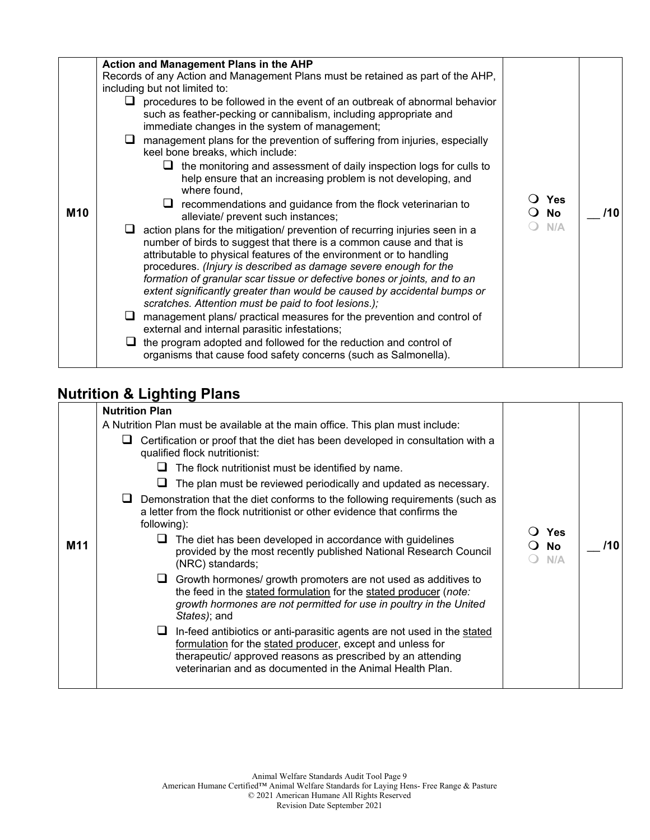| <b>M10</b> | Action and Management Plans in the AHP<br>Records of any Action and Management Plans must be retained as part of the AHP,<br>including but not limited to:<br>$\Box$ procedures to be followed in the event of an outbreak of abnormal behavior<br>such as feather-pecking or cannibalism, including appropriate and<br>immediate changes in the system of management;<br>management plans for the prevention of suffering from injuries, especially<br>⊔<br>keel bone breaks, which include:<br>the monitoring and assessment of daily inspection logs for culls to<br>u<br>help ensure that an increasing problem is not developing, and<br>where found,<br>$\Box$ recommendations and guidance from the flock veterinarian to<br>alleviate/ prevent such instances;<br>$\Box$ action plans for the mitigation/ prevention of recurring injuries seen in a<br>number of birds to suggest that there is a common cause and that is<br>attributable to physical features of the environment or to handling<br>procedures. (Injury is described as damage severe enough for the<br>formation of granular scar tissue or defective bones or joints, and to an<br>extent significantly greater than would be caused by accidental bumps or<br>scratches. Attention must be paid to foot lesions.);<br>management plans/ practical measures for the prevention and control of<br>ப<br>external and internal parasitic infestations;<br>the program adopted and followed for the reduction and control of<br>organisms that cause food safety concerns (such as Salmonella). | <b>Yes</b><br>No<br>N/A | /10 |
|------------|-------------------------------------------------------------------------------------------------------------------------------------------------------------------------------------------------------------------------------------------------------------------------------------------------------------------------------------------------------------------------------------------------------------------------------------------------------------------------------------------------------------------------------------------------------------------------------------------------------------------------------------------------------------------------------------------------------------------------------------------------------------------------------------------------------------------------------------------------------------------------------------------------------------------------------------------------------------------------------------------------------------------------------------------------------------------------------------------------------------------------------------------------------------------------------------------------------------------------------------------------------------------------------------------------------------------------------------------------------------------------------------------------------------------------------------------------------------------------------------------------------------------------------------------------------------------------|-------------------------|-----|
|------------|-------------------------------------------------------------------------------------------------------------------------------------------------------------------------------------------------------------------------------------------------------------------------------------------------------------------------------------------------------------------------------------------------------------------------------------------------------------------------------------------------------------------------------------------------------------------------------------------------------------------------------------------------------------------------------------------------------------------------------------------------------------------------------------------------------------------------------------------------------------------------------------------------------------------------------------------------------------------------------------------------------------------------------------------------------------------------------------------------------------------------------------------------------------------------------------------------------------------------------------------------------------------------------------------------------------------------------------------------------------------------------------------------------------------------------------------------------------------------------------------------------------------------------------------------------------------------|-------------------------|-----|

## **Nutrition & Lighting Plans**

|     | <b>Nutrition Plan</b>                                                                                                                                                                                                                                                  |                                                  |     |
|-----|------------------------------------------------------------------------------------------------------------------------------------------------------------------------------------------------------------------------------------------------------------------------|--------------------------------------------------|-----|
|     | A Nutrition Plan must be available at the main office. This plan must include:                                                                                                                                                                                         |                                                  |     |
|     | Certification or proof that the diet has been developed in consultation with a<br>⊔<br>qualified flock nutritionist:                                                                                                                                                   |                                                  |     |
|     | The flock nutritionist must be identified by name.<br>ш                                                                                                                                                                                                                |                                                  |     |
|     | The plan must be reviewed periodically and updated as necessary.<br>⊔                                                                                                                                                                                                  |                                                  |     |
|     | Demonstration that the diet conforms to the following requirements (such as<br>a letter from the flock nutritionist or other evidence that confirms the<br>following):                                                                                                 |                                                  |     |
| M11 | The diet has been developed in accordance with guidelines<br>⊔<br>provided by the most recently published National Research Council<br>(NRC) standards;                                                                                                                | <b>Yes</b><br><b>No</b><br>$\blacksquare$<br>N/A | /10 |
|     | $\Box$ Growth hormones/ growth promoters are not used as additives to<br>the feed in the stated formulation for the stated producer (note:<br>growth hormones are not permitted for use in poultry in the United<br>States); and                                       |                                                  |     |
|     | In-feed antibiotics or anti-parasitic agents are not used in the stated<br>⊔<br>formulation for the stated producer, except and unless for<br>therapeutic/ approved reasons as prescribed by an attending<br>veterinarian and as documented in the Animal Health Plan. |                                                  |     |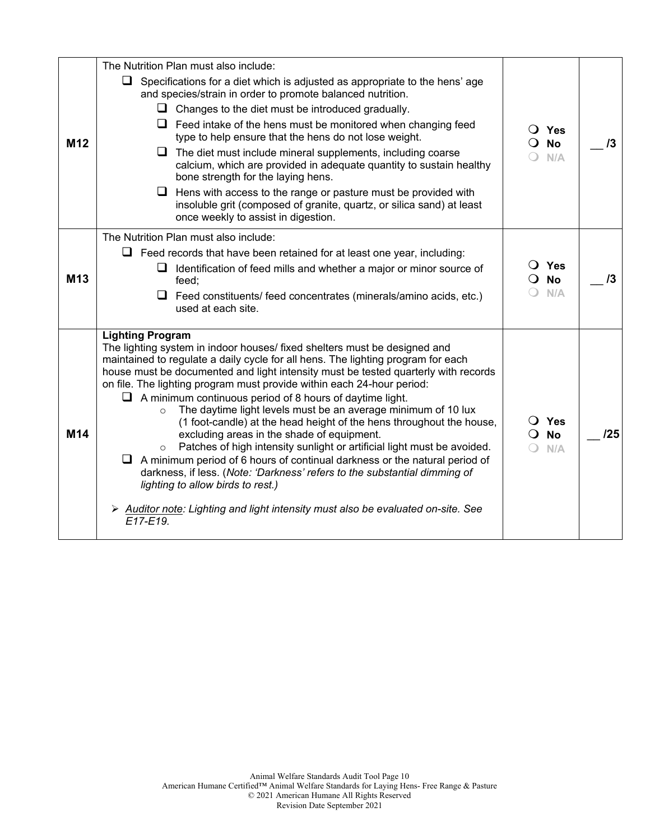| M <sub>12</sub> | The Nutrition Plan must also include:<br>$\Box$ Specifications for a diet which is adjusted as appropriate to the hens' age<br>and species/strain in order to promote balanced nutrition.<br>$\Box$ Changes to the diet must be introduced gradually.<br>$\Box$ Feed intake of the hens must be monitored when changing feed<br>type to help ensure that the hens do not lose weight.<br>$\Box$ The diet must include mineral supplements, including coarse<br>calcium, which are provided in adequate quantity to sustain healthy<br>bone strength for the laying hens.<br>Hens with access to the range or pasture must be provided with<br>u.<br>insoluble grit (composed of granite, quartz, or silica sand) at least<br>once weekly to assist in digestion.                                                                                                                                                                                                                                                         | $\overline{O}$ Yes<br>$\overline{O}$ No<br>N/A | 13  |
|-----------------|--------------------------------------------------------------------------------------------------------------------------------------------------------------------------------------------------------------------------------------------------------------------------------------------------------------------------------------------------------------------------------------------------------------------------------------------------------------------------------------------------------------------------------------------------------------------------------------------------------------------------------------------------------------------------------------------------------------------------------------------------------------------------------------------------------------------------------------------------------------------------------------------------------------------------------------------------------------------------------------------------------------------------|------------------------------------------------|-----|
| M <sub>13</sub> | The Nutrition Plan must also include:<br>$\Box$ Feed records that have been retained for at least one year, including:<br>$\Box$ Identification of feed mills and whether a major or minor source of<br>feed;<br>$\Box$ Feed constituents/ feed concentrates (minerals/amino acids, etc.)<br>used at each site.                                                                                                                                                                                                                                                                                                                                                                                                                                                                                                                                                                                                                                                                                                          | $\bigcirc$ Yes<br>$\overline{O}$ No<br>N/A     | 13  |
| M14             | <b>Lighting Program</b><br>The lighting system in indoor houses/ fixed shelters must be designed and<br>maintained to regulate a daily cycle for all hens. The lighting program for each<br>house must be documented and light intensity must be tested quarterly with records<br>on file. The lighting program must provide within each 24-hour period:<br>$\Box$ A minimum continuous period of 8 hours of daytime light.<br>The daytime light levels must be an average minimum of 10 lux<br>$\circ$<br>(1 foot-candle) at the head height of the hens throughout the house,<br>excluding areas in the shade of equipment.<br>Patches of high intensity sunlight or artificial light must be avoided.<br>$\circ$<br>$\Box$ A minimum period of 6 hours of continual darkness or the natural period of<br>darkness, if less. (Note: 'Darkness' refers to the substantial dimming of<br>lighting to allow birds to rest.)<br>Auditor note: Lighting and light intensity must also be evaluated on-site. See<br>E17-E19. | $\overline{O}$ Yes<br>$\Omega$ No<br>N/A       | /25 |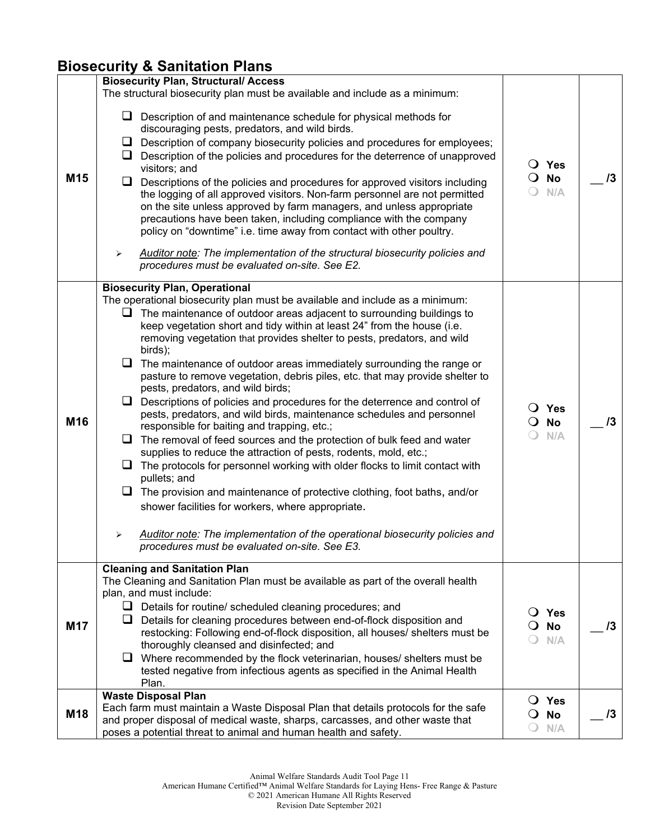## **Biosecurity & Sanitation Plans**

|                 | <b>Biosecurity Plan, Structural/ Access</b>                                                                                                                                                                                                                                                                                                                                                                                                                                                                                                                                                                                                                                                                                                                                                                                                                                                                                                                                                                                                                                                                                                                                                                                                                                                                                    |                                                                            |            |
|-----------------|--------------------------------------------------------------------------------------------------------------------------------------------------------------------------------------------------------------------------------------------------------------------------------------------------------------------------------------------------------------------------------------------------------------------------------------------------------------------------------------------------------------------------------------------------------------------------------------------------------------------------------------------------------------------------------------------------------------------------------------------------------------------------------------------------------------------------------------------------------------------------------------------------------------------------------------------------------------------------------------------------------------------------------------------------------------------------------------------------------------------------------------------------------------------------------------------------------------------------------------------------------------------------------------------------------------------------------|----------------------------------------------------------------------------|------------|
| M <sub>15</sub> | The structural biosecurity plan must be available and include as a minimum:<br>$\Box$ Description of and maintenance schedule for physical methods for<br>discouraging pests, predators, and wild birds.<br>$\Box$ Description of company biosecurity policies and procedures for employees;<br>$\Box$ Description of the policies and procedures for the deterrence of unapproved<br>visitors; and<br>Descriptions of the policies and procedures for approved visitors including<br>u.<br>the logging of all approved visitors. Non-farm personnel are not permitted<br>on the site unless approved by farm managers, and unless appropriate<br>precautions have been taken, including compliance with the company<br>policy on "downtime" i.e. time away from contact with other poultry.<br>Auditor note: The implementation of the structural biosecurity policies and<br>➤<br>procedures must be evaluated on-site. See E2.                                                                                                                                                                                                                                                                                                                                                                                              | $\overline{O}$ Yes<br>$\overline{O}$ No<br>N/A<br>$\overline{\phantom{0}}$ | $\sqrt{3}$ |
| M16             | <b>Biosecurity Plan, Operational</b><br>The operational biosecurity plan must be available and include as a minimum:<br>$\Box$ The maintenance of outdoor areas adjacent to surrounding buildings to<br>keep vegetation short and tidy within at least 24" from the house (i.e.<br>removing vegetation that provides shelter to pests, predators, and wild<br>birds);<br>$\Box$ The maintenance of outdoor areas immediately surrounding the range or<br>pasture to remove vegetation, debris piles, etc. that may provide shelter to<br>pests, predators, and wild birds;<br>$\Box$ Descriptions of policies and procedures for the deterrence and control of<br>pests, predators, and wild birds, maintenance schedules and personnel<br>responsible for baiting and trapping, etc.;<br>$\Box$ The removal of feed sources and the protection of bulk feed and water<br>supplies to reduce the attraction of pests, rodents, mold, etc.;<br>$\Box$ The protocols for personnel working with older flocks to limit contact with<br>pullets; and<br>$\Box$ The provision and maintenance of protective clothing, foot baths, and/or<br>shower facilities for workers, where appropriate.<br>Auditor note: The implementation of the operational biosecurity policies and<br>➤<br>procedures must be evaluated on-site. See E3. | $\bigcirc$ Yes<br>$\overline{O}$ No<br>N/A                                 | $\sqrt{3}$ |
| <b>M17</b>      | <b>Cleaning and Sanitation Plan</b><br>The Cleaning and Sanitation Plan must be available as part of the overall health<br>plan, and must include:<br>$\Box$ Details for routine/ scheduled cleaning procedures; and<br>$\Box$ Details for cleaning procedures between end-of-flock disposition and<br>restocking: Following end-of-flock disposition, all houses/ shelters must be<br>thoroughly cleansed and disinfected; and<br>$\Box$ Where recommended by the flock veterinarian, houses/ shelters must be<br>tested negative from infectious agents as specified in the Animal Health<br>Plan.                                                                                                                                                                                                                                                                                                                                                                                                                                                                                                                                                                                                                                                                                                                           | $\bigcirc$ Yes<br><b>No</b><br>$\mathbf{O}$<br>N/A                         | 13         |
| M18             | <b>Waste Disposal Plan</b><br>Each farm must maintain a Waste Disposal Plan that details protocols for the safe<br>and proper disposal of medical waste, sharps, carcasses, and other waste that<br>poses a potential threat to animal and human health and safety.                                                                                                                                                                                                                                                                                                                                                                                                                                                                                                                                                                                                                                                                                                                                                                                                                                                                                                                                                                                                                                                            | $\bigcirc$ Yes<br><b>No</b><br>$\mathbf{O}$<br>N/A                         | $\sqrt{3}$ |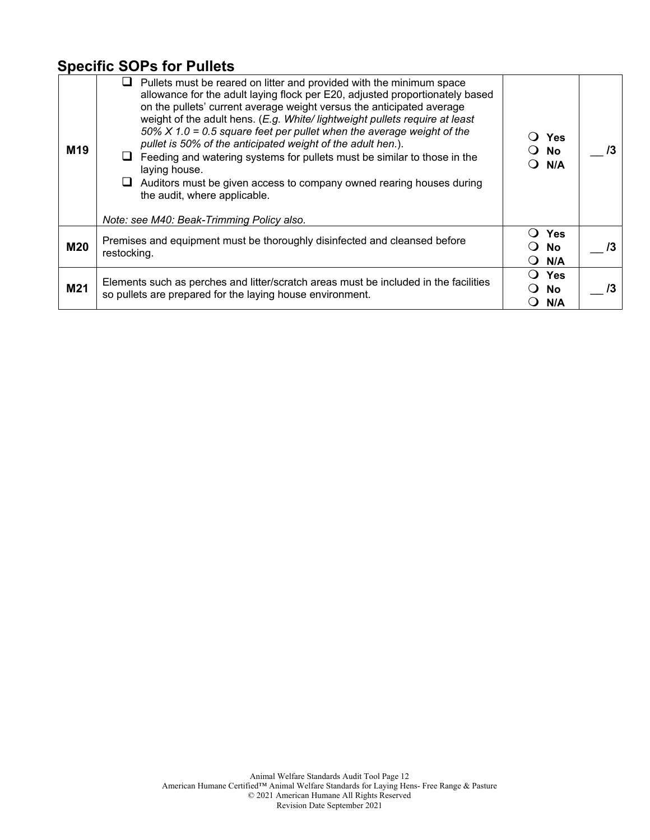### **Specific SOPs for Pullets**

| M <sub>19</sub> | Pullets must be reared on litter and provided with the minimum space<br>allowance for the adult laying flock per E20, adjusted proportionately based<br>on the pullets' current average weight versus the anticipated average<br>weight of the adult hens. (E.g. White/ lightweight pullets require at least<br>50% $X$ 1.0 = 0.5 square feet per pullet when the average weight of the<br>pullet is 50% of the anticipated weight of the adult hen.).<br>Feeding and watering systems for pullets must be similar to those in the<br>laying house.<br>Auditors must be given access to company owned rearing houses during<br>the audit, where applicable.<br>Note: see M40: Beak-Trimming Policy also. | Yes<br>○ No<br>N/A<br>0                                           | /3 |
|-----------------|----------------------------------------------------------------------------------------------------------------------------------------------------------------------------------------------------------------------------------------------------------------------------------------------------------------------------------------------------------------------------------------------------------------------------------------------------------------------------------------------------------------------------------------------------------------------------------------------------------------------------------------------------------------------------------------------------------|-------------------------------------------------------------------|----|
| <b>M20</b>      | Premises and equipment must be thoroughly disinfected and cleansed before<br>restocking.                                                                                                                                                                                                                                                                                                                                                                                                                                                                                                                                                                                                                 | <b>Yes</b><br>No<br>$\blacksquare$<br>N/A<br>$\ddot{\phantom{0}}$ | 13 |
| M21             | Elements such as perches and litter/scratch areas must be included in the facilities<br>so pullets are prepared for the laying house environment.                                                                                                                                                                                                                                                                                                                                                                                                                                                                                                                                                        | <b>Yes</b><br><b>No</b><br>N/A                                    | /3 |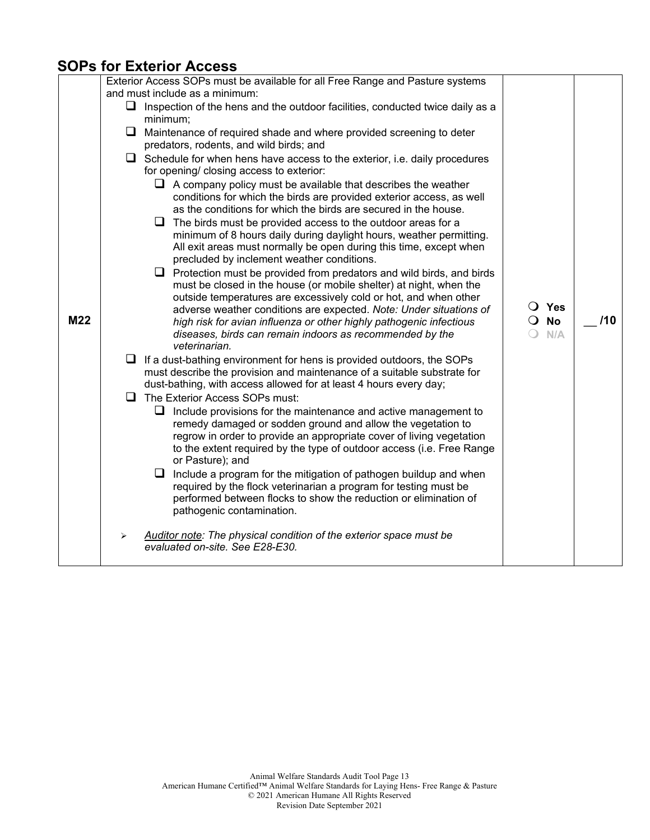### **SOPs for Exterior Access**

| M22 | Exterior Access SOPs must be available for all Free Range and Pasture systems<br>and must include as a minimum:<br>$\Box$ Inspection of the hens and the outdoor facilities, conducted twice daily as a<br>minimum;<br>$\Box$ Maintenance of required shade and where provided screening to deter<br>predators, rodents, and wild birds; and<br>$\Box$ Schedule for when hens have access to the exterior, i.e. daily procedures<br>for opening/ closing access to exterior:<br>$\Box$ A company policy must be available that describes the weather<br>conditions for which the birds are provided exterior access, as well<br>as the conditions for which the birds are secured in the house.<br>$\Box$ The birds must be provided access to the outdoor areas for a<br>minimum of 8 hours daily during daylight hours, weather permitting.<br>All exit areas must normally be open during this time, except when<br>precluded by inclement weather conditions.<br>$\Box$ Protection must be provided from predators and wild birds, and birds<br>must be closed in the house (or mobile shelter) at night, when the<br>outside temperatures are excessively cold or hot, and when other<br>adverse weather conditions are expected. Note: Under situations of<br>high risk for avian influenza or other highly pathogenic infectious<br>diseases, birds can remain indoors as recommended by the<br>veterinarian.<br>Q.<br>If a dust-bathing environment for hens is provided outdoors, the SOPs<br>must describe the provision and maintenance of a suitable substrate for<br>dust-bathing, with access allowed for at least 4 hours every day;<br>The Exterior Access SOPs must:<br>ப<br>Q.<br>Include provisions for the maintenance and active management to<br>remedy damaged or sodden ground and allow the vegetation to<br>regrow in order to provide an appropriate cover of living vegetation<br>to the extent required by the type of outdoor access (i.e. Free Range<br>or Pasture); and<br>$\Box$ Include a program for the mitigation of pathogen buildup and when | O Yes<br>O No<br>N/A | /10 |
|-----|-------------------------------------------------------------------------------------------------------------------------------------------------------------------------------------------------------------------------------------------------------------------------------------------------------------------------------------------------------------------------------------------------------------------------------------------------------------------------------------------------------------------------------------------------------------------------------------------------------------------------------------------------------------------------------------------------------------------------------------------------------------------------------------------------------------------------------------------------------------------------------------------------------------------------------------------------------------------------------------------------------------------------------------------------------------------------------------------------------------------------------------------------------------------------------------------------------------------------------------------------------------------------------------------------------------------------------------------------------------------------------------------------------------------------------------------------------------------------------------------------------------------------------------------------------------------------------------------------------------------------------------------------------------------------------------------------------------------------------------------------------------------------------------------------------------------------------------------------------------------------------------------------------------------------------------------------------------------------------------------------------------------------------------------------------------------------------------|----------------------|-----|
|     | required by the flock veterinarian a program for testing must be                                                                                                                                                                                                                                                                                                                                                                                                                                                                                                                                                                                                                                                                                                                                                                                                                                                                                                                                                                                                                                                                                                                                                                                                                                                                                                                                                                                                                                                                                                                                                                                                                                                                                                                                                                                                                                                                                                                                                                                                                    |                      |     |
|     | performed between flocks to show the reduction or elimination of<br>pathogenic contamination.<br>Auditor note: The physical condition of the exterior space must be<br>≻<br>evaluated on-site. See E28-E30.                                                                                                                                                                                                                                                                                                                                                                                                                                                                                                                                                                                                                                                                                                                                                                                                                                                                                                                                                                                                                                                                                                                                                                                                                                                                                                                                                                                                                                                                                                                                                                                                                                                                                                                                                                                                                                                                         |                      |     |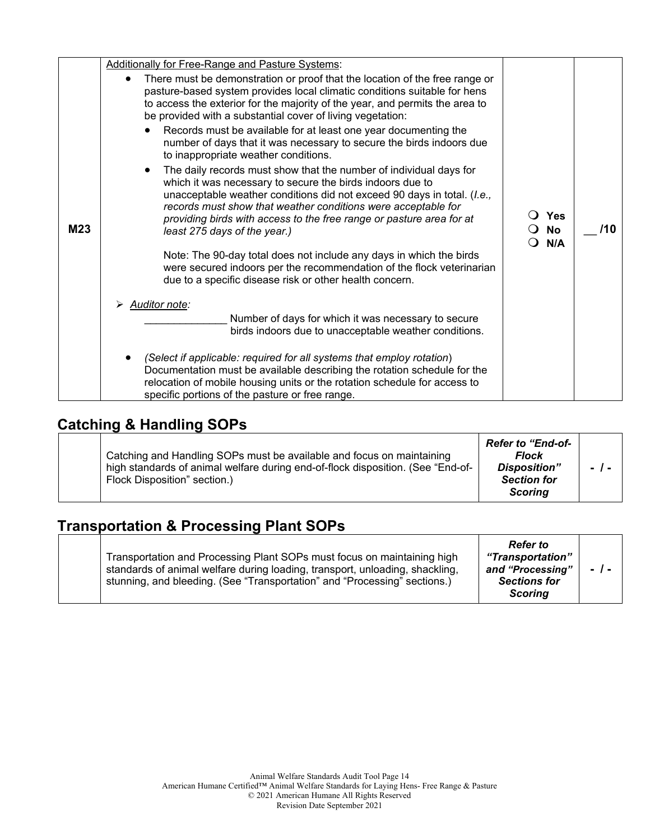|     | <b>Additionally for Free-Range and Pasture Systems:</b>                                                                                                                                                                                                                                                                                                                                                                                                    |                                          |     |
|-----|------------------------------------------------------------------------------------------------------------------------------------------------------------------------------------------------------------------------------------------------------------------------------------------------------------------------------------------------------------------------------------------------------------------------------------------------------------|------------------------------------------|-----|
|     | There must be demonstration or proof that the location of the free range or<br>pasture-based system provides local climatic conditions suitable for hens<br>to access the exterior for the majority of the year, and permits the area to<br>be provided with a substantial cover of living vegetation:                                                                                                                                                     |                                          |     |
|     | Records must be available for at least one year documenting the<br>number of days that it was necessary to secure the birds indoors due<br>to inappropriate weather conditions.                                                                                                                                                                                                                                                                            |                                          |     |
| M23 | The daily records must show that the number of individual days for<br>which it was necessary to secure the birds indoors due to<br>unacceptable weather conditions did not exceed 90 days in total. (I.e.,<br>records must show that weather conditions were acceptable for<br>providing birds with access to the free range or pasture area for at<br>least 275 days of the year.)<br>Note: The 90-day total does not include any days in which the birds | <b>Yes</b><br><b>No</b><br>0<br>N/A<br>ി | /10 |
|     | were secured indoors per the recommendation of the flock veterinarian<br>due to a specific disease risk or other health concern.                                                                                                                                                                                                                                                                                                                           |                                          |     |
|     | <b>Auditor note:</b>                                                                                                                                                                                                                                                                                                                                                                                                                                       |                                          |     |
|     | Number of days for which it was necessary to secure<br>birds indoors due to unacceptable weather conditions.                                                                                                                                                                                                                                                                                                                                               |                                          |     |
|     | (Select if applicable: required for all systems that employ rotation)<br>Documentation must be available describing the rotation schedule for the<br>relocation of mobile housing units or the rotation schedule for access to<br>specific portions of the pasture or free range.                                                                                                                                                                          |                                          |     |

## **Catching & Handling SOPs**

| Catching and Handling SOPs must be available and focus on maintaining<br>high standards of animal welfare during end-of-flock disposition. (See "End-of-<br>Flock Disposition" section.) | <b>Refer to "End-of-</b><br><b>Flock</b><br><b>Disposition"</b><br><b>Section for</b><br>Scoring |  |
|------------------------------------------------------------------------------------------------------------------------------------------------------------------------------------------|--------------------------------------------------------------------------------------------------|--|
|------------------------------------------------------------------------------------------------------------------------------------------------------------------------------------------|--------------------------------------------------------------------------------------------------|--|

## **Transportation & Processing Plant SOPs**

|  | Transportation and Processing Plant SOPs must focus on maintaining high<br>standards of animal welfare during loading, transport, unloading, shackling,<br>stunning, and bleeding. (See "Transportation" and "Processing" sections.) | <b>Refer</b> to<br>"Transportation"<br>and "Processing"<br><b>Sections for</b><br><b>Scoring</b> | $-1-$ |  |
|--|--------------------------------------------------------------------------------------------------------------------------------------------------------------------------------------------------------------------------------------|--------------------------------------------------------------------------------------------------|-------|--|
|--|--------------------------------------------------------------------------------------------------------------------------------------------------------------------------------------------------------------------------------------|--------------------------------------------------------------------------------------------------|-------|--|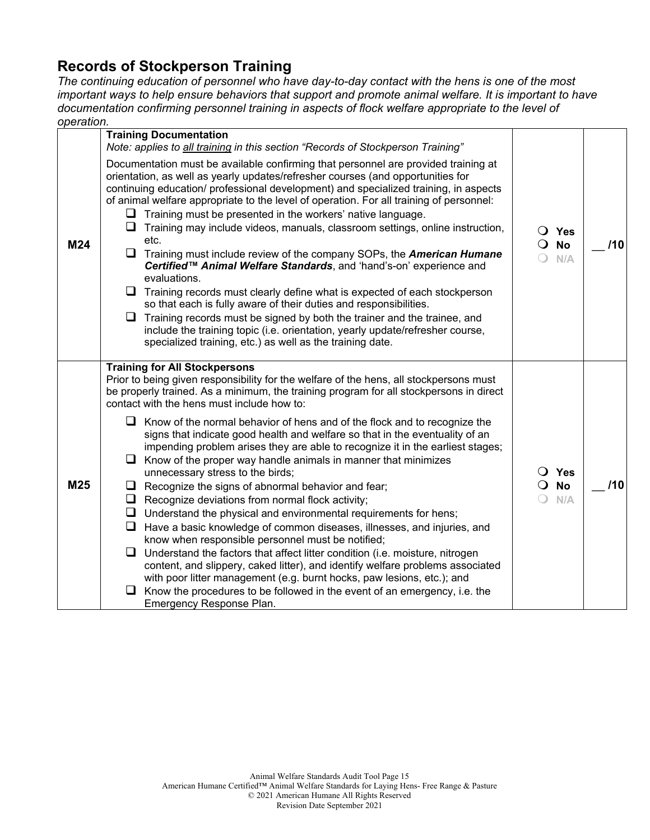### **Records of Stockperson Training**

*The continuing education of personnel who have day-to-day contact with the hens is one of the most important ways to help ensure behaviors that support and promote animal welfare. It is important to have documentation confirming personnel training in aspects of flock welfare appropriate to the level of operation.*

| ,,,,,,,,, |                                                                                                                                                                                                                                                                                                                                                                                                                                                                                                                                                                                                                                                                                                                                                                                                                                                                                                                                                                                                                                                                                                                                                                                                                                                                                                                                                        |                                                    |     |
|-----------|--------------------------------------------------------------------------------------------------------------------------------------------------------------------------------------------------------------------------------------------------------------------------------------------------------------------------------------------------------------------------------------------------------------------------------------------------------------------------------------------------------------------------------------------------------------------------------------------------------------------------------------------------------------------------------------------------------------------------------------------------------------------------------------------------------------------------------------------------------------------------------------------------------------------------------------------------------------------------------------------------------------------------------------------------------------------------------------------------------------------------------------------------------------------------------------------------------------------------------------------------------------------------------------------------------------------------------------------------------|----------------------------------------------------|-----|
|           | <b>Training Documentation</b><br>Note: applies to all training in this section "Records of Stockperson Training"                                                                                                                                                                                                                                                                                                                                                                                                                                                                                                                                                                                                                                                                                                                                                                                                                                                                                                                                                                                                                                                                                                                                                                                                                                       |                                                    |     |
| M24       | Documentation must be available confirming that personnel are provided training at<br>orientation, as well as yearly updates/refresher courses (and opportunities for<br>continuing education/ professional development) and specialized training, in aspects<br>of animal welfare appropriate to the level of operation. For all training of personnel:<br>$\Box$ Training must be presented in the workers' native language.<br>$\Box$ Training may include videos, manuals, classroom settings, online instruction,<br>etc.<br>$\Box$ Training must include review of the company SOPs, the <b>American Humane</b><br>Certified™ Animal Welfare Standards, and 'hand's-on' experience and<br>evaluations.<br>$\Box$ Training records must clearly define what is expected of each stockperson<br>so that each is fully aware of their duties and responsibilities.<br>Q<br>Training records must be signed by both the trainer and the trainee, and<br>include the training topic (i.e. orientation, yearly update/refresher course,<br>specialized training, etc.) as well as the training date.                                                                                                                                                                                                                                                   | O Yes<br><b>No</b><br>$\Omega$<br>N/A              | 110 |
| M25       | <b>Training for All Stockpersons</b><br>Prior to being given responsibility for the welfare of the hens, all stockpersons must<br>be properly trained. As a minimum, the training program for all stockpersons in direct<br>contact with the hens must include how to:<br>$\Box$ Know of the normal behavior of hens and of the flock and to recognize the<br>signs that indicate good health and welfare so that in the eventuality of an<br>impending problem arises they are able to recognize it in the earliest stages;<br>$\Box$ Know of the proper way handle animals in manner that minimizes<br>unnecessary stress to the birds;<br>$\Box$ Recognize the signs of abnormal behavior and fear;<br>$\Box$ Recognize deviations from normal flock activity;<br>$\Box$ Understand the physical and environmental requirements for hens;<br>$\Box$ Have a basic knowledge of common diseases, illnesses, and injuries, and<br>know when responsible personnel must be notified;<br>$\Box$ Understand the factors that affect litter condition (i.e. moisture, nitrogen<br>content, and slippery, caked litter), and identify welfare problems associated<br>with poor litter management (e.g. burnt hocks, paw lesions, etc.); and<br>$\Box$ Know the procedures to be followed in the event of an emergency, i.e. the<br>Emergency Response Plan. | $\overline{O}$ Yes<br><b>No</b><br>$\Omega$<br>N/A | /10 |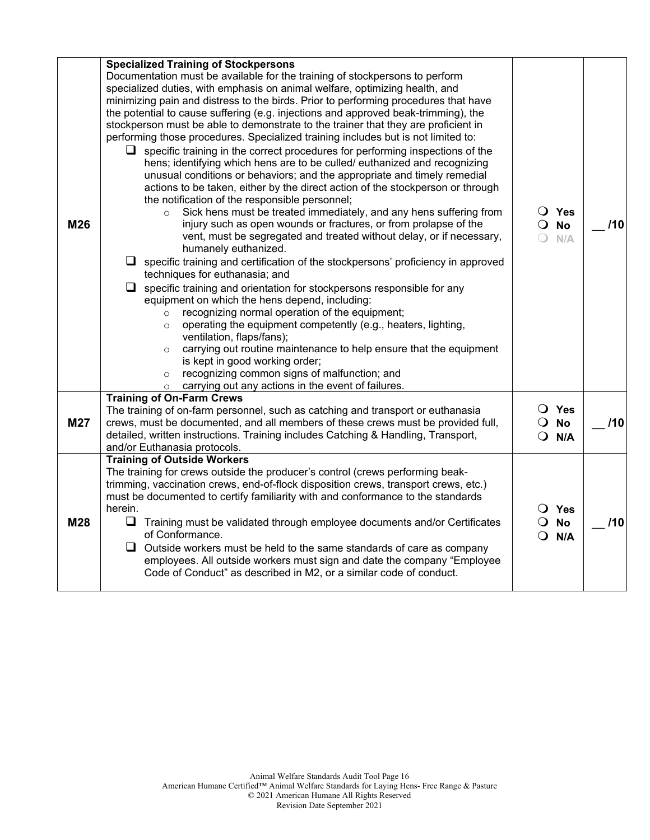|     | <b>Specialized Training of Stockpersons</b>                                                                                                                              |                            |     |
|-----|--------------------------------------------------------------------------------------------------------------------------------------------------------------------------|----------------------------|-----|
|     | Documentation must be available for the training of stockpersons to perform                                                                                              |                            |     |
|     | specialized duties, with emphasis on animal welfare, optimizing health, and                                                                                              |                            |     |
|     | minimizing pain and distress to the birds. Prior to performing procedures that have                                                                                      |                            |     |
|     | the potential to cause suffering (e.g. injections and approved beak-trimming), the<br>stockperson must be able to demonstrate to the trainer that they are proficient in |                            |     |
|     | performing those procedures. Specialized training includes but is not limited to:                                                                                        |                            |     |
|     | specific training in the correct procedures for performing inspections of the                                                                                            |                            |     |
|     | hens; identifying which hens are to be culled/ euthanized and recognizing                                                                                                |                            |     |
|     | unusual conditions or behaviors; and the appropriate and timely remedial                                                                                                 |                            |     |
|     | actions to be taken, either by the direct action of the stockperson or through                                                                                           |                            |     |
|     | the notification of the responsible personnel;                                                                                                                           |                            |     |
|     | Sick hens must be treated immediately, and any hens suffering from<br>$\circ$                                                                                            | $\bigcirc$ Yes             |     |
| M26 | injury such as open wounds or fractures, or from prolapse of the                                                                                                         | $\overline{O}$ No          | 110 |
|     | vent, must be segregated and treated without delay, or if necessary,<br>humanely euthanized.                                                                             | ∩<br>N/A                   |     |
|     | $\Box$ specific training and certification of the stockpersons' proficiency in approved                                                                                  |                            |     |
|     | techniques for euthanasia; and                                                                                                                                           |                            |     |
|     | $\Box$ specific training and orientation for stockpersons responsible for any                                                                                            |                            |     |
|     | equipment on which the hens depend, including:                                                                                                                           |                            |     |
|     | recognizing normal operation of the equipment;<br>$\circ$                                                                                                                |                            |     |
|     | operating the equipment competently (e.g., heaters, lighting,<br>$\circ$<br>ventilation, flaps/fans);                                                                    |                            |     |
|     | carrying out routine maintenance to help ensure that the equipment<br>$\circ$                                                                                            |                            |     |
|     | is kept in good working order;                                                                                                                                           |                            |     |
|     | recognizing common signs of malfunction; and<br>$\circ$                                                                                                                  |                            |     |
|     | carrying out any actions in the event of failures.<br>$\circ$                                                                                                            |                            |     |
|     | <b>Training of On-Farm Crews</b>                                                                                                                                         | O Yes                      |     |
| M27 | The training of on-farm personnel, such as catching and transport or euthanasia<br>crews, must be documented, and all members of these crews must be provided full,      | $\overline{O}$ No          | 110 |
|     | detailed, written instructions. Training includes Catching & Handling, Transport,                                                                                        | $Q$ N/A                    |     |
|     | and/or Euthanasia protocols.                                                                                                                                             |                            |     |
|     | <b>Training of Outside Workers</b>                                                                                                                                       |                            |     |
|     | The training for crews outside the producer's control (crews performing beak-                                                                                            |                            |     |
|     | trimming, vaccination crews, end-of-flock disposition crews, transport crews, etc.)                                                                                      |                            |     |
|     | must be documented to certify familiarity with and conformance to the standards<br>herein.                                                                               |                            |     |
| M28 | $\Box$ Training must be validated through employee documents and/or Certificates                                                                                         | O Yes<br>$\overline{O}$ No | 110 |
|     | of Conformance.                                                                                                                                                          | $\Omega$<br>N/A            |     |
|     | $\Box$ Outside workers must be held to the same standards of care as company                                                                                             |                            |     |
|     | employees. All outside workers must sign and date the company "Employee                                                                                                  |                            |     |
|     | Code of Conduct" as described in M2, or a similar code of conduct.                                                                                                       |                            |     |
|     |                                                                                                                                                                          |                            |     |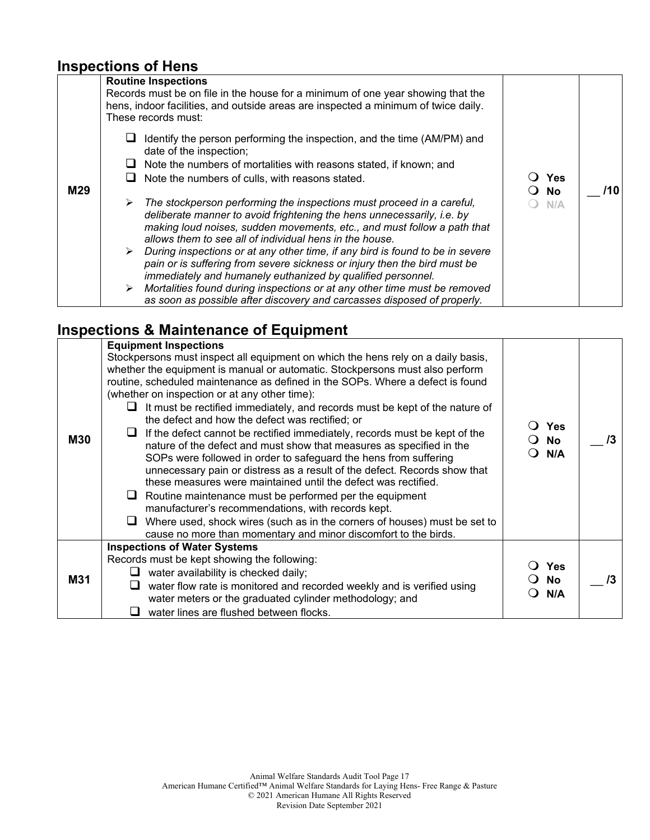## **Inspections of Hens**

| M29 | <b>Routine Inspections</b><br>Records must be on file in the house for a minimum of one year showing that the<br>hens, indoor facilities, and outside areas are inspected a minimum of twice daily.<br>These records must:                                                                                                                                                  |                         |     |
|-----|-----------------------------------------------------------------------------------------------------------------------------------------------------------------------------------------------------------------------------------------------------------------------------------------------------------------------------------------------------------------------------|-------------------------|-----|
|     | Identify the person performing the inspection, and the time (AM/PM) and<br>date of the inspection;<br>Note the numbers of mortalities with reasons stated, if known; and<br>Note the numbers of culls, with reasons stated.                                                                                                                                                 | <b>Yes</b><br><b>No</b> | /10 |
|     | The stockperson performing the inspections must proceed in a careful,<br>≻<br>deliberate manner to avoid frightening the hens unnecessarily, i.e. by<br>making loud noises, sudden movements, etc., and must follow a path that<br>allows them to see all of individual hens in the house.<br>During inspections or at any other time, if any bird is found to be in severe | N/A                     |     |
|     | pain or is suffering from severe sickness or injury then the bird must be<br>immediately and humanely euthanized by qualified personnel.<br>Mortalities found during inspections or at any other time must be removed<br>as soon as possible after discovery and carcasses disposed of properly.                                                                            |                         |     |

## **Inspections & Maintenance of Equipment**

|            | <b>Equipment Inspections</b>                                                                                                                                                                                                                                                                                                                                                                                                                                                                                                                                                                                                                                                                                                                                                                                                                                                                                                                                                                                                                                                              |                         |  |
|------------|-------------------------------------------------------------------------------------------------------------------------------------------------------------------------------------------------------------------------------------------------------------------------------------------------------------------------------------------------------------------------------------------------------------------------------------------------------------------------------------------------------------------------------------------------------------------------------------------------------------------------------------------------------------------------------------------------------------------------------------------------------------------------------------------------------------------------------------------------------------------------------------------------------------------------------------------------------------------------------------------------------------------------------------------------------------------------------------------|-------------------------|--|
| <b>M30</b> | Stockpersons must inspect all equipment on which the hens rely on a daily basis,<br>whether the equipment is manual or automatic. Stockpersons must also perform<br>routine, scheduled maintenance as defined in the SOPs. Where a defect is found<br>(whether on inspection or at any other time):<br>It must be rectified immediately, and records must be kept of the nature of<br>the defect and how the defect was rectified; or<br>If the defect cannot be rectified immediately, records must be kept of the<br>nature of the defect and must show that measures as specified in the<br>SOPs were followed in order to safeguard the hens from suffering<br>unnecessary pain or distress as a result of the defect. Records show that<br>these measures were maintained until the defect was rectified.<br>Routine maintenance must be performed per the equipment<br>┕<br>manufacturer's recommendations, with records kept.<br>Where used, shock wires (such as in the corners of houses) must be set to<br>ப<br>cause no more than momentary and minor discomfort to the birds. | <b>Yes</b><br>No<br>N/A |  |
|            | <b>Inspections of Water Systems</b><br>Records must be kept showing the following:                                                                                                                                                                                                                                                                                                                                                                                                                                                                                                                                                                                                                                                                                                                                                                                                                                                                                                                                                                                                        |                         |  |
| <b>M31</b> | water availability is checked daily;                                                                                                                                                                                                                                                                                                                                                                                                                                                                                                                                                                                                                                                                                                                                                                                                                                                                                                                                                                                                                                                      | <b>Yes</b><br><b>No</b> |  |
|            | water flow rate is monitored and recorded weekly and is verified using<br>water meters or the graduated cylinder methodology; and                                                                                                                                                                                                                                                                                                                                                                                                                                                                                                                                                                                                                                                                                                                                                                                                                                                                                                                                                         | N/A                     |  |
|            | water lines are flushed between flocks.                                                                                                                                                                                                                                                                                                                                                                                                                                                                                                                                                                                                                                                                                                                                                                                                                                                                                                                                                                                                                                                   |                         |  |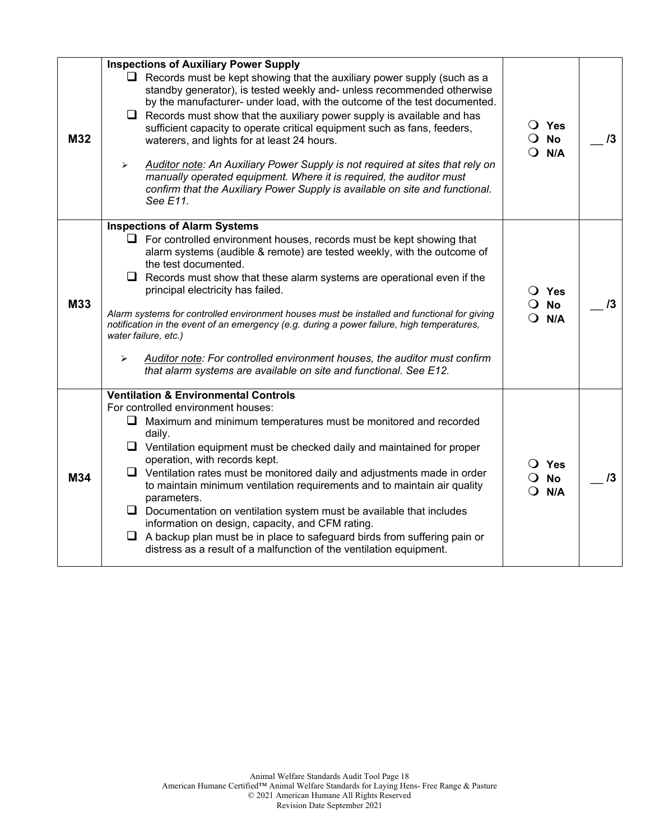|     | <b>Inspections of Auxiliary Power Supply</b>                                                                                                                                                                                                                                                                                                                                                                                                                                                                                                                                                                                                                                                               |                                                            |    |
|-----|------------------------------------------------------------------------------------------------------------------------------------------------------------------------------------------------------------------------------------------------------------------------------------------------------------------------------------------------------------------------------------------------------------------------------------------------------------------------------------------------------------------------------------------------------------------------------------------------------------------------------------------------------------------------------------------------------------|------------------------------------------------------------|----|
| M32 | $\Box$ Records must be kept showing that the auxiliary power supply (such as a<br>standby generator), is tested weekly and- unless recommended otherwise<br>by the manufacturer- under load, with the outcome of the test documented.<br>$\Box$ Records must show that the auxiliary power supply is available and has<br>sufficient capacity to operate critical equipment such as fans, feeders,<br>waterers, and lights for at least 24 hours.<br>Auditor note: An Auxiliary Power Supply is not required at sites that rely on<br>➤<br>manually operated equipment. Where it is required, the auditor must<br>confirm that the Auxiliary Power Supply is available on site and functional.<br>See E11. | $\bigcirc$ Yes<br>$\overline{O}$ No<br>$Q$ N/A             | 13 |
|     | <b>Inspections of Alarm Systems</b>                                                                                                                                                                                                                                                                                                                                                                                                                                                                                                                                                                                                                                                                        |                                                            |    |
| M33 | $\Box$ For controlled environment houses, records must be kept showing that<br>alarm systems (audible & remote) are tested weekly, with the outcome of<br>the test documented.<br>$\Box$ Records must show that these alarm systems are operational even if the<br>principal electricity has failed.<br>Alarm systems for controlled environment houses must be installed and functional for giving<br>notification in the event of an emergency (e.g. during a power failure, high temperatures,<br>water failure, etc.)<br>Auditor note: For controlled environment houses, the auditor must confirm<br>➤<br>that alarm systems are available on site and functional. See E12.                           | $\overline{O}$ Yes<br>$\overline{O}$ No<br>$Q$ N/A         | 13 |
|     | <b>Ventilation &amp; Environmental Controls</b><br>For controlled environment houses:                                                                                                                                                                                                                                                                                                                                                                                                                                                                                                                                                                                                                      |                                                            |    |
| M34 | $\Box$ Maximum and minimum temperatures must be monitored and recorded<br>daily.<br>$\Box$ Ventilation equipment must be checked daily and maintained for proper<br>operation, with records kept.<br>$\Box$ Ventilation rates must be monitored daily and adjustments made in order<br>to maintain minimum ventilation requirements and to maintain air quality<br>parameters.<br>$\Box$ Documentation on ventilation system must be available that includes<br>information on design, capacity, and CFM rating.<br>$\Box$ A backup plan must be in place to safeguard birds from suffering pain or<br>distress as a result of a malfunction of the ventilation equipment.                                 | $\bigcirc$ Yes<br><b>No</b><br>$\Omega$<br>$\Omega$<br>N/A | /3 |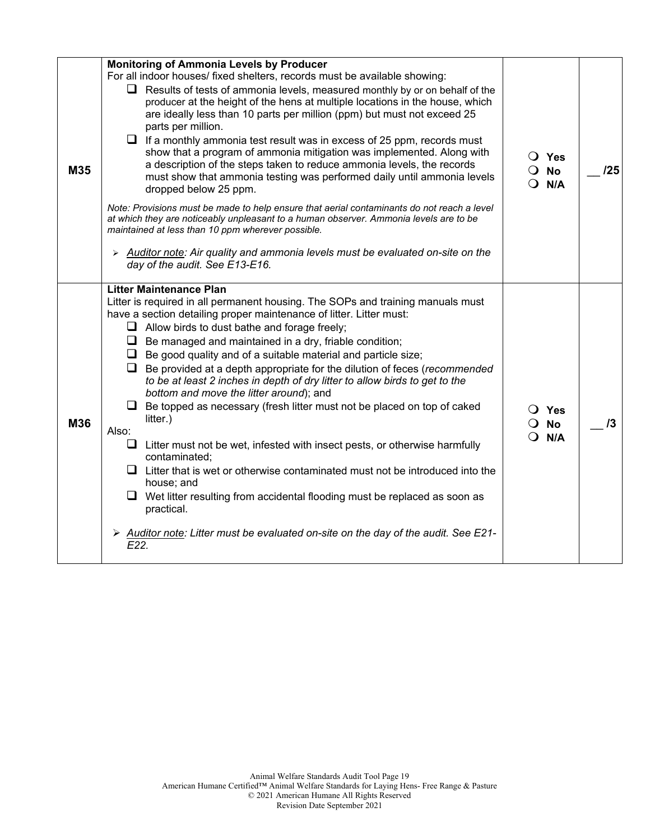| M35 | <b>Monitoring of Ammonia Levels by Producer</b><br>For all indoor houses/ fixed shelters, records must be available showing:<br>$\Box$ Results of tests of ammonia levels, measured monthly by or on behalf of the<br>producer at the height of the hens at multiple locations in the house, which<br>are ideally less than 10 parts per million (ppm) but must not exceed 25<br>parts per million.<br>$\Box$ If a monthly ammonia test result was in excess of 25 ppm, records must<br>show that a program of ammonia mitigation was implemented. Along with<br>a description of the steps taken to reduce ammonia levels, the records<br>must show that ammonia testing was performed daily until ammonia levels<br>dropped below 25 ppm.<br>Note: Provisions must be made to help ensure that aerial contaminants do not reach a level<br>at which they are noticeably unpleasant to a human observer. Ammonia levels are to be<br>maintained at less than 10 ppm wherever possible.<br>$\triangleright$ Auditor note: Air quality and ammonia levels must be evaluated on-site on the<br>day of the audit. See E13-E16. | $\bigcirc$ Yes<br>$\overline{O}$ No<br>$\bigcirc$ N/A | 125 |
|-----|-----------------------------------------------------------------------------------------------------------------------------------------------------------------------------------------------------------------------------------------------------------------------------------------------------------------------------------------------------------------------------------------------------------------------------------------------------------------------------------------------------------------------------------------------------------------------------------------------------------------------------------------------------------------------------------------------------------------------------------------------------------------------------------------------------------------------------------------------------------------------------------------------------------------------------------------------------------------------------------------------------------------------------------------------------------------------------------------------------------------------------|-------------------------------------------------------|-----|
| M36 | <b>Litter Maintenance Plan</b><br>Litter is required in all permanent housing. The SOPs and training manuals must<br>have a section detailing proper maintenance of litter. Litter must:<br>$\Box$ Allow birds to dust bathe and forage freely;<br>$\Box$ Be managed and maintained in a dry, friable condition;<br>$\Box$ Be good quality and of a suitable material and particle size;<br>Be provided at a depth appropriate for the dilution of feces (recommended<br>u.<br>to be at least 2 inches in depth of dry litter to allow birds to get to the<br>bottom and move the litter around); and<br>Be topped as necessary (fresh litter must not be placed on top of caked<br>litter.)<br>Also:<br>u<br>Litter must not be wet, infested with insect pests, or otherwise harmfully<br>contaminated;<br>$\Box$ Litter that is wet or otherwise contaminated must not be introduced into the<br>house; and<br>$\Box$ Wet litter resulting from accidental flooding must be replaced as soon as<br>practical.<br>> Auditor note: Litter must be evaluated on-site on the day of the audit. See E21-<br>E22.              | $\overline{O}$ Yes<br><b>No</b><br>N/A<br>$\Omega$    | 13  |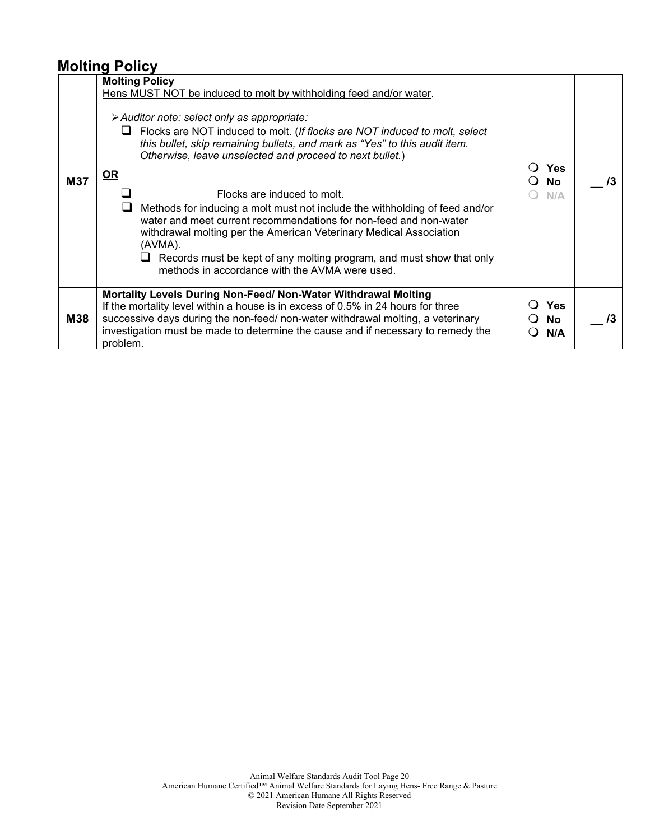### **Molting Policy**

|            | <b>Molting Policy</b>                                                                                                                                                                                                                                                                                                                                                                                                                                                                                                                                                                                                                                                                                                                                     |                                       |    |
|------------|-----------------------------------------------------------------------------------------------------------------------------------------------------------------------------------------------------------------------------------------------------------------------------------------------------------------------------------------------------------------------------------------------------------------------------------------------------------------------------------------------------------------------------------------------------------------------------------------------------------------------------------------------------------------------------------------------------------------------------------------------------------|---------------------------------------|----|
| <b>M37</b> | Hens MUST NOT be induced to molt by withholding feed and/or water.<br>> Auditor note: select only as appropriate:<br>Flocks are NOT induced to molt. (If flocks are NOT induced to molt, select<br>⊔<br>this bullet, skip remaining bullets, and mark as "Yes" to this audit item.<br>Otherwise, leave unselected and proceed to next bullet.)<br>OR<br>Flocks are induced to molt.<br>Methods for inducing a molt must not include the withholding of feed and/or<br>water and meet current recommendations for non-feed and non-water<br>withdrawal molting per the American Veterinary Medical Association<br>(AVMA).<br>$\Box$ Records must be kept of any molting program, and must show that only<br>methods in accordance with the AVMA were used. | <b>Yes</b><br><b>No</b><br>N/A        | /3 |
| <b>M38</b> | Mortality Levels During Non-Feed/ Non-Water Withdrawal Molting<br>If the mortality level within a house is in excess of 0.5% in 24 hours for three<br>successive days during the non-feed/ non-water withdrawal molting, a veterinary<br>investigation must be made to determine the cause and if necessary to remedy the<br>problem.                                                                                                                                                                                                                                                                                                                                                                                                                     | <b>Yes</b><br><b>No</b><br>N/A<br>( ) | /3 |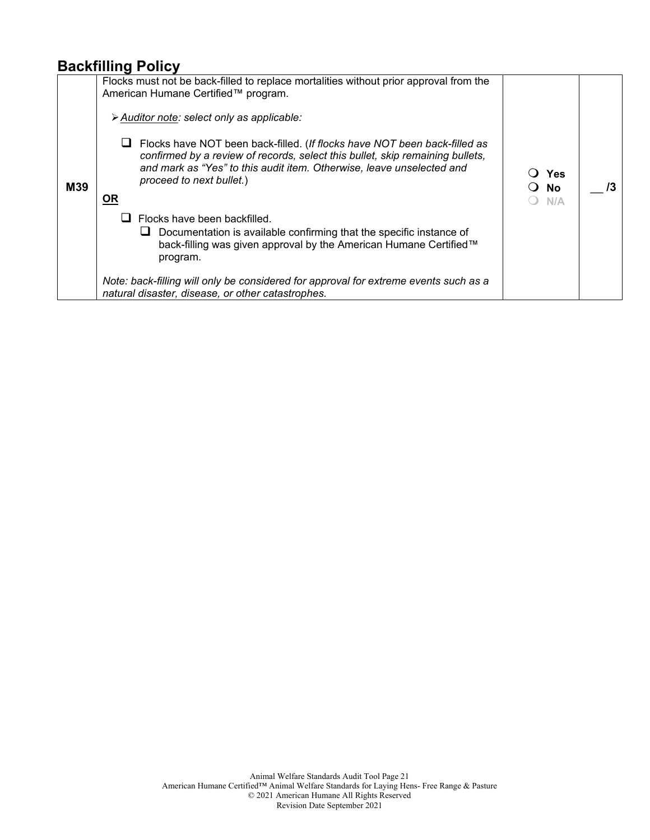#### **Backfilling Policy**

|     | Flocks must not be back-filled to replace mortalities without prior approval from the<br>American Humane Certified™ program.                                                                             |                    |    |
|-----|----------------------------------------------------------------------------------------------------------------------------------------------------------------------------------------------------------|--------------------|----|
|     | > Auditor note: select only as applicable:<br>Flocks have NOT been back-filled. (If flocks have NOT been back-filled as<br>confirmed by a review of records, select this bullet, skip remaining bullets, |                    |    |
| M39 | and mark as "Yes" to this audit item. Otherwise, leave unselected and<br>proceed to next bullet.)<br><b>OR</b>                                                                                           | Yes<br>- No<br>N/A | /3 |
|     | Flocks have been backfilled.                                                                                                                                                                             |                    |    |
|     | Documentation is available confirming that the specific instance of<br>⊔<br>back-filling was given approval by the American Humane Certified™<br>program.                                                |                    |    |
|     | Note: back-filling will only be considered for approval for extreme events such as a<br>natural disaster, disease, or other catastrophes.                                                                |                    |    |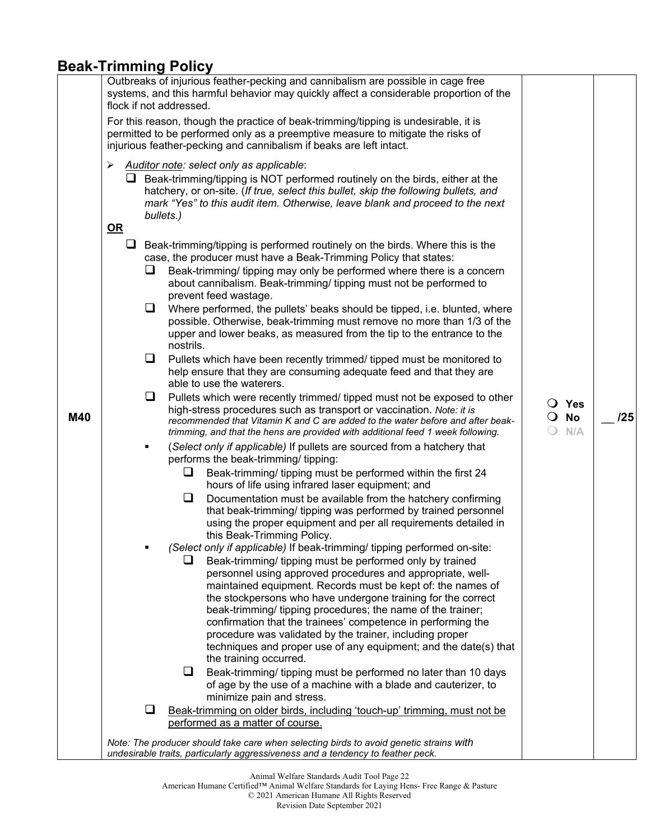### **Beak-Trimming Policy**

|     |      | Outbreaks of injurious feather-pecking and cannibalism are possible in cage free<br>systems, and this harmful behavior may quickly affect a considerable proportion of the<br>flock if not addressed.                                                                                                                 |                   |              |     |
|-----|------|-----------------------------------------------------------------------------------------------------------------------------------------------------------------------------------------------------------------------------------------------------------------------------------------------------------------------|-------------------|--------------|-----|
|     |      | For this reason, though the practice of beak-trimming/tipping is undesirable, it is<br>permitted to be performed only as a preemptive measure to mitigate the risks of<br>injurious feather-pecking and cannibalism if beaks are left intact.                                                                         |                   |              |     |
|     | ➤    | Auditor note: select only as applicable:<br>$\Box$ Beak-trimming/tipping is NOT performed routinely on the birds, either at the<br>hatchery, or on-site. (If true, select this bullet, skip the following bullets, and<br>mark "Yes" to this audit item. Otherwise, leave blank and proceed to the next<br>bullets.)  |                   |              |     |
|     | $OR$ |                                                                                                                                                                                                                                                                                                                       |                   |              |     |
|     | ⊔    | Beak-trimming/tipping is performed routinely on the birds. Where this is the<br>case, the producer must have a Beak-Trimming Policy that states:                                                                                                                                                                      |                   |              |     |
|     | ⊔    | Beak-trimming/ tipping may only be performed where there is a concern<br>about cannibalism. Beak-trimming/ tipping must not be performed to<br>prevent feed wastage.                                                                                                                                                  |                   |              |     |
|     | ⊔    | Where performed, the pullets' beaks should be tipped, i.e. blunted, where<br>possible. Otherwise, beak-trimming must remove no more than 1/3 of the<br>upper and lower beaks, as measured from the tip to the entrance to the<br>nostrils.                                                                            |                   |              |     |
|     | ⊔    | Pullets which have been recently trimmed/ tipped must be monitored to<br>help ensure that they are consuming adequate feed and that they are<br>able to use the waterers.                                                                                                                                             |                   |              |     |
| M40 | ❏    | Pullets which were recently trimmed/ tipped must not be exposed to other<br>high-stress procedures such as transport or vaccination. Note: it is<br>recommended that Vitamin K and C are added to the water before and after beak-<br>trimming, and that the hens are provided with additional feed 1 week following. | $\overline{O}$ No | O Yes<br>N/A | 125 |
|     | ٠    | (Select only if applicable) If pullets are sourced from a hatchery that<br>performs the beak-trimming/ tipping:                                                                                                                                                                                                       |                   |              |     |
|     |      | □<br>Beak-trimming/ tipping must be performed within the first 24<br>hours of life using infrared laser equipment; and                                                                                                                                                                                                |                   |              |     |
|     |      | ⊔<br>Documentation must be available from the hatchery confirming<br>that beak-trimming/ tipping was performed by trained personnel<br>using the proper equipment and per all requirements detailed in<br>this Beak-Trimming Policy.                                                                                  |                   |              |     |
|     |      | (Select only if applicable) If beak-trimming/ tipping performed on-site:<br>Beak-trimming/ tipping must be performed only by trained                                                                                                                                                                                  |                   |              |     |
|     |      | personnel using approved procedures and appropriate, well-<br>maintained equipment. Records must be kept of: the names of<br>the stockpersons who have undergone training for the correct<br>beak-trimming/ tipping procedures; the name of the trainer;                                                              |                   |              |     |
|     |      | confirmation that the trainees' competence in performing the<br>procedure was validated by the trainer, including proper<br>techniques and proper use of any equipment; and the date(s) that<br>the training occurred.                                                                                                |                   |              |     |
|     |      | ❏<br>Beak-trimming/ tipping must be performed no later than 10 days<br>of age by the use of a machine with a blade and cauterizer, to<br>minimize pain and stress.                                                                                                                                                    |                   |              |     |
|     | ⊔    | Beak-trimming on older birds, including 'touch-up' trimming, must not be<br>performed as a matter of course.                                                                                                                                                                                                          |                   |              |     |
|     |      | Note: The producer should take care when selecting birds to avoid genetic strains with<br>undesirable traits, particularly aggressiveness and a tendency to feather peck.                                                                                                                                             |                   |              |     |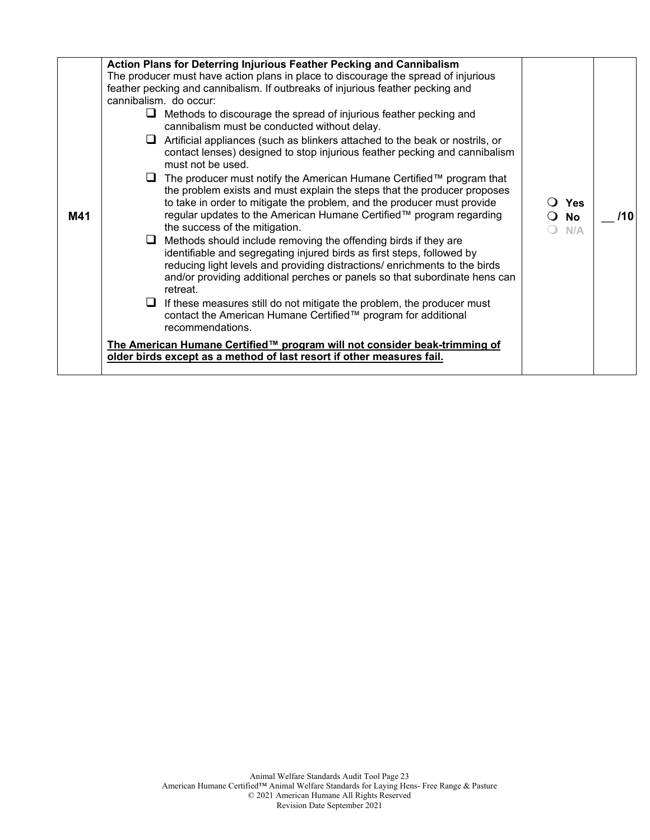| M41 | <b>Action Plans for Deterring Injurious Feather Pecking and Cannibalism</b><br>The producer must have action plans in place to discourage the spread of injurious<br>feather pecking and cannibalism. If outbreaks of injurious feather pecking and<br>cannibalism. do occur:<br>Methods to discourage the spread of injurious feather pecking and<br>⊔<br>cannibalism must be conducted without delay.<br>Artificial appliances (such as blinkers attached to the beak or nostrils, or<br>ப<br>contact lenses) designed to stop injurious feather pecking and cannibalism<br>must not be used.<br>The producer must notify the American Humane Certified™ program that<br>⊔<br>the problem exists and must explain the steps that the producer proposes<br>to take in order to mitigate the problem, and the producer must provide<br>regular updates to the American Humane Certified™ program regarding<br>the success of the mitigation.<br>Methods should include removing the offending birds if they are<br>ப<br>identifiable and segregating injured birds as first steps, followed by<br>reducing light levels and providing distractions/ enrichments to the birds<br>and/or providing additional perches or panels so that subordinate hens can<br>retreat.<br>If these measures still do not mitigate the problem, the producer must<br>$\sqcup$<br>contact the American Humane Certified™ program for additional<br>recommendations.<br>The American Humane Certified™ program will not consider beak-trimming of | ○ Yes<br>$\overline{O}$ No<br>N/A | /10 |
|-----|--------------------------------------------------------------------------------------------------------------------------------------------------------------------------------------------------------------------------------------------------------------------------------------------------------------------------------------------------------------------------------------------------------------------------------------------------------------------------------------------------------------------------------------------------------------------------------------------------------------------------------------------------------------------------------------------------------------------------------------------------------------------------------------------------------------------------------------------------------------------------------------------------------------------------------------------------------------------------------------------------------------------------------------------------------------------------------------------------------------------------------------------------------------------------------------------------------------------------------------------------------------------------------------------------------------------------------------------------------------------------------------------------------------------------------------------------------------------------------------------------------------------------------|-----------------------------------|-----|
|     |                                                                                                                                                                                                                                                                                                                                                                                                                                                                                                                                                                                                                                                                                                                                                                                                                                                                                                                                                                                                                                                                                                                                                                                                                                                                                                                                                                                                                                                                                                                                |                                   |     |
|     | older birds except as a method of last resort if other measures fail.                                                                                                                                                                                                                                                                                                                                                                                                                                                                                                                                                                                                                                                                                                                                                                                                                                                                                                                                                                                                                                                                                                                                                                                                                                                                                                                                                                                                                                                          |                                   |     |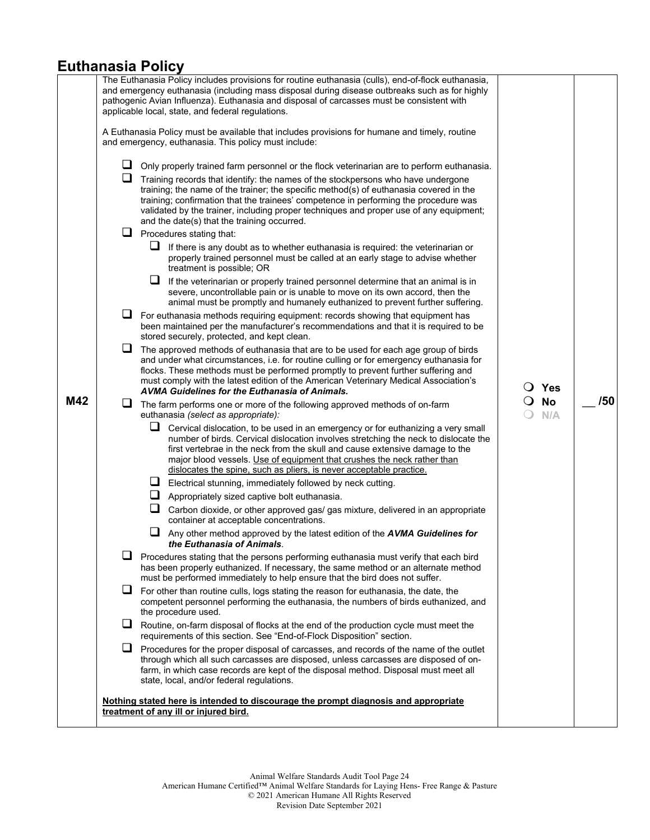#### **Euthanasia Policy**

|     |        | The Euthanasia Policy includes provisions for routine euthanasia (culls), end-of-flock euthanasia,<br>and emergency euthanasia (including mass disposal during disease outbreaks such as for highly<br>pathogenic Avian Influenza). Euthanasia and disposal of carcasses must be consistent with<br>applicable local, state, and federal regulations.                                                       |                  |     |
|-----|--------|-------------------------------------------------------------------------------------------------------------------------------------------------------------------------------------------------------------------------------------------------------------------------------------------------------------------------------------------------------------------------------------------------------------|------------------|-----|
|     |        | A Euthanasia Policy must be available that includes provisions for humane and timely, routine<br>and emergency, euthanasia. This policy must include:                                                                                                                                                                                                                                                       |                  |     |
|     | u.     | Only properly trained farm personnel or the flock veterinarian are to perform euthanasia.                                                                                                                                                                                                                                                                                                                   |                  |     |
|     | $\Box$ | Training records that identify: the names of the stockpersons who have undergone<br>training; the name of the trainer; the specific method(s) of euthanasia covered in the<br>training; confirmation that the trainees' competence in performing the procedure was<br>validated by the trainer, including proper techniques and proper use of any equipment;<br>and the date(s) that the training occurred. |                  |     |
|     | ⊔      | Procedures stating that:                                                                                                                                                                                                                                                                                                                                                                                    |                  |     |
|     |        | $\Box$ If there is any doubt as to whether euthanasia is required: the veterinarian or<br>properly trained personnel must be called at an early stage to advise whether<br>treatment is possible; OR                                                                                                                                                                                                        |                  |     |
|     |        | ⊔<br>If the veterinarian or properly trained personnel determine that an animal is in<br>severe, uncontrollable pain or is unable to move on its own accord, then the<br>animal must be promptly and humanely euthanized to prevent further suffering.                                                                                                                                                      |                  |     |
|     | ⊔      | For euthanasia methods requiring equipment: records showing that equipment has<br>been maintained per the manufacturer's recommendations and that it is required to be<br>stored securely, protected, and kept clean.                                                                                                                                                                                       |                  |     |
|     | u.     | The approved methods of euthanasia that are to be used for each age group of birds<br>and under what circumstances, i.e. for routine culling or for emergency euthanasia for<br>flocks. These methods must be performed promptly to prevent further suffering and<br>must comply with the latest edition of the American Veterinary Medical Association's<br>AVMA Guidelines for the Euthanasia of Animals. | $\bigcirc$ Yes   |     |
| M42 | $\Box$ | The farm performs one or more of the following approved methods of on-farm<br>euthanasia (select as appropriate):                                                                                                                                                                                                                                                                                           | <b>No</b><br>N/A | /50 |
|     |        | Cervical dislocation, to be used in an emergency or for euthanizing a very small<br>number of birds. Cervical dislocation involves stretching the neck to dislocate the<br>first vertebrae in the neck from the skull and cause extensive damage to the<br>major blood vessels. Use of equipment that crushes the neck rather than<br>dislocates the spine, such as pliers, is never acceptable practice.   |                  |     |
|     |        | $\Box$ Electrical stunning, immediately followed by neck cutting.                                                                                                                                                                                                                                                                                                                                           |                  |     |
|     |        | $\Box$ Appropriately sized captive bolt euthanasia.                                                                                                                                                                                                                                                                                                                                                         |                  |     |
|     |        | u<br>Carbon dioxide, or other approved gas/ gas mixture, delivered in an appropriate<br>container at acceptable concentrations.                                                                                                                                                                                                                                                                             |                  |     |
|     |        | u<br>Any other method approved by the latest edition of the AVMA Guidelines for<br>the Euthanasia of Animals.                                                                                                                                                                                                                                                                                               |                  |     |
|     |        | Procedures stating that the persons performing euthanasia must verify that each bird<br>has been properly euthanized. If necessary, the same method or an alternate method<br>must be performed immediately to help ensure that the bird does not suffer.                                                                                                                                                   |                  |     |
|     |        | $\Box$ For other than routine culls, logs stating the reason for euthanasia, the date, the<br>competent personnel performing the euthanasia, the numbers of birds euthanized, and<br>the procedure used.                                                                                                                                                                                                    |                  |     |
|     | ⊔      | Routine, on-farm disposal of flocks at the end of the production cycle must meet the<br>requirements of this section. See "End-of-Flock Disposition" section.                                                                                                                                                                                                                                               |                  |     |
|     |        | $\Box$ Procedures for the proper disposal of carcasses, and records of the name of the outlet<br>through which all such carcasses are disposed, unless carcasses are disposed of on-<br>farm, in which case records are kept of the disposal method. Disposal must meet all<br>state, local, and/or federal regulations.                                                                                    |                  |     |
|     |        | <u>Nothing stated here is intended to discourage the prompt diagnosis and appropriate</u><br>treatment of any ill or injured bird.                                                                                                                                                                                                                                                                          |                  |     |
|     |        |                                                                                                                                                                                                                                                                                                                                                                                                             |                  |     |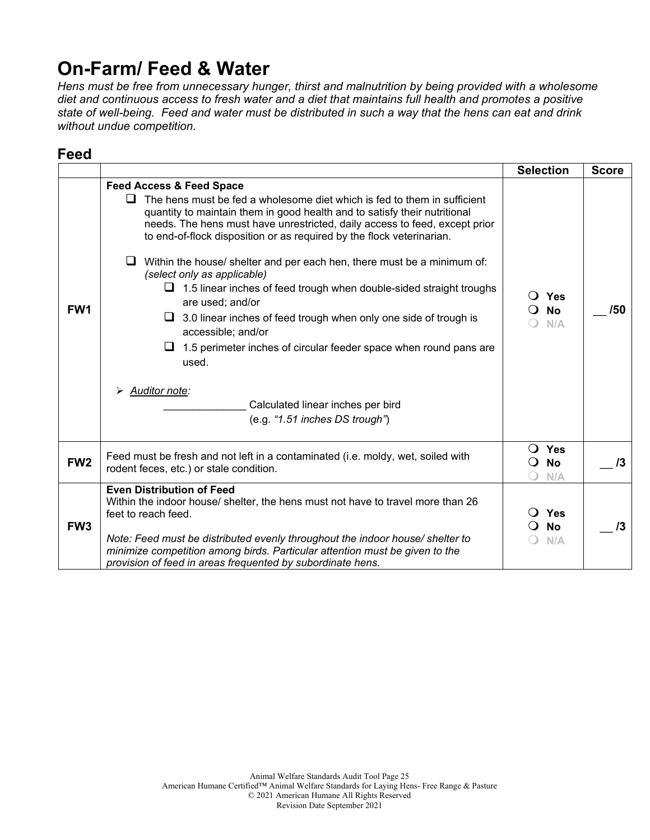## **On-Farm/ Feed & Water**

*Hens must be free from unnecessary hunger, thirst and malnutrition by being provided with a wholesome diet and continuous access to fresh water and a diet that maintains full health and promotes a positive state of well-being. Feed and water must be distributed in such a way that the hens can eat and drink without undue competition.* 

## **Feed**

|                 |                                                                                                                                                                                                                                                                                                                                                                                                                                                                                                                                                                                                                                                                                                                                                                                                                                                | <b>Selection</b>                               | <b>Score</b> |
|-----------------|------------------------------------------------------------------------------------------------------------------------------------------------------------------------------------------------------------------------------------------------------------------------------------------------------------------------------------------------------------------------------------------------------------------------------------------------------------------------------------------------------------------------------------------------------------------------------------------------------------------------------------------------------------------------------------------------------------------------------------------------------------------------------------------------------------------------------------------------|------------------------------------------------|--------------|
| FW1             | <b>Feed Access &amp; Feed Space</b><br>The hens must be fed a wholesome diet which is fed to them in sufficient<br>quantity to maintain them in good health and to satisfy their nutritional<br>needs. The hens must have unrestricted, daily access to feed, except prior<br>to end-of-flock disposition or as required by the flock veterinarian.<br>Within the house/ shelter and per each hen, there must be a minimum of:<br>⊔<br>(select only as applicable)<br>$\Box$ 1.5 linear inches of feed trough when double-sided straight troughs<br>are used; and/or<br>3.0 linear inches of feed trough when only one side of trough is<br>u<br>accessible; and/or<br>1.5 perimeter inches of circular feeder space when round pans are<br>⊔<br>used.<br>Auditor note:<br>Calculated linear inches per bird<br>(e.g. "1.51 inches DS trough") | $\overline{O}$ Yes<br><b>No</b><br>0<br>N/A    | /50          |
| FW <sub>2</sub> | Feed must be fresh and not left in a contaminated (i.e. moldy, wet, soiled with<br>rodent feces, etc.) or stale condition.                                                                                                                                                                                                                                                                                                                                                                                                                                                                                                                                                                                                                                                                                                                     | $\bigcirc$ Yes<br><b>No</b><br>$\Omega$<br>N/A | $\sqrt{3}$   |
| FW <sub>3</sub> | <b>Even Distribution of Feed</b><br>Within the indoor house/ shelter, the hens must not have to travel more than 26<br>feet to reach feed.<br>Note: Feed must be distributed evenly throughout the indoor house/ shelter to<br>minimize competition among birds. Particular attention must be given to the<br>provision of feed in areas frequented by subordinate hens.                                                                                                                                                                                                                                                                                                                                                                                                                                                                       | Yes<br><b>No</b><br>N/A                        | /3           |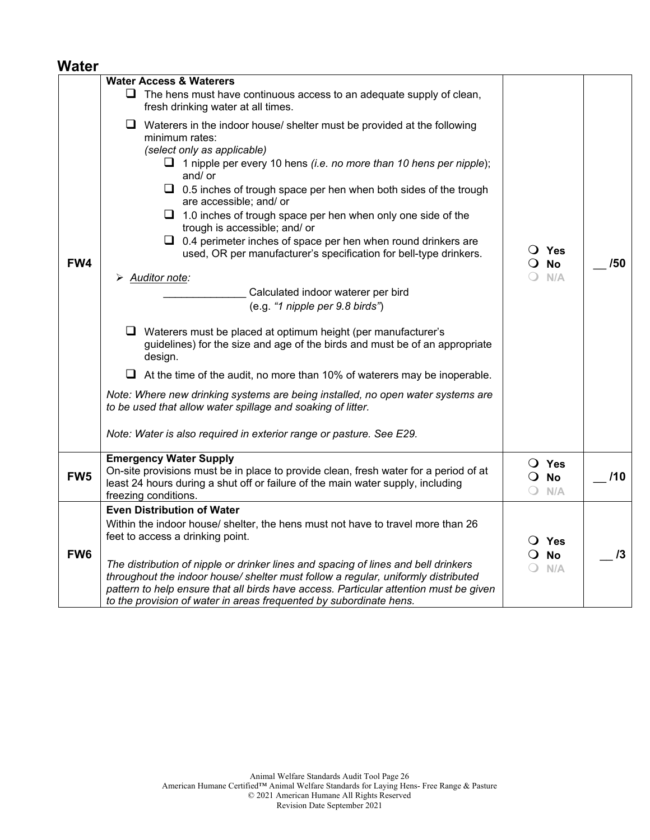#### **Water**

|                 | <b>Water Access &amp; Waterers</b>                                                                                                                                                                                                                                                                                                                                                                                                                                                                                                                                                                                                                                                     |                                                 |     |
|-----------------|----------------------------------------------------------------------------------------------------------------------------------------------------------------------------------------------------------------------------------------------------------------------------------------------------------------------------------------------------------------------------------------------------------------------------------------------------------------------------------------------------------------------------------------------------------------------------------------------------------------------------------------------------------------------------------------|-------------------------------------------------|-----|
|                 | $\Box$ The hens must have continuous access to an adequate supply of clean,<br>fresh drinking water at all times.                                                                                                                                                                                                                                                                                                                                                                                                                                                                                                                                                                      |                                                 |     |
| FW4             | $\Box$ Waterers in the indoor house/ shelter must be provided at the following<br>minimum rates:<br>(select only as applicable)<br>$\Box$ 1 nipple per every 10 hens <i>(i.e. no more than 10 hens per nipple</i> );<br>and/ or<br>$\Box$ 0.5 inches of trough space per hen when both sides of the trough<br>are accessible; and/ or<br>$\Box$ 1.0 inches of trough space per hen when only one side of the<br>trough is accessible; and/ or<br>$\Box$ 0.4 perimeter inches of space per hen when round drinkers are<br>used, OR per manufacturer's specification for bell-type drinkers.<br>> Auditor note:<br>Calculated indoor waterer per bird<br>(e.g. "1 nipple per 9.8 birds") | $\overline{O}$ Yes<br>$\overline{O}$ No<br>N/A  | /50 |
|                 | $\Box$ Waterers must be placed at optimum height (per manufacturer's<br>guidelines) for the size and age of the birds and must be of an appropriate<br>design.                                                                                                                                                                                                                                                                                                                                                                                                                                                                                                                         |                                                 |     |
|                 | $\Box$ At the time of the audit, no more than 10% of waterers may be inoperable.                                                                                                                                                                                                                                                                                                                                                                                                                                                                                                                                                                                                       |                                                 |     |
|                 | Note: Where new drinking systems are being installed, no open water systems are<br>to be used that allow water spillage and soaking of litter.                                                                                                                                                                                                                                                                                                                                                                                                                                                                                                                                         |                                                 |     |
|                 | Note: Water is also required in exterior range or pasture. See E29.                                                                                                                                                                                                                                                                                                                                                                                                                                                                                                                                                                                                                    |                                                 |     |
| FW <sub>5</sub> | <b>Emergency Water Supply</b><br>On-site provisions must be in place to provide clean, fresh water for a period of at<br>least 24 hours during a shut off or failure of the main water supply, including<br>freezing conditions.                                                                                                                                                                                                                                                                                                                                                                                                                                                       | O Yes<br>$\overline{O}$ No<br>N/A<br>$\bigcirc$ | /10 |
|                 | <b>Even Distribution of Water</b>                                                                                                                                                                                                                                                                                                                                                                                                                                                                                                                                                                                                                                                      |                                                 |     |
| FW <sub>6</sub> | Within the indoor house/ shelter, the hens must not have to travel more than 26<br>feet to access a drinking point.                                                                                                                                                                                                                                                                                                                                                                                                                                                                                                                                                                    | O Yes<br><b>No</b><br>$\Omega$                  | 13  |
|                 | The distribution of nipple or drinker lines and spacing of lines and bell drinkers<br>throughout the indoor house/ shelter must follow a regular, uniformly distributed<br>pattern to help ensure that all birds have access. Particular attention must be given<br>to the provision of water in areas frequented by subordinate hens.                                                                                                                                                                                                                                                                                                                                                 | N/A<br>$\bigcirc$                               |     |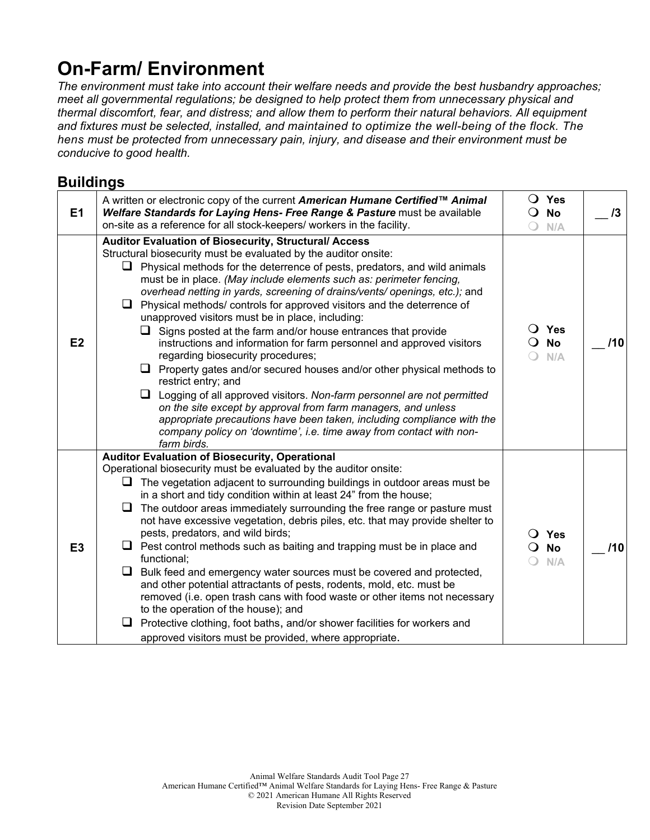## **On-Farm/ Environment**

*The environment must take into account their welfare needs and provide the best husbandry approaches; meet all governmental regulations; be designed to help protect them from unnecessary physical and thermal discomfort, fear, and distress; and allow them to perform their natural behaviors. All equipment and fixtures must be selected, installed, and maintained to optimize the well-being of the flock. The hens must be protected from unnecessary pain, injury, and disease and their environment must be conducive to good health.*

### **Buildings**

| E1             | A written or electronic copy of the current American Humane Certified™ Animal<br>Welfare Standards for Laying Hens- Free Range & Pasture must be available<br>on-site as a reference for all stock-keepers/ workers in the facility.                                                                                                                                                                                                                                                                                                                                                                                                                                                                                                                                                                                                                                                                                                                                                                                                                                                                  | $\bigcirc$             | $\bigcirc$ Yes<br>$\overline{O}$ No<br>N/A | 13  |
|----------------|-------------------------------------------------------------------------------------------------------------------------------------------------------------------------------------------------------------------------------------------------------------------------------------------------------------------------------------------------------------------------------------------------------------------------------------------------------------------------------------------------------------------------------------------------------------------------------------------------------------------------------------------------------------------------------------------------------------------------------------------------------------------------------------------------------------------------------------------------------------------------------------------------------------------------------------------------------------------------------------------------------------------------------------------------------------------------------------------------------|------------------------|--------------------------------------------|-----|
| E2             | Auditor Evaluation of Biosecurity, Structural/ Access<br>Structural biosecurity must be evaluated by the auditor onsite:<br>Physical methods for the deterrence of pests, predators, and wild animals<br>must be in place. (May include elements such as: perimeter fencing,<br>overhead netting in yards, screening of drains/vents/ openings, etc.); and<br>Physical methods/controls for approved visitors and the deterrence of<br>unapproved visitors must be in place, including:<br>$\Box$ Signs posted at the farm and/or house entrances that provide<br>instructions and information for farm personnel and approved visitors<br>regarding biosecurity procedures;<br>$\Box$ Property gates and/or secured houses and/or other physical methods to<br>restrict entry; and<br>$\Box$ Logging of all approved visitors. Non-farm personnel are not permitted<br>on the site except by approval from farm managers, and unless<br>appropriate precautions have been taken, including compliance with the<br>company policy on 'downtime', i.e. time away from contact with non-<br>farm birds. | $\left( \quad \right)$ | $\bigcirc$ Yes<br>$\bigcirc$ No<br>N/A     | 110 |
| E <sub>3</sub> | <b>Auditor Evaluation of Biosecurity, Operational</b><br>Operational biosecurity must be evaluated by the auditor onsite:<br>The vegetation adjacent to surrounding buildings in outdoor areas must be<br>in a short and tidy condition within at least 24" from the house;<br>The outdoor areas immediately surrounding the free range or pasture must<br>not have excessive vegetation, debris piles, etc. that may provide shelter to<br>pests, predators, and wild birds;<br>Pest control methods such as baiting and trapping must be in place and<br>functional;<br>Bulk feed and emergency water sources must be covered and protected,<br>u<br>and other potential attractants of pests, rodents, mold, etc. must be<br>removed (i.e. open trash cans with food waste or other items not necessary<br>to the operation of the house); and<br>Protective clothing, foot baths, and/or shower facilities for workers and<br>approved visitors must be provided, where appropriate.                                                                                                              | $\Omega$<br>∩          | $\overline{O}$ Yes<br><b>No</b><br>N/A     | 110 |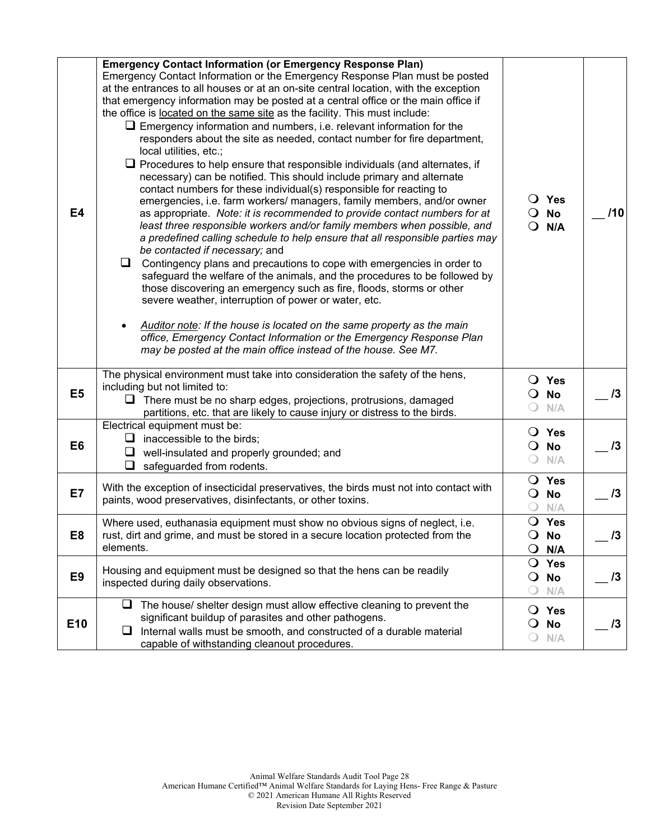| <b>E4</b>       | <b>Emergency Contact Information (or Emergency Response Plan)</b><br>Emergency Contact Information or the Emergency Response Plan must be posted<br>at the entrances to all houses or at an on-site central location, with the exception<br>that emergency information may be posted at a central office or the main office if<br>the office is located on the same site as the facility. This must include:<br>$\Box$ Emergency information and numbers, i.e. relevant information for the<br>responders about the site as needed, contact number for fire department,<br>local utilities, etc.;<br>$\Box$ Procedures to help ensure that responsible individuals (and alternates, if<br>necessary) can be notified. This should include primary and alternate<br>contact numbers for these individual(s) responsible for reacting to<br>emergencies, i.e. farm workers/ managers, family members, and/or owner<br>as appropriate. Note: it is recommended to provide contact numbers for at<br>least three responsible workers and/or family members when possible, and<br>a predefined calling schedule to help ensure that all responsible parties may<br>be contacted if necessary; and<br>$\Box$ Contingency plans and precautions to cope with emergencies in order to<br>safeguard the welfare of the animals, and the procedures to be followed by<br>those discovering an emergency such as fire, floods, storms or other<br>severe weather, interruption of power or water, etc.<br>Auditor note: If the house is located on the same property as the main<br>office, Emergency Contact Information or the Emergency Response Plan<br>may be posted at the main office instead of the house. See M7. | $\overline{O}$ Yes<br>$\overline{O}$ No<br>$Q$ N/A              | 110        |
|-----------------|-----------------------------------------------------------------------------------------------------------------------------------------------------------------------------------------------------------------------------------------------------------------------------------------------------------------------------------------------------------------------------------------------------------------------------------------------------------------------------------------------------------------------------------------------------------------------------------------------------------------------------------------------------------------------------------------------------------------------------------------------------------------------------------------------------------------------------------------------------------------------------------------------------------------------------------------------------------------------------------------------------------------------------------------------------------------------------------------------------------------------------------------------------------------------------------------------------------------------------------------------------------------------------------------------------------------------------------------------------------------------------------------------------------------------------------------------------------------------------------------------------------------------------------------------------------------------------------------------------------------------------------------------------------------------------------------------------------------|-----------------------------------------------------------------|------------|
| E <sub>5</sub>  | The physical environment must take into consideration the safety of the hens,<br>including but not limited to:<br>$\Box$ There must be no sharp edges, projections, protrusions, damaged<br>partitions, etc. that are likely to cause injury or distress to the birds.                                                                                                                                                                                                                                                                                                                                                                                                                                                                                                                                                                                                                                                                                                                                                                                                                                                                                                                                                                                                                                                                                                                                                                                                                                                                                                                                                                                                                                          | O Yes<br>$\overline{O}$ No<br>$\bigcirc$<br>N/A                 | 13         |
| E <sub>6</sub>  | Electrical equipment must be:<br>$\Box$ inaccessible to the birds;<br>$\Box$ well-insulated and properly grounded; and<br>$\Box$ safeguarded from rodents.                                                                                                                                                                                                                                                                                                                                                                                                                                                                                                                                                                                                                                                                                                                                                                                                                                                                                                                                                                                                                                                                                                                                                                                                                                                                                                                                                                                                                                                                                                                                                      | $\bigcirc$ Yes<br>No<br>$\mathbf{O}$<br>$\bigcirc$<br>N/A       | 13         |
| E7              | With the exception of insecticidal preservatives, the birds must not into contact with<br>paints, wood preservatives, disinfectants, or other toxins.                                                                                                                                                                                                                                                                                                                                                                                                                                                                                                                                                                                                                                                                                                                                                                                                                                                                                                                                                                                                                                                                                                                                                                                                                                                                                                                                                                                                                                                                                                                                                           | $\bigcirc$ Yes<br>$\bigcirc$ No<br>N/A                          | 13         |
| E <sub>8</sub>  | Where used, euthanasia equipment must show no obvious signs of neglect, i.e.<br>rust, dirt and grime, and must be stored in a secure location protected from the<br>elements.                                                                                                                                                                                                                                                                                                                                                                                                                                                                                                                                                                                                                                                                                                                                                                                                                                                                                                                                                                                                                                                                                                                                                                                                                                                                                                                                                                                                                                                                                                                                   | O Yes<br>No<br>$\mathbf{O}$<br>$\mathsf{O}$<br>N/A              | 13         |
| E <sub>9</sub>  | Housing and equipment must be designed so that the hens can be readily<br>inspected during daily observations.                                                                                                                                                                                                                                                                                                                                                                                                                                                                                                                                                                                                                                                                                                                                                                                                                                                                                                                                                                                                                                                                                                                                                                                                                                                                                                                                                                                                                                                                                                                                                                                                  | Yes<br>$\mathbf{O}$<br><b>No</b><br>$\mathbf{O}$<br>N/A         | $\sqrt{3}$ |
| E <sub>10</sub> | $\Box$ The house/ shelter design must allow effective cleaning to prevent the<br>significant buildup of parasites and other pathogens.<br>Internal walls must be smooth, and constructed of a durable material<br>u.<br>capable of withstanding cleanout procedures.                                                                                                                                                                                                                                                                                                                                                                                                                                                                                                                                                                                                                                                                                                                                                                                                                                                                                                                                                                                                                                                                                                                                                                                                                                                                                                                                                                                                                                            | $\overline{O}$ Yes<br><b>No</b><br>$\circ$<br>N/A<br>$\bigcirc$ | 13         |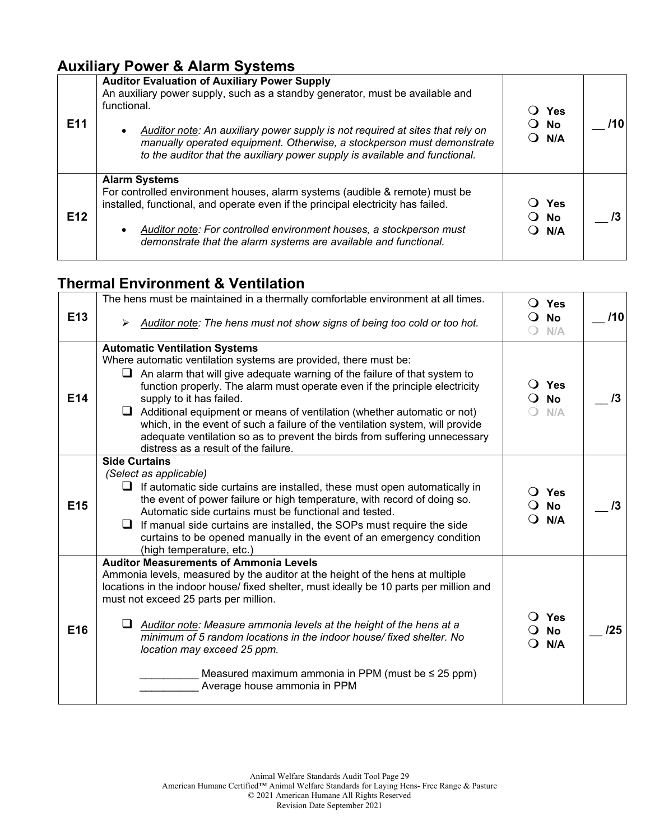### **Auxiliary Power & Alarm Systems**

| E <sub>11</sub> | <b>Auditor Evaluation of Auxiliary Power Supply</b><br>An auxiliary power supply, such as a standby generator, must be available and<br>functional.<br>Auditor note: An auxiliary power supply is not required at sites that rely on<br>manually operated equipment. Otherwise, a stockperson must demonstrate<br>to the auditor that the auxiliary power supply is available and functional. | Yes<br>$\bigcirc$ No<br>O N/A          |  |
|-----------------|-----------------------------------------------------------------------------------------------------------------------------------------------------------------------------------------------------------------------------------------------------------------------------------------------------------------------------------------------------------------------------------------------|----------------------------------------|--|
| E <sub>12</sub> | <b>Alarm Systems</b><br>For controlled environment houses, alarm systems (audible & remote) must be<br>installed, functional, and operate even if the principal electricity has failed.<br>Auditor note: For controlled environment houses, a stockperson must<br>demonstrate that the alarm systems are available and functional.                                                            | Yes<br>$\bigcirc$ No<br>$\bigcirc$ N/A |  |

## **Thermal Environment & Ventilation**

|                 | The hens must be maintained in a thermally comfortable environment at all times.                                                                                                                                                                                                      |                | $\bigcirc$ Yes            |     |
|-----------------|---------------------------------------------------------------------------------------------------------------------------------------------------------------------------------------------------------------------------------------------------------------------------------------|----------------|---------------------------|-----|
| E <sub>13</sub> | Auditor note: The hens must not show signs of being too cold or too hot.                                                                                                                                                                                                              | $\Omega$       | <b>No</b><br>N/A          | /10 |
|                 | <b>Automatic Ventilation Systems</b>                                                                                                                                                                                                                                                  |                |                           |     |
|                 | Where automatic ventilation systems are provided, there must be:                                                                                                                                                                                                                      |                |                           |     |
| E14             | An alarm that will give adequate warning of the failure of that system to<br>function properly. The alarm must operate even if the principle electricity<br>supply to it has failed.                                                                                                  | $\blacksquare$ | ○ Yes<br><b>No</b>        | /3  |
|                 | $\Box$ Additional equipment or means of ventilation (whether automatic or not)<br>which, in the event of such a failure of the ventilation system, will provide<br>adequate ventilation so as to prevent the birds from suffering unnecessary<br>distress as a result of the failure. |                | N/A                       |     |
|                 | <b>Side Curtains</b>                                                                                                                                                                                                                                                                  |                |                           |     |
|                 | (Select as applicable)<br>If automatic side curtains are installed, these must open automatically in<br>⊔                                                                                                                                                                             |                | $\bigcirc$ Yes            |     |
| E <sub>15</sub> | the event of power failure or high temperature, with record of doing so.<br>Automatic side curtains must be functional and tested.                                                                                                                                                    | ે કે           | <b>No</b><br>N/A          | /3  |
|                 | If manual side curtains are installed, the SOPs must require the side<br>curtains to be opened manually in the event of an emergency condition<br>(high temperature, etc.)                                                                                                            |                |                           |     |
|                 | <b>Auditor Measurements of Ammonia Levels</b>                                                                                                                                                                                                                                         |                |                           |     |
|                 | Ammonia levels, measured by the auditor at the height of the hens at multiple<br>locations in the indoor house/ fixed shelter, must ideally be 10 parts per million and                                                                                                               |                |                           |     |
|                 | must not exceed 25 parts per million.                                                                                                                                                                                                                                                 |                |                           |     |
| E16             | Auditor note: Measure ammonia levels at the height of the hens at a<br>u<br>minimum of 5 random locations in the indoor house/fixed shelter. No<br>location may exceed 25 ppm.                                                                                                        | ∩.             | ○ Yes<br><b>No</b><br>N/A | /25 |
|                 | Measured maximum ammonia in PPM (must be $\leq$ 25 ppm)<br>Average house ammonia in PPM                                                                                                                                                                                               |                |                           |     |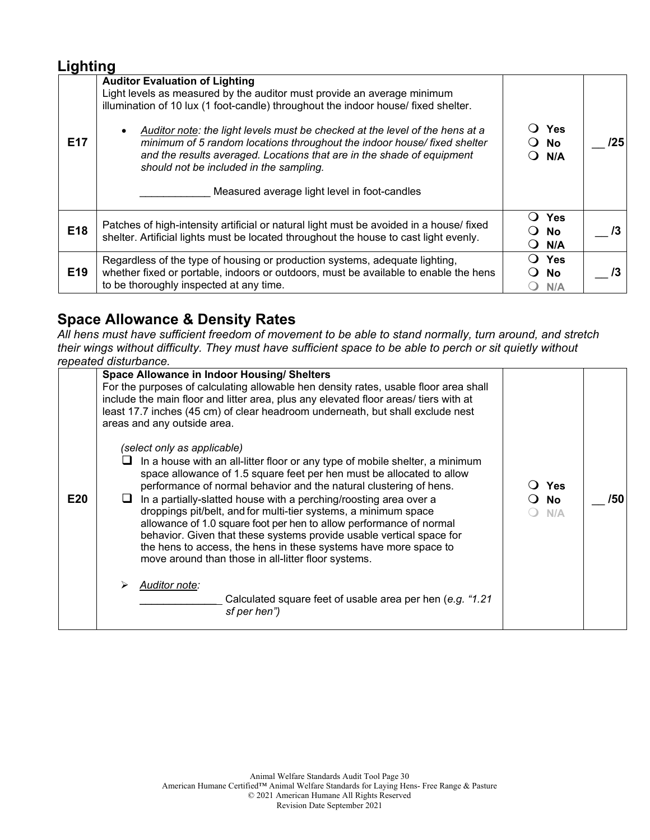#### **Lighting**

| E <sub>17</sub> | <b>Auditor Evaluation of Lighting</b><br>Light levels as measured by the auditor must provide an average minimum<br>illumination of 10 lux (1 foot-candle) throughout the indoor house/ fixed shelter.<br>Auditor note: the light levels must be checked at the level of the hens at a<br>minimum of 5 random locations throughout the indoor house/fixed shelter<br>and the results averaged. Locations that are in the shade of equipment<br>should not be included in the sampling.<br>Measured average light level in foot-candles | Yes<br>No.<br>N/A                   | /25 |
|-----------------|----------------------------------------------------------------------------------------------------------------------------------------------------------------------------------------------------------------------------------------------------------------------------------------------------------------------------------------------------------------------------------------------------------------------------------------------------------------------------------------------------------------------------------------|-------------------------------------|-----|
| E18             | Patches of high-intensity artificial or natural light must be avoided in a house/ fixed<br>shelter. Artificial lights must be located throughout the house to cast light evenly.                                                                                                                                                                                                                                                                                                                                                       | <b>Yes</b><br><b>No</b><br>N/A<br>0 |     |
| E <sub>19</sub> | Regardless of the type of housing or production systems, adequate lighting,<br>whether fixed or portable, indoors or outdoors, must be available to enable the hens<br>to be thoroughly inspected at any time.                                                                                                                                                                                                                                                                                                                         | <b>Yes</b><br>No.<br>N/A            |     |

### **Space Allowance & Density Rates**

*All hens must have sufficient freedom of movement to be able to stand normally, turn around, and stretch their wings without difficulty. They must have sufficient space to be able to perch or sit quietly without repeated disturbance.*

|     | <i>IGNGALGU UISLUI NAHUG.</i>                                                                                                                                                                                                                                                                                                                                                                                                                                                                                                                                                                                                                                                                                                                                                   |                         |     |
|-----|---------------------------------------------------------------------------------------------------------------------------------------------------------------------------------------------------------------------------------------------------------------------------------------------------------------------------------------------------------------------------------------------------------------------------------------------------------------------------------------------------------------------------------------------------------------------------------------------------------------------------------------------------------------------------------------------------------------------------------------------------------------------------------|-------------------------|-----|
|     | <b>Space Allowance in Indoor Housing/ Shelters</b><br>For the purposes of calculating allowable hen density rates, usable floor area shall<br>include the main floor and litter area, plus any elevated floor areas/ tiers with at<br>least 17.7 inches (45 cm) of clear headroom underneath, but shall exclude nest<br>areas and any outside area.                                                                                                                                                                                                                                                                                                                                                                                                                             |                         |     |
| E20 | (select only as applicable)<br>In a house with an all-litter floor or any type of mobile shelter, a minimum<br>ப<br>space allowance of 1.5 square feet per hen must be allocated to allow<br>performance of normal behavior and the natural clustering of hens.<br>In a partially-slatted house with a perching/roosting area over a<br>droppings pit/belt, and for multi-tier systems, a minimum space<br>allowance of 1.0 square foot per hen to allow performance of normal<br>behavior. Given that these systems provide usable vertical space for<br>the hens to access, the hens in these systems have more space to<br>move around than those in all-litter floor systems.<br>Auditor note:<br>Calculated square feet of usable area per hen (e.g. "1.21<br>sf per hen") | <b>Yes</b><br>No<br>N/A | /50 |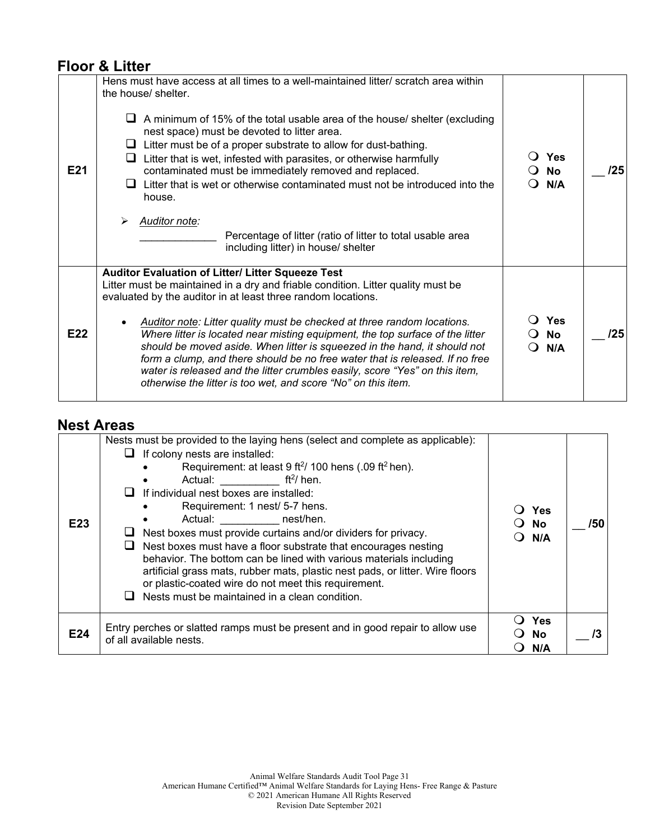#### **Floor & Litter**

| E21 | Hens must have access at all times to a well-maintained litter/ scratch area within<br>the house/ shelter.<br>A minimum of 15% of the total usable area of the house/ shelter (excluding<br>nest space) must be devoted to litter area.<br>$\Box$ Litter must be of a proper substrate to allow for dust-bathing.<br>Litter that is wet, infested with parasites, or otherwise harmfully<br>⊔<br>contaminated must be immediately removed and replaced.<br>$\Box$ Litter that is wet or otherwise contaminated must not be introduced into the<br>house.<br><b>Auditor note:</b><br>➤<br>Percentage of litter (ratio of litter to total usable area<br>including litter) in house/ shelter | <b>Yes</b><br><b>No</b><br>N/A<br>$\Omega$ | /25 |
|-----|--------------------------------------------------------------------------------------------------------------------------------------------------------------------------------------------------------------------------------------------------------------------------------------------------------------------------------------------------------------------------------------------------------------------------------------------------------------------------------------------------------------------------------------------------------------------------------------------------------------------------------------------------------------------------------------------|--------------------------------------------|-----|
| E22 | Auditor Evaluation of Litter/ Litter Squeeze Test<br>Litter must be maintained in a dry and friable condition. Litter quality must be<br>evaluated by the auditor in at least three random locations.<br>Auditor note: Litter quality must be checked at three random locations.<br>Where litter is located near misting equipment, the top surface of the litter<br>should be moved aside. When litter is squeezed in the hand, it should not<br>form a clump, and there should be no free water that is released. If no free<br>water is released and the litter crumbles easily, score "Yes" on this item,<br>otherwise the litter is too wet, and score "No" on this item.             | Yes<br><b>No</b><br>N/A                    | /25 |

#### **Nest Areas**

| E <sub>23</sub> | Nests must be provided to the laying hens (select and complete as applicable):<br>If colony nests are installed:<br>Requirement: at least $9$ ft <sup>2</sup> / 100 hens (.09 ft <sup>2</sup> hen).<br>Actual: $\frac{ft^2}{hen}$ .<br>If individual nest boxes are installed:<br>Requirement: 1 nest/ 5-7 hens.<br>Actual: nest/hen.<br>Nest boxes must provide curtains and/or dividers for privacy.<br>Nest boxes must have a floor substrate that encourages nesting<br>behavior. The bottom can be lined with various materials including<br>artificial grass mats, rubber mats, plastic nest pads, or litter. Wire floors<br>or plastic-coated wire do not meet this requirement.<br>Nests must be maintained in a clean condition. | Yes<br><b>No</b><br>N/A | /50 |
|-----------------|-------------------------------------------------------------------------------------------------------------------------------------------------------------------------------------------------------------------------------------------------------------------------------------------------------------------------------------------------------------------------------------------------------------------------------------------------------------------------------------------------------------------------------------------------------------------------------------------------------------------------------------------------------------------------------------------------------------------------------------------|-------------------------|-----|
| E24             | Entry perches or slatted ramps must be present and in good repair to allow use<br>of all available nests.                                                                                                                                                                                                                                                                                                                                                                                                                                                                                                                                                                                                                                 | Yes<br><b>No</b><br>N/A |     |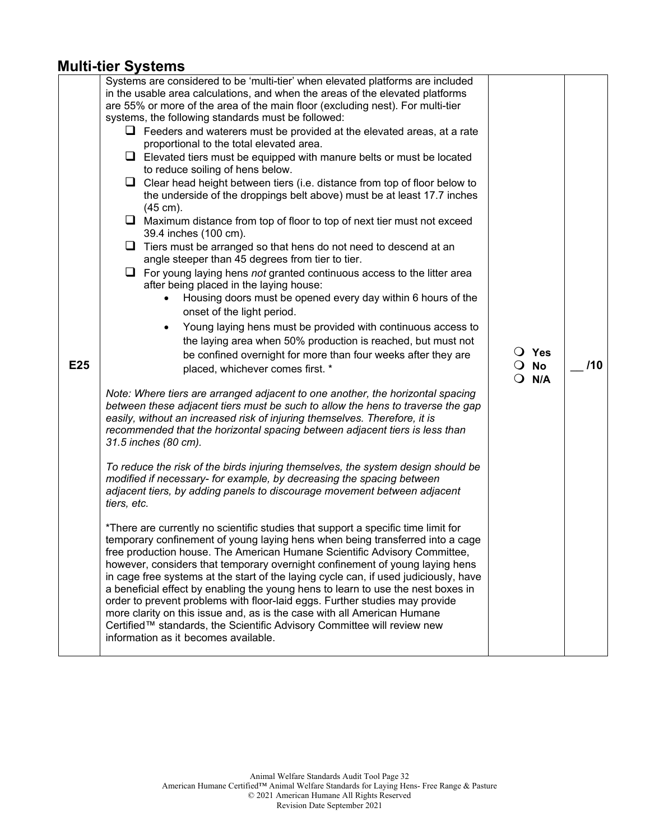#### **Multi-tier Systems**

| E25 | Systems are considered to be 'multi-tier' when elevated platforms are included<br>in the usable area calculations, and when the areas of the elevated platforms<br>are 55% or more of the area of the main floor (excluding nest). For multi-tier<br>systems, the following standards must be followed:<br>$\Box$ Feeders and waterers must be provided at the elevated areas, at a rate<br>proportional to the total elevated area.<br>$\Box$ Elevated tiers must be equipped with manure belts or must be located<br>to reduce soiling of hens below.<br>$\Box$ Clear head height between tiers (i.e. distance from top of floor below to<br>the underside of the droppings belt above) must be at least 17.7 inches<br>$(45 \text{ cm})$ .<br>$\Box$ Maximum distance from top of floor to top of next tier must not exceed<br>39.4 inches (100 cm).<br>$\Box$ Tiers must be arranged so that hens do not need to descend at an<br>angle steeper than 45 degrees from tier to tier.<br>$\Box$ For young laying hens not granted continuous access to the litter area<br>after being placed in the laying house:<br>Housing doors must be opened every day within 6 hours of the<br>$\bullet$<br>onset of the light period.<br>Young laying hens must be provided with continuous access to<br>$\bullet$<br>the laying area when 50% production is reached, but must not<br>be confined overnight for more than four weeks after they are<br>placed, whichever comes first. *<br>Note: Where tiers are arranged adjacent to one another, the horizontal spacing<br>between these adjacent tiers must be such to allow the hens to traverse the gap<br>easily, without an increased risk of injuring themselves. Therefore, it is<br>recommended that the horizontal spacing between adjacent tiers is less than<br>31.5 inches (80 cm).<br>To reduce the risk of the birds injuring themselves, the system design should be<br>modified if necessary- for example, by decreasing the spacing between<br>adjacent tiers, by adding panels to discourage movement between adjacent<br>tiers, etc.<br>*There are currently no scientific studies that support a specific time limit for<br>temporary confinement of young laying hens when being transferred into a cage | $\Omega$ | $\bigcirc$ Yes<br>$\overline{O}$ No<br>N/A | 110 |
|-----|-------------------------------------------------------------------------------------------------------------------------------------------------------------------------------------------------------------------------------------------------------------------------------------------------------------------------------------------------------------------------------------------------------------------------------------------------------------------------------------------------------------------------------------------------------------------------------------------------------------------------------------------------------------------------------------------------------------------------------------------------------------------------------------------------------------------------------------------------------------------------------------------------------------------------------------------------------------------------------------------------------------------------------------------------------------------------------------------------------------------------------------------------------------------------------------------------------------------------------------------------------------------------------------------------------------------------------------------------------------------------------------------------------------------------------------------------------------------------------------------------------------------------------------------------------------------------------------------------------------------------------------------------------------------------------------------------------------------------------------------------------------------------------------------------------------------------------------------------------------------------------------------------------------------------------------------------------------------------------------------------------------------------------------------------------------------------------------------------------------------------------------------------------------------------------------------------------------------------------------------------------------------------|----------|--------------------------------------------|-----|
|     |                                                                                                                                                                                                                                                                                                                                                                                                                                                                                                                                                                                                                                                                                                                                                                                                                                                                                                                                                                                                                                                                                                                                                                                                                                                                                                                                                                                                                                                                                                                                                                                                                                                                                                                                                                                                                                                                                                                                                                                                                                                                                                                                                                                                                                                                         |          |                                            |     |
|     | free production house. The American Humane Scientific Advisory Committee,<br>however, considers that temporary overnight confinement of young laying hens<br>in cage free systems at the start of the laying cycle can, if used judiciously, have<br>a beneficial effect by enabling the young hens to learn to use the nest boxes in<br>order to prevent problems with floor-laid eggs. Further studies may provide<br>more clarity on this issue and, as is the case with all American Humane<br>Certified™ standards, the Scientific Advisory Committee will review new<br>information as it becomes available.                                                                                                                                                                                                                                                                                                                                                                                                                                                                                                                                                                                                                                                                                                                                                                                                                                                                                                                                                                                                                                                                                                                                                                                                                                                                                                                                                                                                                                                                                                                                                                                                                                                      |          |                                            |     |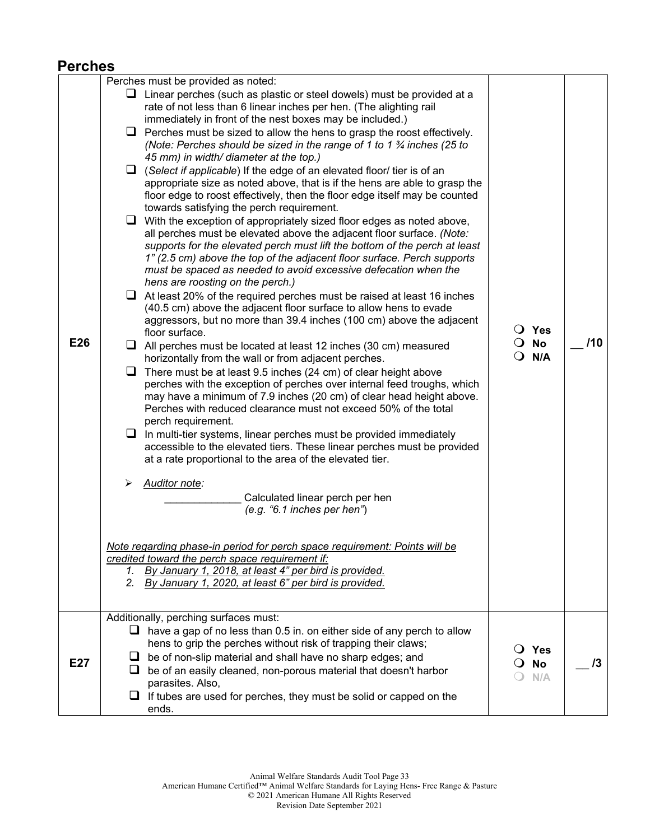### **Perches**

| Perches must be provided as noted:                                                                                                                                                                                                                                                                                                                                                                                                                                                                                                                                                                                                                                                                                                                                                                                                                                                                                                                                                                                                                                                                                                                                                                                                                                                                                                                                                                                                                                                                                                                                                                                                                                                                                                                                                                                                                                                                                                                           |                                                                                                                                                                                                                                                                                                                                             |                                                                                                                                                          |
|--------------------------------------------------------------------------------------------------------------------------------------------------------------------------------------------------------------------------------------------------------------------------------------------------------------------------------------------------------------------------------------------------------------------------------------------------------------------------------------------------------------------------------------------------------------------------------------------------------------------------------------------------------------------------------------------------------------------------------------------------------------------------------------------------------------------------------------------------------------------------------------------------------------------------------------------------------------------------------------------------------------------------------------------------------------------------------------------------------------------------------------------------------------------------------------------------------------------------------------------------------------------------------------------------------------------------------------------------------------------------------------------------------------------------------------------------------------------------------------------------------------------------------------------------------------------------------------------------------------------------------------------------------------------------------------------------------------------------------------------------------------------------------------------------------------------------------------------------------------------------------------------------------------------------------------------------------------|---------------------------------------------------------------------------------------------------------------------------------------------------------------------------------------------------------------------------------------------------------------------------------------------------------------------------------------------|----------------------------------------------------------------------------------------------------------------------------------------------------------|
| $\Box$ Linear perches (such as plastic or steel dowels) must be provided at a<br>rate of not less than 6 linear inches per hen. (The alighting rail<br>immediately in front of the nest boxes may be included.)<br>Perches must be sized to allow the hens to grasp the roost effectively.<br>ப<br>(Note: Perches should be sized in the range of 1 to 1 $\frac{3}{4}$ inches (25 to<br>45 mm) in width/ diameter at the top.)<br>$\Box$ (Select if applicable) If the edge of an elevated floor/ tier is of an<br>floor edge to roost effectively, then the floor edge itself may be counted<br>towards satisfying the perch requirement.<br>$\Box$ With the exception of appropriately sized floor edges as noted above,<br>all perches must be elevated above the adjacent floor surface. (Note:<br>1" (2.5 cm) above the top of the adjacent floor surface. Perch supports<br>must be spaced as needed to avoid excessive defecation when the<br>hens are roosting on the perch.)<br>$\Box$ At least 20% of the required perches must be raised at least 16 inches<br>(40.5 cm) above the adjacent floor surface to allow hens to evade<br>floor surface.<br>$\Box$ All perches must be located at least 12 inches (30 cm) measured<br>horizontally from the wall or from adjacent perches.<br>$\Box$ There must be at least 9.5 inches (24 cm) of clear height above<br>Perches with reduced clearance must not exceed 50% of the total<br>perch requirement.<br>$\Box$ In multi-tier systems, linear perches must be provided immediately<br>at a rate proportional to the area of the elevated tier.<br>Auditor note:<br>⋗<br>Calculated linear perch per hen<br>(e.g. '6.1 inches per hen')<br>Note regarding phase-in period for perch space requirement: Points will be<br>credited toward the perch space requirement if:<br>By January 1, 2018, at least 4" per bird is provided.<br>By January 1, 2020, at least 6" per bird is provided.<br>2. | $\bigcirc$ Yes<br>$\overline{O}$ No<br>$Q$ N/A                                                                                                                                                                                                                                                                                              | /10                                                                                                                                                      |
|                                                                                                                                                                                                                                                                                                                                                                                                                                                                                                                                                                                                                                                                                                                                                                                                                                                                                                                                                                                                                                                                                                                                                                                                                                                                                                                                                                                                                                                                                                                                                                                                                                                                                                                                                                                                                                                                                                                                                              |                                                                                                                                                                                                                                                                                                                                             |                                                                                                                                                          |
| $\Box$ have a gap of no less than 0.5 in. on either side of any perch to allow<br>hens to grip the perches without risk of trapping their claws;<br>be of non-slip material and shall have no sharp edges; and<br>⊔<br>be of an easily cleaned, non-porous material that doesn't harbor<br>parasites. Also,<br>If tubes are used for perches, they must be solid or capped on the<br>⊔<br>ends.                                                                                                                                                                                                                                                                                                                                                                                                                                                                                                                                                                                                                                                                                                                                                                                                                                                                                                                                                                                                                                                                                                                                                                                                                                                                                                                                                                                                                                                                                                                                                              | Yes<br>$\Omega$<br><b>No</b><br>0<br>N/A                                                                                                                                                                                                                                                                                                    | /3                                                                                                                                                       |
|                                                                                                                                                                                                                                                                                                                                                                                                                                                                                                                                                                                                                                                                                                                                                                                                                                                                                                                                                                                                                                                                                                                                                                                                                                                                                                                                                                                                                                                                                                                                                                                                                                                                                                                                                                                                                                                                                                                                                              | aggressors, but no more than 39.4 inches (100 cm) above the adjacent<br>perches with the exception of perches over internal feed troughs, which<br>may have a minimum of 7.9 inches (20 cm) of clear head height above.<br>accessible to the elevated tiers. These linear perches must be provided<br>Additionally, perching surfaces must: | appropriate size as noted above, that is if the hens are able to grasp the<br>supports for the elevated perch must lift the bottom of the perch at least |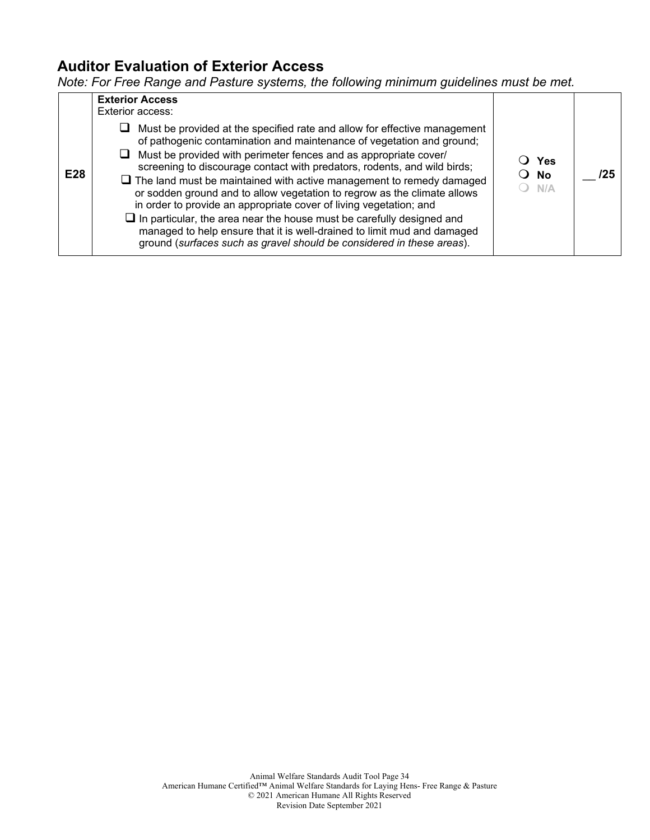#### **Auditor Evaluation of Exterior Access**

*Note: For Free Range and Pasture systems, the following minimum guidelines must be met.*

| E <sub>28</sub> | <b>Exterior Access</b><br><b>Exterior access:</b><br>Must be provided at the specified rate and allow for effective management<br>ப<br>of pathogenic contamination and maintenance of vegetation and ground;<br>Must be provided with perimeter fences and as appropriate cover/<br>ப<br>screening to discourage contact with predators, rodents, and wild birds;<br>$\Box$ The land must be maintained with active management to remedy damaged<br>or sodden ground and to allow vegetation to regrow as the climate allows<br>in order to provide an appropriate cover of living vegetation; and<br>$\Box$ In particular, the area near the house must be carefully designed and<br>managed to help ensure that it is well-drained to limit mud and damaged<br>ground (surfaces such as gravel should be considered in these areas). | Yes<br>No<br>N/A | /25 |
|-----------------|----------------------------------------------------------------------------------------------------------------------------------------------------------------------------------------------------------------------------------------------------------------------------------------------------------------------------------------------------------------------------------------------------------------------------------------------------------------------------------------------------------------------------------------------------------------------------------------------------------------------------------------------------------------------------------------------------------------------------------------------------------------------------------------------------------------------------------------|------------------|-----|
|-----------------|----------------------------------------------------------------------------------------------------------------------------------------------------------------------------------------------------------------------------------------------------------------------------------------------------------------------------------------------------------------------------------------------------------------------------------------------------------------------------------------------------------------------------------------------------------------------------------------------------------------------------------------------------------------------------------------------------------------------------------------------------------------------------------------------------------------------------------------|------------------|-----|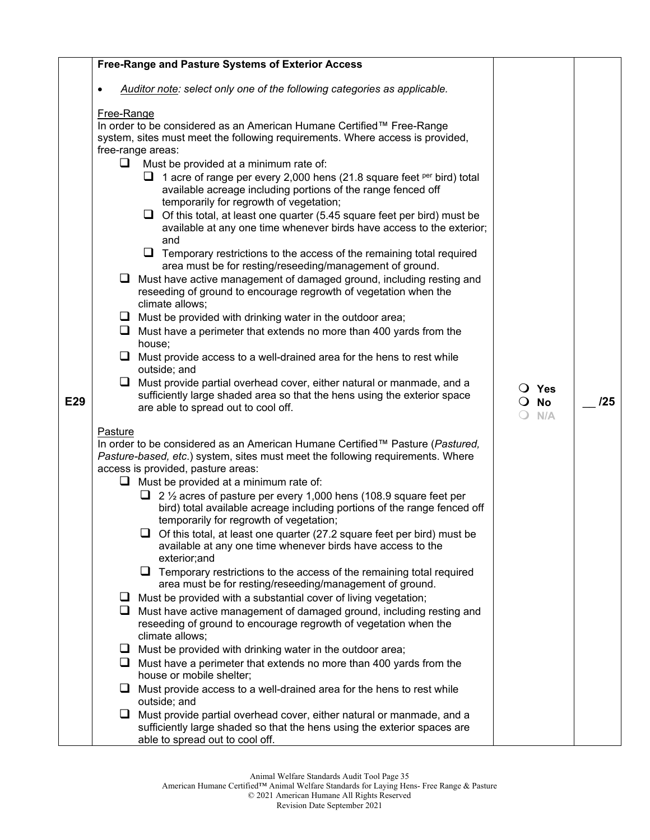|     |            | Free-Range and Pasture Systems of Exterior Access                                                                                                                                              |                       |     |
|-----|------------|------------------------------------------------------------------------------------------------------------------------------------------------------------------------------------------------|-----------------------|-----|
|     |            | Auditor note: select only one of the following categories as applicable.                                                                                                                       |                       |     |
|     | Free-Range |                                                                                                                                                                                                |                       |     |
|     |            | In order to be considered as an American Humane Certified™ Free-Range                                                                                                                          |                       |     |
|     |            | system, sites must meet the following requirements. Where access is provided,                                                                                                                  |                       |     |
|     |            | free-range areas:                                                                                                                                                                              |                       |     |
|     | ⊔          | Must be provided at a minimum rate of:                                                                                                                                                         |                       |     |
|     |            | 1 acre of range per every 2,000 hens (21.8 square feet <sup>per</sup> bird) total<br>available acreage including portions of the range fenced off<br>temporarily for regrowth of vegetation;   |                       |     |
|     |            | Of this total, at least one quarter (5.45 square feet per bird) must be<br>⊔<br>available at any one time whenever birds have access to the exterior;<br>and                                   |                       |     |
|     |            | $\Box$ Temporary restrictions to the access of the remaining total required<br>area must be for resting/reseeding/management of ground.                                                        |                       |     |
|     | ⊔          | Must have active management of damaged ground, including resting and<br>reseeding of ground to encourage regrowth of vegetation when the                                                       |                       |     |
|     | ⊔          | climate allows;<br>Must be provided with drinking water in the outdoor area;                                                                                                                   |                       |     |
|     | ⊔          | Must have a perimeter that extends no more than 400 yards from the                                                                                                                             |                       |     |
|     |            | house;                                                                                                                                                                                         |                       |     |
|     |            | $\Box$ Must provide access to a well-drained area for the hens to rest while<br>outside; and                                                                                                   |                       |     |
|     | Q.         | Must provide partial overhead cover, either natural or manmade, and a                                                                                                                          | $\bigcirc$ Yes        |     |
| E29 |            | sufficiently large shaded area so that the hens using the exterior space<br>are able to spread out to cool off.                                                                                | <b>No</b><br>$\Omega$ | /25 |
|     |            |                                                                                                                                                                                                | N/A<br>(              |     |
|     | Pasture    |                                                                                                                                                                                                |                       |     |
|     |            | In order to be considered as an American Humane Certified™ Pasture (Pastured,<br>Pasture-based, etc.) system, sites must meet the following requirements. Where                                |                       |     |
|     |            | access is provided, pasture areas:                                                                                                                                                             |                       |     |
|     |            | $\Box$ Must be provided at a minimum rate of:                                                                                                                                                  |                       |     |
|     |            | 2 1/2 acres of pasture per every 1,000 hens (108.9 square feet per<br>u<br>bird) total available acreage including portions of the range fenced off<br>temporarily for regrowth of vegetation; |                       |     |
|     |            | $\Box$ Of this total, at least one quarter (27.2 square feet per bird) must be<br>available at any one time whenever birds have access to the                                                  |                       |     |
|     |            | exterior;and<br>$\Box$ Temporary restrictions to the access of the remaining total required                                                                                                    |                       |     |
|     |            | area must be for resting/reseeding/management of ground.                                                                                                                                       |                       |     |
|     | ⊔          | Must be provided with a substantial cover of living vegetation;<br>Must have active management of damaged ground, including resting and                                                        |                       |     |
|     |            | reseeding of ground to encourage regrowth of vegetation when the<br>climate allows;                                                                                                            |                       |     |
|     | $\Box$     | Must be provided with drinking water in the outdoor area;                                                                                                                                      |                       |     |
|     | u.         | Must have a perimeter that extends no more than 400 yards from the                                                                                                                             |                       |     |
|     |            | house or mobile shelter;                                                                                                                                                                       |                       |     |
|     | ⊔          | Must provide access to a well-drained area for the hens to rest while<br>outside; and                                                                                                          |                       |     |
|     | ⊔          | Must provide partial overhead cover, either natural or manmade, and a<br>sufficiently large shaded so that the hens using the exterior spaces are                                              |                       |     |
|     |            | able to spread out to cool off.                                                                                                                                                                |                       |     |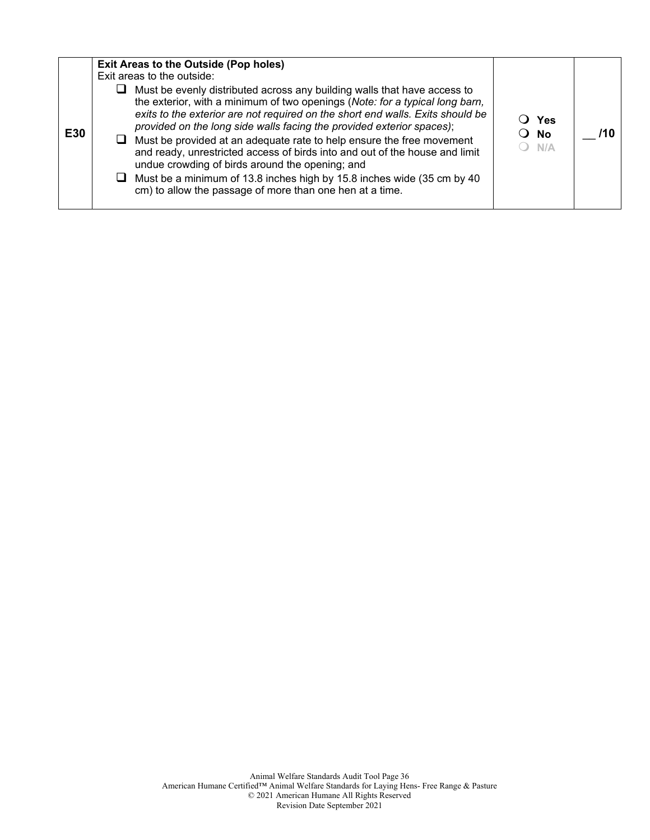|  | E30 | ப | <b>Exit Areas to the Outside (Pop holes)</b><br>Exit areas to the outside:<br>Must be evenly distributed across any building walls that have access to<br>the exterior, with a minimum of two openings (Note: for a typical long barn,<br>exits to the exterior are not required on the short end walls. Exits should be<br>provided on the long side walls facing the provided exterior spaces);<br>Must be provided at an adequate rate to help ensure the free movement<br>and ready, unrestricted access of birds into and out of the house and limit<br>undue crowding of birds around the opening; and<br>Must be a minimum of 13.8 inches high by 15.8 inches wide (35 cm by 40<br>cm) to allow the passage of more than one hen at a time. | $\Omega$ | ○ Yes<br>No<br>N/A | 71 O |
|--|-----|---|----------------------------------------------------------------------------------------------------------------------------------------------------------------------------------------------------------------------------------------------------------------------------------------------------------------------------------------------------------------------------------------------------------------------------------------------------------------------------------------------------------------------------------------------------------------------------------------------------------------------------------------------------------------------------------------------------------------------------------------------------|----------|--------------------|------|
|  |     |   |                                                                                                                                                                                                                                                                                                                                                                                                                                                                                                                                                                                                                                                                                                                                                    |          |                    |      |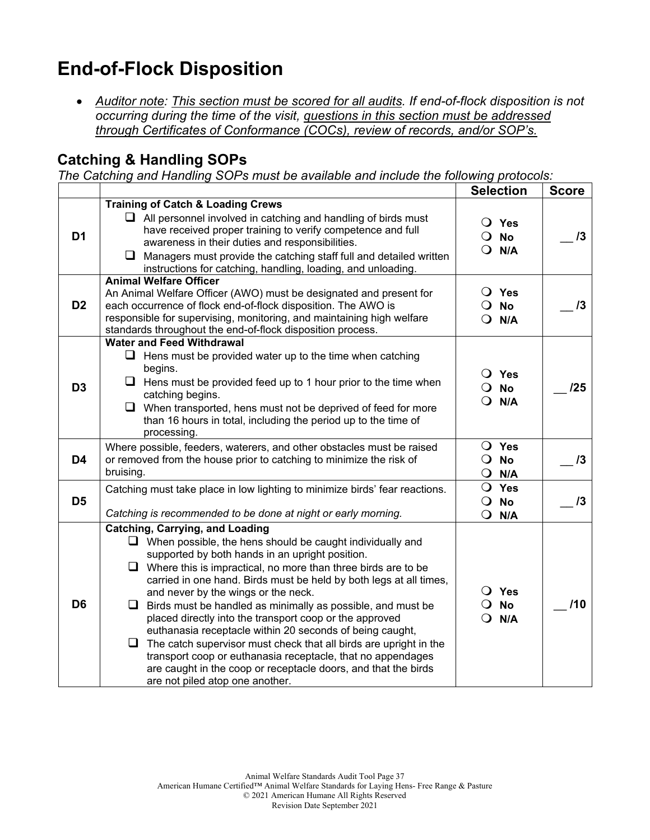## **End-of-Flock Disposition**

• *Auditor note: This section must be scored for all audits. If end-of-flock disposition is not occurring during the time of the visit, questions in this section must be addressed through Certificates of Conformance (COCs), review of records, and/or SOP's.*

### **Catching & Handling SOPs**

*The Catching and Handling SOPs must be available and include the following protocols:*

|                |                                                                                                                                                                                                                                                                                                                                                                                                                                                                                                                                                                                                                                                                                                                                                                                               | <b>Selection</b>                                             | <b>Score</b> |
|----------------|-----------------------------------------------------------------------------------------------------------------------------------------------------------------------------------------------------------------------------------------------------------------------------------------------------------------------------------------------------------------------------------------------------------------------------------------------------------------------------------------------------------------------------------------------------------------------------------------------------------------------------------------------------------------------------------------------------------------------------------------------------------------------------------------------|--------------------------------------------------------------|--------------|
| D <sub>1</sub> | <b>Training of Catch &amp; Loading Crews</b><br>$\Box$ All personnel involved in catching and handling of birds must<br>have received proper training to verify competence and full<br>awareness in their duties and responsibilities.<br>⊔<br>Managers must provide the catching staff full and detailed written<br>instructions for catching, handling, loading, and unloading.                                                                                                                                                                                                                                                                                                                                                                                                             | $\bigcirc$ Yes<br><b>No</b><br>$\Omega$<br>$\circ$<br>N/A    | 13           |
| D <sub>2</sub> | <b>Animal Welfare Officer</b><br>An Animal Welfare Officer (AWO) must be designated and present for<br>each occurrence of flock end-of-flock disposition. The AWO is<br>responsible for supervising, monitoring, and maintaining high welfare<br>standards throughout the end-of-flock disposition process.                                                                                                                                                                                                                                                                                                                                                                                                                                                                                   | $\bigcirc$ Yes<br>$\overline{O}$ No<br>$Q$ N/A               | 13           |
| D <sub>3</sub> | <b>Water and Feed Withdrawal</b><br>Hens must be provided water up to the time when catching<br>⊔<br>begins.<br>Hens must be provided feed up to 1 hour prior to the time when<br>ப<br>catching begins.<br>$\Box$ When transported, hens must not be deprived of feed for more<br>than 16 hours in total, including the period up to the time of<br>processing.                                                                                                                                                                                                                                                                                                                                                                                                                               | $\overline{O}$ Yes<br><b>No</b><br>$\cup$<br>N/A<br>$\Omega$ | /25          |
| D <sub>4</sub> | Where possible, feeders, waterers, and other obstacles must be raised<br>or removed from the house prior to catching to minimize the risk of<br>bruising.                                                                                                                                                                                                                                                                                                                                                                                                                                                                                                                                                                                                                                     | O Yes<br>$\bigcirc$ No<br>$\bullet$<br>N/A                   | 13           |
| D <sub>5</sub> | Catching must take place in low lighting to minimize birds' fear reactions.<br>Catching is recommended to be done at night or early morning.                                                                                                                                                                                                                                                                                                                                                                                                                                                                                                                                                                                                                                                  | O Yes<br>$\overline{O}$ No<br>$\mathbf O$<br>N/A             | 13           |
| D <sub>6</sub> | <b>Catching, Carrying, and Loading</b><br>$\Box$ When possible, the hens should be caught individually and<br>supported by both hands in an upright position.<br>$\Box$ Where this is impractical, no more than three birds are to be<br>carried in one hand. Birds must be held by both legs at all times,<br>and never by the wings or the neck.<br>$\Box$ Birds must be handled as minimally as possible, and must be<br>placed directly into the transport coop or the approved<br>euthanasia receptacle within 20 seconds of being caught,<br>The catch supervisor must check that all birds are upright in the<br>❏<br>transport coop or euthanasia receptacle, that no appendages<br>are caught in the coop or receptacle doors, and that the birds<br>are not piled atop one another. | O Yes<br><b>No</b><br>$\Omega$<br>$Q$ N/A                    | 110          |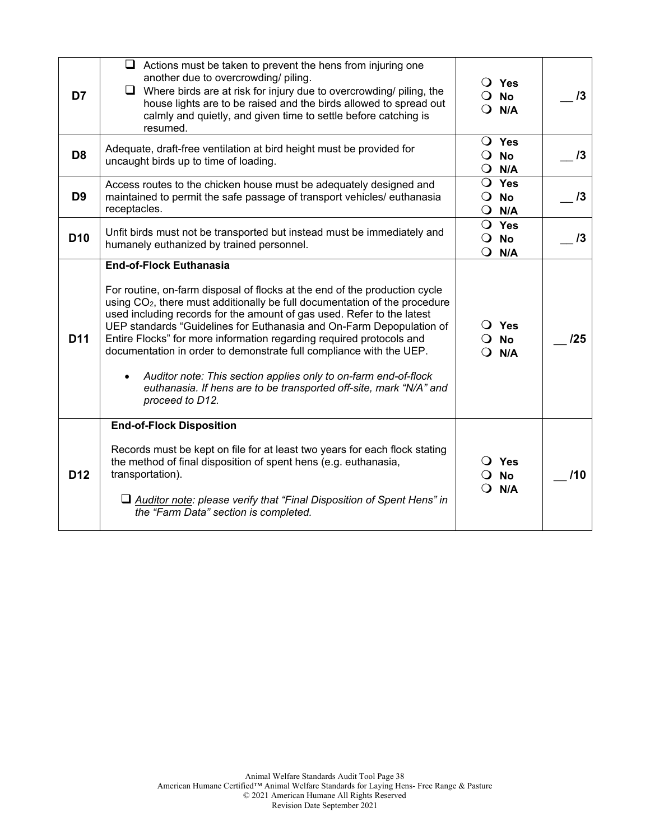| D7              | $\Box$ Actions must be taken to prevent the hens from injuring one<br>another due to overcrowding/ piling.<br>Where birds are at risk for injury due to overcrowding/ piling, the<br>⊔<br>house lights are to be raised and the birds allowed to spread out<br>calmly and quietly, and given time to settle before catching is<br>resumed.                                                                                                                                                                                                                                                                                                                                       | $\bigcirc$ Yes<br><b>No</b><br>$\Omega$<br>N/A<br>$\Omega$     | 13         |
|-----------------|----------------------------------------------------------------------------------------------------------------------------------------------------------------------------------------------------------------------------------------------------------------------------------------------------------------------------------------------------------------------------------------------------------------------------------------------------------------------------------------------------------------------------------------------------------------------------------------------------------------------------------------------------------------------------------|----------------------------------------------------------------|------------|
| D <sub>8</sub>  | Adequate, draft-free ventilation at bird height must be provided for<br>uncaught birds up to time of loading.                                                                                                                                                                                                                                                                                                                                                                                                                                                                                                                                                                    | $\bigcirc$ Yes<br>$\bullet$<br><b>No</b><br>$\bullet$<br>N/A   | 13         |
| D <sub>9</sub>  | Access routes to the chicken house must be adequately designed and<br>maintained to permit the safe passage of transport vehicles/ euthanasia<br>receptacles.                                                                                                                                                                                                                                                                                                                                                                                                                                                                                                                    | O Yes<br>$\Omega$<br><b>No</b><br>$Q$ N/A                      | 13         |
| D <sub>10</sub> | Unfit birds must not be transported but instead must be immediately and<br>humanely euthanized by trained personnel.                                                                                                                                                                                                                                                                                                                                                                                                                                                                                                                                                             | O Yes<br>$\overline{O}$ No<br>$Q$ N/A                          | $\sqrt{3}$ |
| D <sub>11</sub> | <b>End-of-Flock Euthanasia</b><br>For routine, on-farm disposal of flocks at the end of the production cycle<br>using CO <sub>2</sub> , there must additionally be full documentation of the procedure<br>used including records for the amount of gas used. Refer to the latest<br>UEP standards "Guidelines for Euthanasia and On-Farm Depopulation of<br>Entire Flocks" for more information regarding required protocols and<br>documentation in order to demonstrate full compliance with the UEP.<br>Auditor note: This section applies only to on-farm end-of-flock<br>$\bullet$<br>euthanasia. If hens are to be transported off-site, mark "N/A" and<br>proceed to D12. | $\overline{O}$ Yes<br><b>No</b><br>$\Omega$<br>N/A<br>$\Omega$ | /25        |
| <b>D12</b>      | <b>End-of-Flock Disposition</b><br>Records must be kept on file for at least two years for each flock stating<br>the method of final disposition of spent hens (e.g. euthanasia,<br>transportation).<br>Auditor note: please verify that "Final Disposition of Spent Hens" in<br>the "Farm Data" section is completed.                                                                                                                                                                                                                                                                                                                                                           | $\bigcirc$ Yes<br><b>No</b><br>N/A                             | /10        |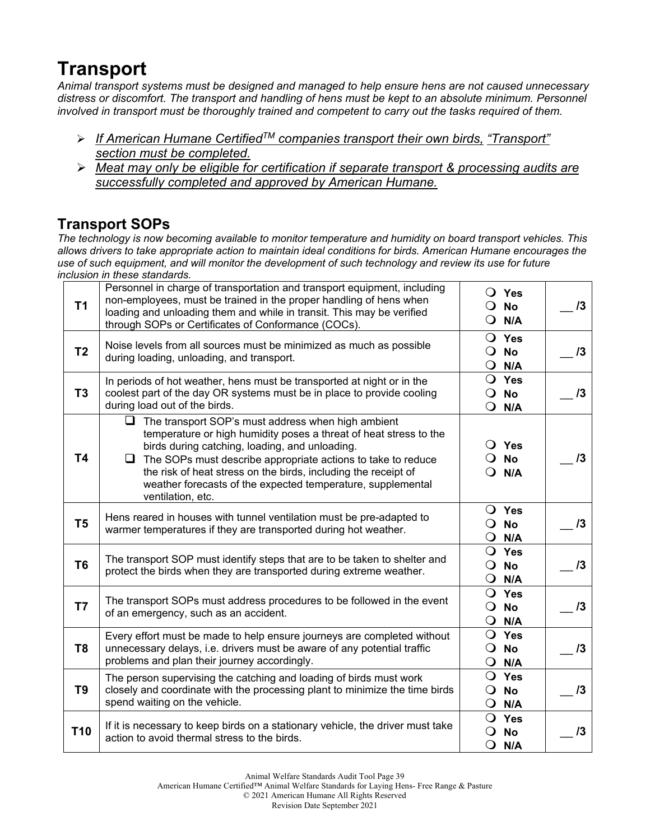## **Transport**

*Animal transport systems must be designed and managed to help ensure hens are not caused unnecessary distress or discomfort. The transport and handling of hens must be kept to an absolute minimum. Personnel involved in transport must be thoroughly trained and competent to carry out the tasks required of them.*

- *If American Humane CertifiedTM companies transport their own birds, "Transport" section must be completed.*
- *Meat may only be eligible for certification if separate transport & processing audits are successfully completed and approved by American Humane.*

## **Transport SOPs**

*The technology is now becoming available to monitor temperature and humidity on board transport vehicles. This allows drivers to take appropriate action to maintain ideal conditions for birds. American Humane encourages the use of such equipment, and will monitor the development of such technology and review its use for future inclusion in these standards.* 

| T <sub>1</sub>  | Personnel in charge of transportation and transport equipment, including<br>non-employees, must be trained in the proper handling of hens when<br>loading and unloading them and while in transit. This may be verified<br>through SOPs or Certificates of Conformance (COCs).                                                                                                                                  | $\bullet$  | O Yes<br>$\bigcirc$ No<br>N/A                  | 13 |
|-----------------|-----------------------------------------------------------------------------------------------------------------------------------------------------------------------------------------------------------------------------------------------------------------------------------------------------------------------------------------------------------------------------------------------------------------|------------|------------------------------------------------|----|
| T <sub>2</sub>  | Noise levels from all sources must be minimized as much as possible<br>during loading, unloading, and transport.                                                                                                                                                                                                                                                                                                | $\circ$    | $\bigcirc$ Yes<br><b>No</b><br>$Q$ N/A         | 13 |
| T <sub>3</sub>  | In periods of hot weather, hens must be transported at night or in the<br>coolest part of the day OR systems must be in place to provide cooling<br>during load out of the birds.                                                                                                                                                                                                                               |            | O Yes<br>$\bigcirc$ No<br>$Q$ N/A              | 13 |
| T4              | $\Box$<br>The transport SOP's must address when high ambient<br>temperature or high humidity poses a threat of heat stress to the<br>birds during catching, loading, and unloading.<br>The SOPs must describe appropriate actions to take to reduce<br>u.<br>the risk of heat stress on the birds, including the receipt of<br>weather forecasts of the expected temperature, supplemental<br>ventilation, etc. | $\Omega$   | O Yes<br>$\overline{O}$ No<br>N/A              | 13 |
| T <sub>5</sub>  | Hens reared in houses with tunnel ventilation must be pre-adapted to<br>warmer temperatures if they are transported during hot weather.                                                                                                                                                                                                                                                                         | $\bullet$  | $\overline{O}$ Yes<br>$\overline{O}$ No<br>N/A | 13 |
| T <sub>6</sub>  | The transport SOP must identify steps that are to be taken to shelter and<br>protect the birds when they are transported during extreme weather.                                                                                                                                                                                                                                                                | $\bullet$  | O Yes<br>$\overline{O}$ No<br>N/A              | 13 |
| T7              | The transport SOPs must address procedures to be followed in the event<br>of an emergency, such as an accident.                                                                                                                                                                                                                                                                                                 | $\bigcirc$ | O Yes<br>$\overline{O}$ No<br>N/A              | 13 |
| T <sub>8</sub>  | Every effort must be made to help ensure journeys are completed without<br>unnecessary delays, i.e. drivers must be aware of any potential traffic<br>problems and plan their journey accordingly.                                                                                                                                                                                                              |            | $\bigcirc$ Yes<br>$\overline{O}$ No<br>$Q$ N/A | 13 |
| T <sub>9</sub>  | The person supervising the catching and loading of birds must work<br>closely and coordinate with the processing plant to minimize the time birds<br>spend waiting on the vehicle.                                                                                                                                                                                                                              |            | $\bigcirc$ Yes<br>$\overline{O}$ No<br>$Q$ N/A | 13 |
| T <sub>10</sub> | If it is necessary to keep birds on a stationary vehicle, the driver must take<br>action to avoid thermal stress to the birds.                                                                                                                                                                                                                                                                                  |            | O Yes<br>$\overline{O}$ No<br>$Q$ N/A          | 13 |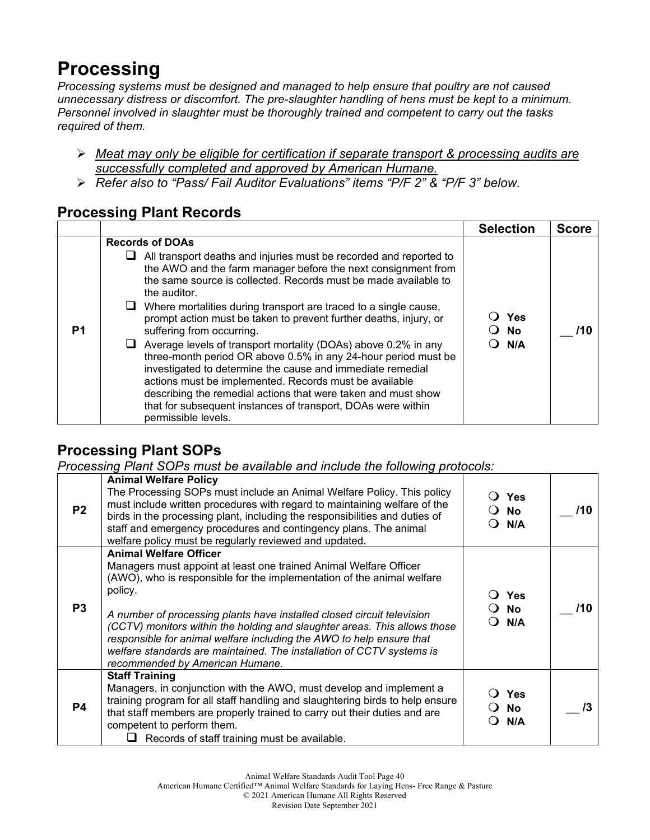## **Processing**

*Processing systems must be designed and managed to help ensure that poultry are not caused unnecessary distress or discomfort. The pre-slaughter handling of hens must be kept to a minimum. Personnel involved in slaughter must be thoroughly trained and competent to carry out the tasks required of them.*

- *Meat may only be eligible for certification if separate transport & processing audits are successfully completed and approved by American Humane.*
- *Refer also to "Pass/ Fail Auditor Evaluations" items "P/F 2" & "P/F 3" below.*

#### **Processing Plant Records**

|    |                                                                                                                                                                                                                                                                                                                                                                                                                                                                                                                                                                                                                                                                                                                                                                                                                                                 | <b>Selection</b>   | <b>Score</b> |
|----|-------------------------------------------------------------------------------------------------------------------------------------------------------------------------------------------------------------------------------------------------------------------------------------------------------------------------------------------------------------------------------------------------------------------------------------------------------------------------------------------------------------------------------------------------------------------------------------------------------------------------------------------------------------------------------------------------------------------------------------------------------------------------------------------------------------------------------------------------|--------------------|--------------|
| P1 | <b>Records of DOAs</b><br>All transport deaths and injuries must be recorded and reported to<br>⊔<br>the AWO and the farm manager before the next consignment from<br>the same source is collected. Records must be made available to<br>the auditor.<br>Where mortalities during transport are traced to a single cause,<br>prompt action must be taken to prevent further deaths, injury, or<br>suffering from occurring.<br>Average levels of transport mortality (DOAs) above 0.2% in any<br>three-month period OR above 0.5% in any 24-hour period must be<br>investigated to determine the cause and immediate remedial<br>actions must be implemented. Records must be available<br>describing the remedial actions that were taken and must show<br>that for subsequent instances of transport, DOAs were within<br>permissible levels. | Yes<br>○ No<br>N/A | 71 O         |

## **Processing Plant SOPs**

*Processing Plant SOPs must be available and include the following protocols:*

| P <sub>2</sub> | <b>Animal Welfare Policy</b><br>The Processing SOPs must include an Animal Welfare Policy. This policy<br>must include written procedures with regard to maintaining welfare of the<br>birds in the processing plant, including the responsibilities and duties of<br>staff and emergency procedures and contingency plans. The animal<br>welfare policy must be regularly reviewed and updated.                                                                                                                                   | <b>Yes</b><br><b>No</b><br>N/A | /10 |
|----------------|------------------------------------------------------------------------------------------------------------------------------------------------------------------------------------------------------------------------------------------------------------------------------------------------------------------------------------------------------------------------------------------------------------------------------------------------------------------------------------------------------------------------------------|--------------------------------|-----|
| P <sub>3</sub> | <b>Animal Welfare Officer</b><br>Managers must appoint at least one trained Animal Welfare Officer<br>(AWO), who is responsible for the implementation of the animal welfare<br>policy.<br>A number of processing plants have installed closed circuit television<br>(CCTV) monitors within the holding and slaughter areas. This allows those<br>responsible for animal welfare including the AWO to help ensure that<br>welfare standards are maintained. The installation of CCTV systems is<br>recommended by American Humane. | Yes<br><b>No</b><br>N/A        | /10 |
| <b>P4</b>      | <b>Staff Training</b><br>Managers, in conjunction with the AWO, must develop and implement a<br>training program for all staff handling and slaughtering birds to help ensure<br>that staff members are properly trained to carry out their duties and are<br>competent to perform them.<br>Records of staff training must be available.                                                                                                                                                                                           | Yes<br>No<br>N/A               | /3  |

Animal Welfare Standards Audit Tool Page 40

American Humane Certified™ Animal Welfare Standards for Laying Hens- Free Range & Pasture

© 2021 American Humane All Rights Reserved

Revision Date September 2021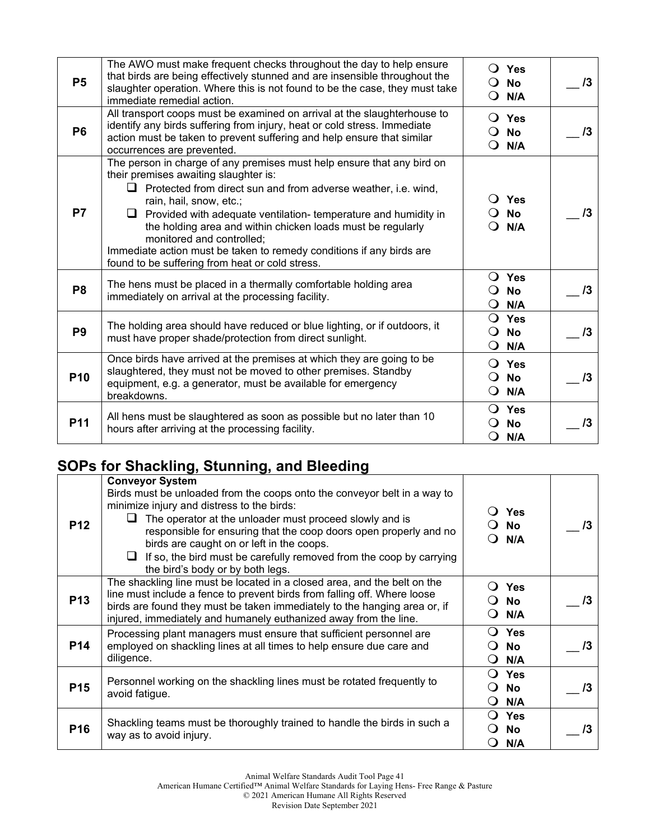| <b>P5</b>       | The AWO must make frequent checks throughout the day to help ensure<br>that birds are being effectively stunned and are insensible throughout the<br>slaughter operation. Where this is not found to be the case, they must take<br>immediate remedial action.                                                                                                                                                                                                                                                       |                                      | $\bigcirc$ Yes<br>$\bigcirc$ No<br>$\bigcirc$ N/A | $\sqrt{3}$ |
|-----------------|----------------------------------------------------------------------------------------------------------------------------------------------------------------------------------------------------------------------------------------------------------------------------------------------------------------------------------------------------------------------------------------------------------------------------------------------------------------------------------------------------------------------|--------------------------------------|---------------------------------------------------|------------|
| <b>P6</b>       | All transport coops must be examined on arrival at the slaughterhouse to<br>identify any birds suffering from injury, heat or cold stress. Immediate<br>action must be taken to prevent suffering and help ensure that similar<br>occurrences are prevented.                                                                                                                                                                                                                                                         | $\Omega$                             | $\overline{O}$ Yes<br>$\bigcirc$ No<br>N/A        | 13         |
| <b>P7</b>       | The person in charge of any premises must help ensure that any bird on<br>their premises awaiting slaughter is:<br>$\Box$ Protected from direct sun and from adverse weather, i.e. wind,<br>rain, hail, snow, etc.;<br>$\Box$ Provided with adequate ventilation- temperature and humidity in<br>the holding area and within chicken loads must be regularly<br>monitored and controlled;<br>Immediate action must be taken to remedy conditions if any birds are<br>found to be suffering from heat or cold stress. | $\Omega$                             | $\bigcirc$ Yes<br><b>No</b><br>$\bigcirc$ N/A     | /3         |
| P <sub>8</sub>  | The hens must be placed in a thermally comfortable holding area<br>immediately on arrival at the processing facility.                                                                                                                                                                                                                                                                                                                                                                                                | $\Omega$<br>Ő                        | $\bigcirc$ Yes<br>No<br>N/A                       | $\sqrt{3}$ |
| P <sub>9</sub>  | The holding area should have reduced or blue lighting, or if outdoors, it<br>must have proper shade/protection from direct sunlight.                                                                                                                                                                                                                                                                                                                                                                                 | Q<br>$\Omega$<br>O                   | Yes<br><b>No</b><br>N/A                           | $\sqrt{3}$ |
| P <sub>10</sub> | Once birds have arrived at the premises at which they are going to be<br>slaughtered, they must not be moved to other premises. Standby<br>equipment, e.g. a generator, must be available for emergency<br>breakdowns.                                                                                                                                                                                                                                                                                               | $\Omega$<br>$\Omega$<br>$\mathbf{O}$ | Yes<br><b>No</b><br>N/A                           | 13         |
| P11             | All hens must be slaughtered as soon as possible but no later than 10<br>hours after arriving at the processing facility.                                                                                                                                                                                                                                                                                                                                                                                            | O                                    | $\bigcirc$ Yes<br><b>No</b><br>N/A                | 13         |

## **SOPs for Shackling, Stunning, and Bleeding**

| <b>P12</b>      | <b>Conveyor System</b><br>Birds must be unloaded from the coops onto the conveyor belt in a way to<br>minimize injury and distress to the birds:<br>The operator at the unloader must proceed slowly and is<br>responsible for ensuring that the coop doors open properly and no<br>birds are caught on or left in the coops.<br>If so, the bird must be carefully removed from the coop by carrying<br>the bird's body or by both legs. | Yes<br>$\ddot{\phantom{1}}$<br>No.<br>N/A            | /3 |
|-----------------|------------------------------------------------------------------------------------------------------------------------------------------------------------------------------------------------------------------------------------------------------------------------------------------------------------------------------------------------------------------------------------------------------------------------------------------|------------------------------------------------------|----|
| <b>P13</b>      | The shackling line must be located in a closed area, and the belt on the<br>line must include a fence to prevent birds from falling off. Where loose<br>birds are found they must be taken immediately to the hanging area or, if<br>injured, immediately and humanely euthanized away from the line.                                                                                                                                    | <b>Yes</b><br><b>No</b><br>N/A                       | /3 |
| <b>P14</b>      | Processing plant managers must ensure that sufficient personnel are<br>employed on shackling lines at all times to help ensure due care and<br>diligence.                                                                                                                                                                                                                                                                                | Yes<br><b>No</b><br>N/A<br>$\Omega$                  | /3 |
| <b>P15</b>      | Personnel working on the shackling lines must be rotated frequently to<br>avoid fatigue.                                                                                                                                                                                                                                                                                                                                                 | Yes<br>$\Omega$<br><b>No</b><br>0<br>N/A<br>$\Omega$ | /3 |
| P <sub>16</sub> | Shackling teams must be thoroughly trained to handle the birds in such a<br>way as to avoid injury.                                                                                                                                                                                                                                                                                                                                      | <b>Yes</b><br><b>No</b><br>N/A                       |    |

American Humane Certified™ Animal Welfare Standards for Laying Hens- Free Range & Pasture

© 2021 American Humane All Rights Reserved

Revision Date September 2021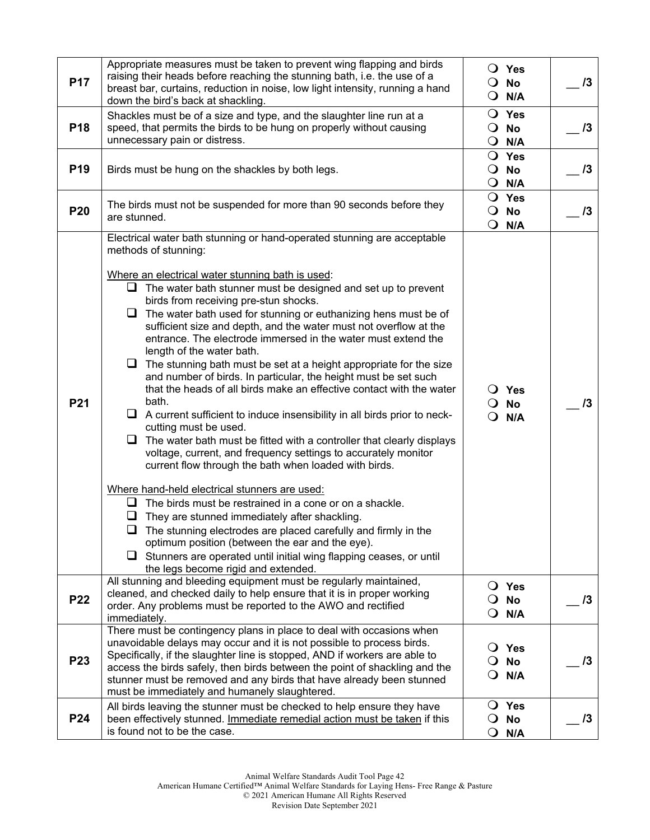| <b>P17</b>      | Appropriate measures must be taken to prevent wing flapping and birds<br>raising their heads before reaching the stunning bath, i.e. the use of a<br>breast bar, curtains, reduction in noise, low light intensity, running a hand<br>down the bird's back at shackling.                                                                                                                                                                                                                                                                                                                                                                                                                                                                                                                                                                                                                                                                                                                                                                                                                                                                                                                                                                                                                                                                                                                                                                                                                      | Yes<br>No<br>$\Omega$<br>N/A                                   | 13 |
|-----------------|-----------------------------------------------------------------------------------------------------------------------------------------------------------------------------------------------------------------------------------------------------------------------------------------------------------------------------------------------------------------------------------------------------------------------------------------------------------------------------------------------------------------------------------------------------------------------------------------------------------------------------------------------------------------------------------------------------------------------------------------------------------------------------------------------------------------------------------------------------------------------------------------------------------------------------------------------------------------------------------------------------------------------------------------------------------------------------------------------------------------------------------------------------------------------------------------------------------------------------------------------------------------------------------------------------------------------------------------------------------------------------------------------------------------------------------------------------------------------------------------------|----------------------------------------------------------------|----|
| P <sub>18</sub> | Shackles must be of a size and type, and the slaughter line run at a<br>speed, that permits the birds to be hung on properly without causing<br>unnecessary pain or distress.                                                                                                                                                                                                                                                                                                                                                                                                                                                                                                                                                                                                                                                                                                                                                                                                                                                                                                                                                                                                                                                                                                                                                                                                                                                                                                                 | $\overline{O}$ Yes<br>$\overline{O}$ No<br>$\mathbf{O}$<br>N/A | /3 |
| P <sub>19</sub> | Birds must be hung on the shackles by both legs.                                                                                                                                                                                                                                                                                                                                                                                                                                                                                                                                                                                                                                                                                                                                                                                                                                                                                                                                                                                                                                                                                                                                                                                                                                                                                                                                                                                                                                              | $\bigcirc$ Yes<br>$\overline{O}$ No<br>$Q$ N/A                 | 13 |
| <b>P20</b>      | The birds must not be suspended for more than 90 seconds before they<br>are stunned.                                                                                                                                                                                                                                                                                                                                                                                                                                                                                                                                                                                                                                                                                                                                                                                                                                                                                                                                                                                                                                                                                                                                                                                                                                                                                                                                                                                                          | O Yes<br>$\bigcirc$ No<br>$Q$ N/A                              | 13 |
| P21             | Electrical water bath stunning or hand-operated stunning are acceptable<br>methods of stunning:<br>Where an electrical water stunning bath is used:<br>$\Box$ The water bath stunner must be designed and set up to prevent<br>birds from receiving pre-stun shocks.<br>$\Box$ The water bath used for stunning or euthanizing hens must be of<br>sufficient size and depth, and the water must not overflow at the<br>entrance. The electrode immersed in the water must extend the<br>length of the water bath.<br>$\Box$ The stunning bath must be set at a height appropriate for the size<br>and number of birds. In particular, the height must be set such<br>that the heads of all birds make an effective contact with the water<br>bath.<br>$\Box$ A current sufficient to induce insensibility in all birds prior to neck-<br>cutting must be used.<br>$\Box$ The water bath must be fitted with a controller that clearly displays<br>voltage, current, and frequency settings to accurately monitor<br>current flow through the bath when loaded with birds.<br>Where hand-held electrical stunners are used:<br>$\Box$ The birds must be restrained in a cone or on a shackle.<br>They are stunned immediately after shackling.<br>$\Box$ The stunning electrodes are placed carefully and firmly in the<br>optimum position (between the ear and the eye).<br>$\Box$ Stunners are operated until initial wing flapping ceases, or until<br>the legs become rigid and extended. | $\bigcirc$ Yes<br>$\circ$<br>No<br>$Q$ N/A                     | 13 |
| <b>P22</b>      | All stunning and bleeding equipment must be regularly maintained,<br>cleaned, and checked daily to help ensure that it is in proper working<br>order. Any problems must be reported to the AWO and rectified<br>immediately.                                                                                                                                                                                                                                                                                                                                                                                                                                                                                                                                                                                                                                                                                                                                                                                                                                                                                                                                                                                                                                                                                                                                                                                                                                                                  | <b>Yes</b><br>$\cup$<br>O<br><b>No</b><br>$\mathsf{O}$<br>N/A  | 13 |
| <b>P23</b>      | There must be contingency plans in place to deal with occasions when<br>unavoidable delays may occur and it is not possible to process birds.<br>Specifically, if the slaughter line is stopped, AND if workers are able to<br>access the birds safely, then birds between the point of shackling and the<br>stunner must be removed and any birds that have already been stunned<br>must be immediately and humanely slaughtered.                                                                                                                                                                                                                                                                                                                                                                                                                                                                                                                                                                                                                                                                                                                                                                                                                                                                                                                                                                                                                                                            | <b>Yes</b><br>$\cup$<br>$\Omega$<br>No<br>$\mathbf{O}$<br>N/A  | 13 |
| P24             | All birds leaving the stunner must be checked to help ensure they have<br>been effectively stunned. Immediate remedial action must be taken if this<br>is found not to be the case.                                                                                                                                                                                                                                                                                                                                                                                                                                                                                                                                                                                                                                                                                                                                                                                                                                                                                                                                                                                                                                                                                                                                                                                                                                                                                                           | O Yes<br>$\mathbf{O}$<br>No<br>$\mathbf{O}$<br>N/A             | 13 |

© 2021 American Humane All Rights Reserved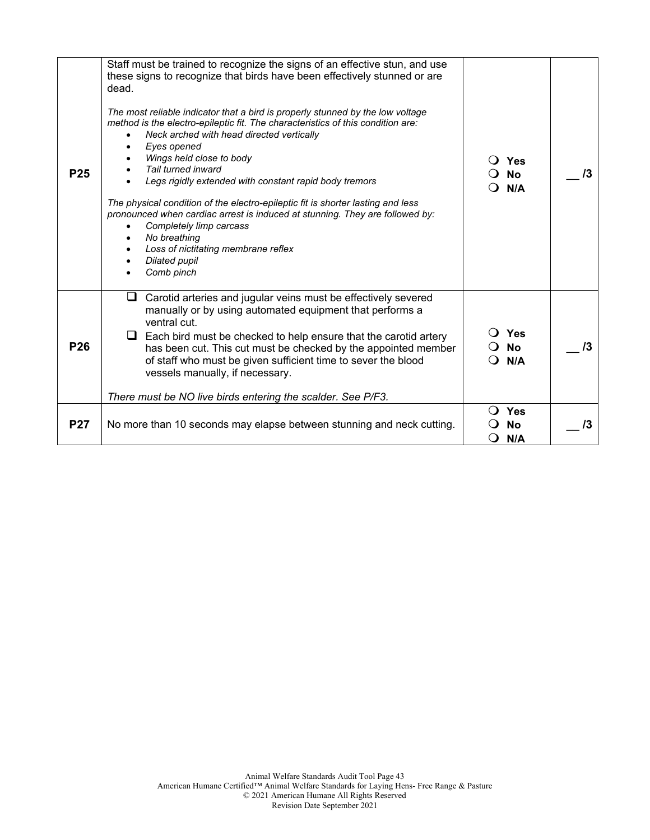| Staff must be trained to recognize the signs of an effective stun, and use<br>these signs to recognize that birds have been effectively stunned or are<br>dead.<br>The most reliable indicator that a bird is properly stunned by the low voltage<br>method is the electro-epileptic fit. The characteristics of this condition are:<br>Neck arched with head directed vertically<br>Eyes opened<br>Wings held close to body<br>Tail turned inward |          | Yes                            | 13                      |
|----------------------------------------------------------------------------------------------------------------------------------------------------------------------------------------------------------------------------------------------------------------------------------------------------------------------------------------------------------------------------------------------------------------------------------------------------|----------|--------------------------------|-------------------------|
| Legs rigidly extended with constant rapid body tremors<br>The physical condition of the electro-epileptic fit is shorter lasting and less<br>pronounced when cardiac arrest is induced at stunning. They are followed by:<br>Completely limp carcass<br>No breathing                                                                                                                                                                               |          | N/A                            |                         |
| Loss of nictitating membrane reflex<br>Dilated pupil<br>Comb pinch                                                                                                                                                                                                                                                                                                                                                                                 |          |                                |                         |
| Carotid arteries and jugular veins must be effectively severed<br>⊔<br>manually or by using automated equipment that performs a<br>ventral cut.<br>Each bird must be checked to help ensure that the carotid artery<br>⊔<br>has been cut. This cut must be checked by the appointed member<br>of staff who must be given sufficient time to sever the blood<br>vessels manually, if necessary.                                                     |          | <b>No</b>                      | /3                      |
| There must be NO live birds entering the scalder. See P/F3.                                                                                                                                                                                                                                                                                                                                                                                        |          |                                |                         |
| No more than 10 seconds may elapse between stunning and neck cutting.                                                                                                                                                                                                                                                                                                                                                                              | $\Omega$ | <b>Yes</b><br><b>No</b><br>N/A | /3                      |
|                                                                                                                                                                                                                                                                                                                                                                                                                                                    |          |                                | <b>No</b><br>Yes<br>N/A |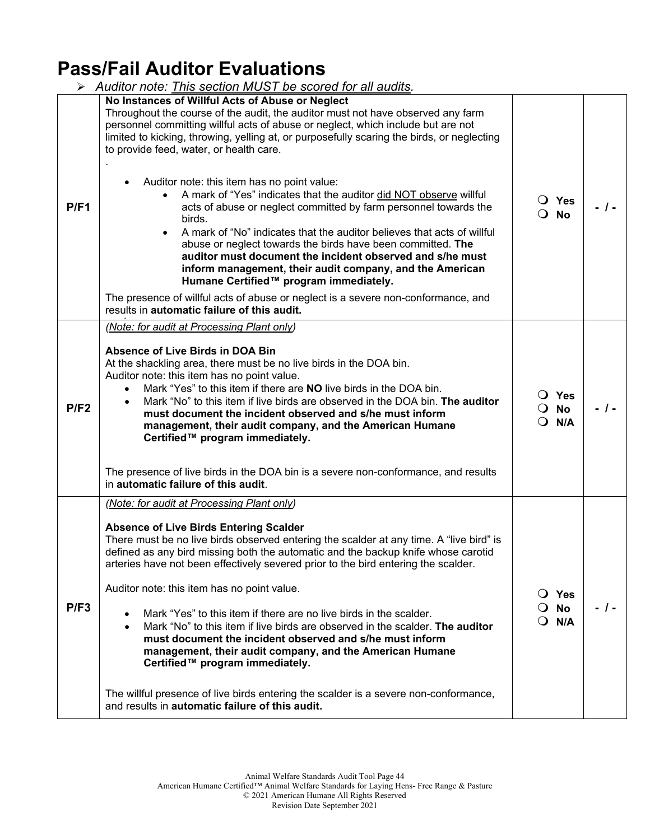## **Pass/Fail Auditor Evaluations**

|      | Auditor note: This section MUST be scored for all audits.                                                                                                                                                                                                                                                                                                                                                                                                                                                                                                                                                                                                                                                                                                                                                                                                                                                                                                                                                                                      |                                                        |      |
|------|------------------------------------------------------------------------------------------------------------------------------------------------------------------------------------------------------------------------------------------------------------------------------------------------------------------------------------------------------------------------------------------------------------------------------------------------------------------------------------------------------------------------------------------------------------------------------------------------------------------------------------------------------------------------------------------------------------------------------------------------------------------------------------------------------------------------------------------------------------------------------------------------------------------------------------------------------------------------------------------------------------------------------------------------|--------------------------------------------------------|------|
| P/F1 | No Instances of Willful Acts of Abuse or Neglect<br>Throughout the course of the audit, the auditor must not have observed any farm<br>personnel committing willful acts of abuse or neglect, which include but are not<br>limited to kicking, throwing, yelling at, or purposefully scaring the birds, or neglecting<br>to provide feed, water, or health care.<br>Auditor note: this item has no point value:<br>A mark of "Yes" indicates that the auditor did NOT observe willful<br>$\bullet$<br>acts of abuse or neglect committed by farm personnel towards the<br>birds.<br>A mark of "No" indicates that the auditor believes that acts of willful<br>$\bullet$<br>abuse or neglect towards the birds have been committed. The<br>auditor must document the incident observed and s/he must<br>inform management, their audit company, and the American<br>Humane Certified™ program immediately.<br>The presence of willful acts of abuse or neglect is a severe non-conformance, and<br>results in automatic failure of this audit. | $\overline{O}$ Yes<br>$\Omega$<br>No                   | - 1- |
| P/F2 | (Note: for audit at Processing Plant only)<br><b>Absence of Live Birds in DOA Bin</b><br>At the shackling area, there must be no live birds in the DOA bin.<br>Auditor note: this item has no point value.<br>Mark "Yes" to this item if there are <b>NO</b> live birds in the DOA bin.<br>$\bullet$<br>Mark "No" to this item if live birds are observed in the DOA bin. The auditor<br>must document the incident observed and s/he must inform<br>management, their audit company, and the American Humane<br>Certified™ program immediately.<br>The presence of live birds in the DOA bin is a severe non-conformance, and results<br>in automatic failure of this audit.                                                                                                                                                                                                                                                                                                                                                                  | $\overline{O}$ Yes<br><b>No</b><br>$\Omega$<br>$Q$ N/A | - 1- |
| P/F3 | (Note: for audit at Processing Plant only)<br><b>Absence of Live Birds Entering Scalder</b><br>There must be no live birds observed entering the scalder at any time. A "live bird" is<br>defined as any bird missing both the automatic and the backup knife whose carotid<br>arteries have not been effectively severed prior to the bird entering the scalder.<br>Auditor note: this item has no point value.<br>Mark "Yes" to this item if there are no live birds in the scalder.<br>$\bullet$<br>Mark "No" to this item if live birds are observed in the scalder. The auditor<br>$\bullet$<br>must document the incident observed and s/he must inform<br>management, their audit company, and the American Humane<br>Certified™ program immediately.<br>The willful presence of live birds entering the scalder is a severe non-conformance,<br>and results in automatic failure of this audit.                                                                                                                                        | $\bigcirc$ Yes<br>No<br>$\cup$<br>N/A<br>$\Omega$      | - 1- |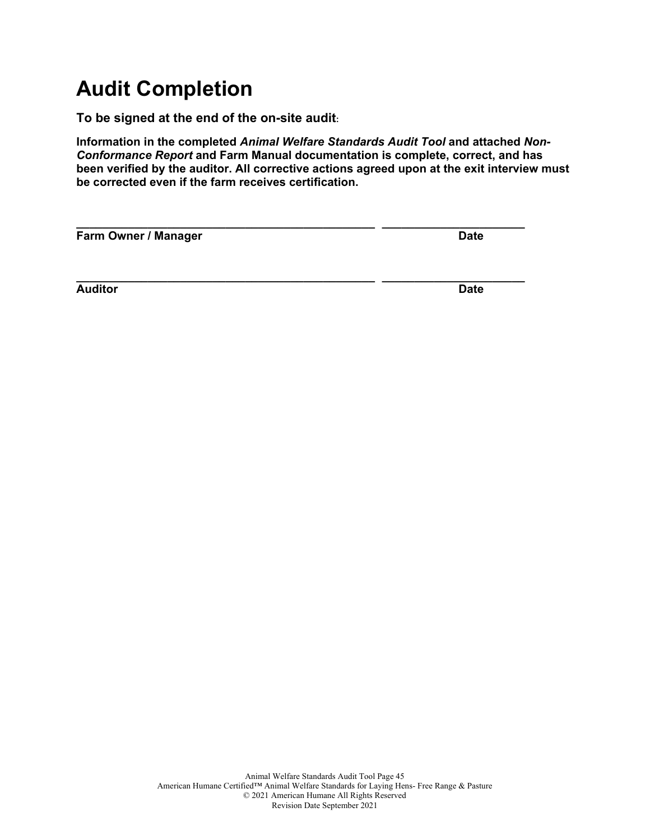# **Audit Completion**

**To be signed at the end of the on-site audit:**

**Information in the completed** *Animal Welfare Standards Audit Tool* **and attached** *Non-Conformance Report* **and Farm Manual documentation is complete, correct, and has been verified by the auditor. All corrective actions agreed upon at the exit interview must be corrected even if the farm receives certification.**

| Farm Owner / Manager | <b>Date</b> |
|----------------------|-------------|
| <b>Auditor</b>       | <b>Date</b> |